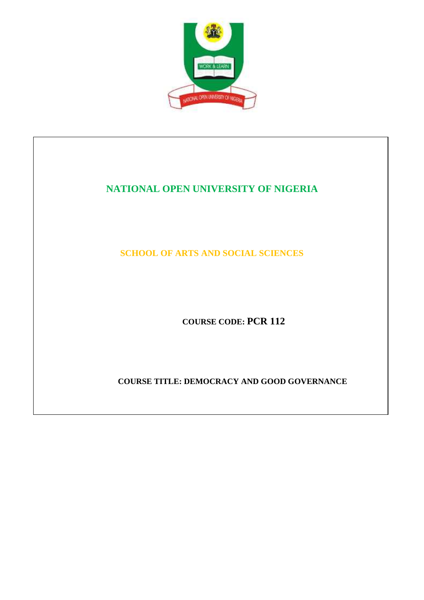

# **NATIONAL OPEN UNIVERSITY OF NIGERIA**

**SCHOOL OF ARTS AND SOCIAL SCIENCES** 

**COURSE CODE: PCR 112**

**COURSE TITLE: DEMOCRACY AND GOOD GOVERNANCE**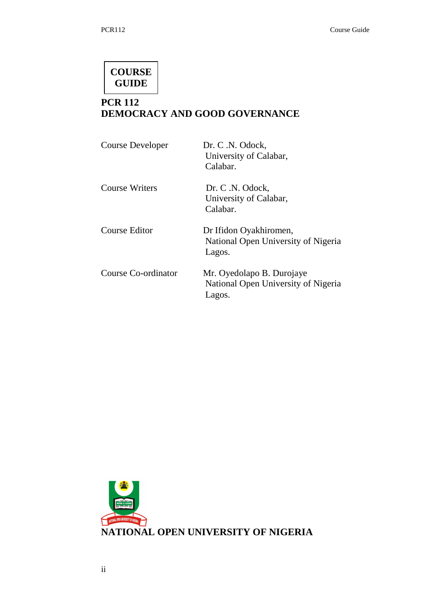# **COURSE GUIDE**

# **PCR 112 DEMOCRACY AND GOOD GOVERNANCE**

| <b>Course Developer</b> | Dr. C.N. Odock,<br>University of Calabar,<br>Calabar.                      |
|-------------------------|----------------------------------------------------------------------------|
| <b>Course Writers</b>   | Dr. C.N. Odock,<br>University of Calabar,<br>Calabar.                      |
| Course Editor           | Dr Ifidon Oyakhiromen,<br>National Open University of Nigeria<br>Lagos.    |
| Course Co-ordinator     | Mr. Oyedolapo B. Durojaye<br>National Open University of Nigeria<br>Lagos. |

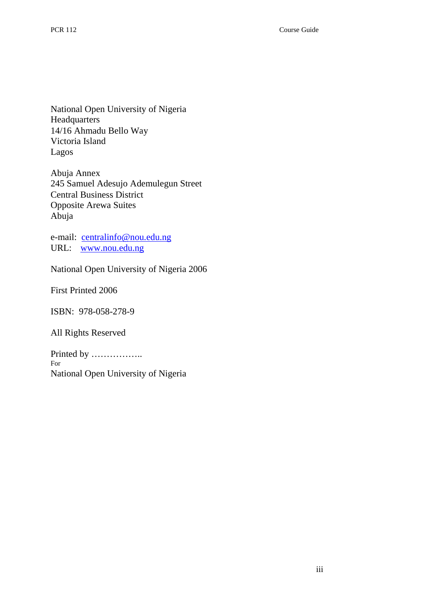National Open University of Nigeria Headquarters 14/16 Ahmadu Bello Way Victoria Island Lagos

Abuja Annex 245 Samuel Adesujo Ademulegun Street Central Business District Opposite Arewa Suites Abuja

e-mail: centralinfo@nou.edu.ng URL: www.nou.edu.ng

National Open University of Nigeria 2006

First Printed 2006

ISBN: 978-058-278-9

All Rights Reserved

Printed by …………….. For National Open University of Nigeria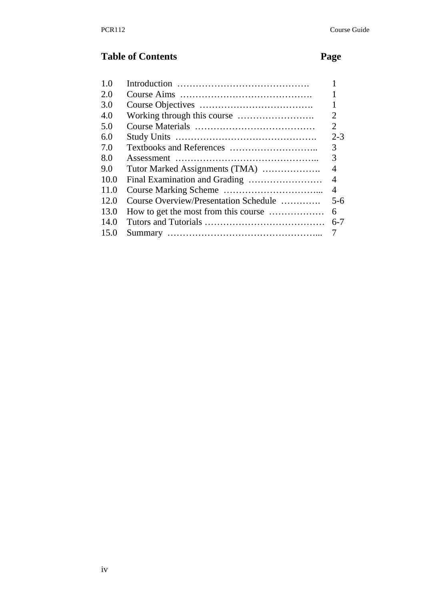# **Table of Contents Page**

| 1.0  |                                       |                 |
|------|---------------------------------------|-----------------|
| 2.0  |                                       |                 |
| 3.0  |                                       | 1               |
| 4.0  |                                       | $\overline{2}$  |
| 5.0  |                                       | $\overline{2}$  |
| 6.0  |                                       | $2 - 3$         |
| 7.0  |                                       | 3               |
| 8.0  |                                       | 3               |
| 9.0  | Tutor Marked Assignments (TMA)        | 4               |
| 10.0 |                                       | $\overline{4}$  |
| 11.0 |                                       | $\overline{4}$  |
| 12.0 | Course Overview/Presentation Schedule | $5 - 6$         |
| 13.0 | How to get the most from this course  | 6               |
| 14.0 |                                       | $6 - 7$         |
| 15.0 |                                       | $7\overline{ }$ |
|      |                                       |                 |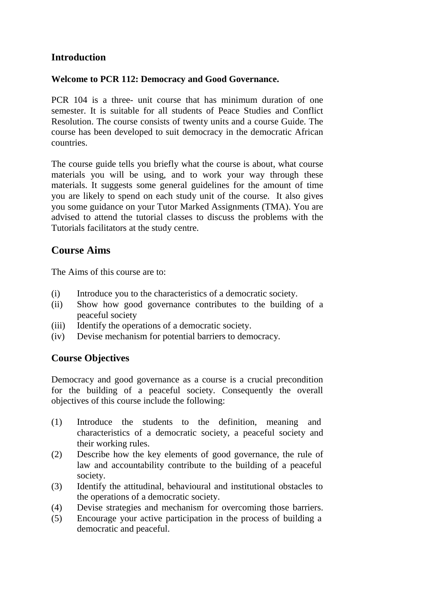# **Introduction**

#### **Welcome to PCR 112: Democracy and Good Governance.**

PCR 104 is a three- unit course that has minimum duration of one semester. It is suitable for all students of Peace Studies and Conflict Resolution. The course consists of twenty units and a course Guide. The course has been developed to suit democracy in the democratic African countries.

The course guide tells you briefly what the course is about, what course materials you will be using, and to work your way through these materials. It suggests some general guidelines for the amount of time you are likely to spend on each study unit of the course. It also gives you some guidance on your Tutor Marked Assignments (TMA). You are advised to attend the tutorial classes to discuss the problems with the Tutorials facilitators at the study centre.

# **Course Aims**

The Aims of this course are to:

- (i) Introduce you to the characteristics of a democratic society.
- (ii) Show how good governance contributes to the building of a peaceful society
- (iii) Identify the operations of a democratic society.
- (iv) Devise mechanism for potential barriers to democracy.

# **Course Objectives**

Democracy and good governance as a course is a crucial precondition for the building of a peaceful society. Consequently the overall objectives of this course include the following:

- (1) Introduce the students to the definition, meaning and characteristics of a democratic society, a peaceful society and their working rules.
- (2) Describe how the key elements of good governance, the rule of law and accountability contribute to the building of a peaceful society.
- (3) Identify the attitudinal, behavioural and institutional obstacles to the operations of a democratic society.
- (4) Devise strategies and mechanism for overcoming those barriers.
- (5) Encourage your active participation in the process of building a democratic and peaceful.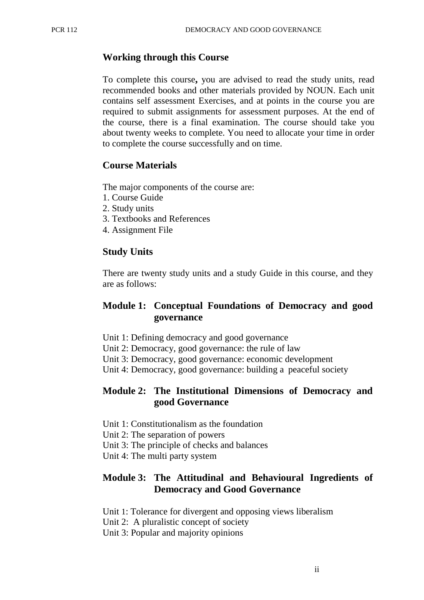#### **Working through this Course**

To complete this course**,** you are advised to read the study units, read recommended books and other materials provided by NOUN. Each unit contains self assessment Exercises, and at points in the course you are required to submit assignments for assessment purposes. At the end of the course, there is a final examination. The course should take you about twenty weeks to complete. You need to allocate your time in order to complete the course successfully and on time.

#### **Course Materials**

The major components of the course are:

- 1. Course Guide
- 2. Study units
- 3. Textbooks and References
- 4. Assignment File

#### **Study Units**

There are twenty study units and a study Guide in this course, and they are as follows:

#### **Module 1: Conceptual Foundations of Democracy and good governance**

- Unit 1: Defining democracy and good governance
- Unit 2: Democracy, good governance: the rule of law
- Unit 3: Democracy, good governance: economic development
- Unit 4: Democracy, good governance: building a peaceful society

#### **Module 2: The Institutional Dimensions of Democracy and good Governance**

- Unit 1: Constitutionalism as the foundation
- Unit 2: The separation of powers
- Unit 3: The principle of checks and balances
- Unit 4: The multi party system

#### **Module 3: The Attitudinal and Behavioural Ingredients of Democracy and Good Governance**

- Unit 1: Tolerance for divergent and opposing views liberalism
- Unit 2: A pluralistic concept of society
- Unit 3: Popular and majority opinions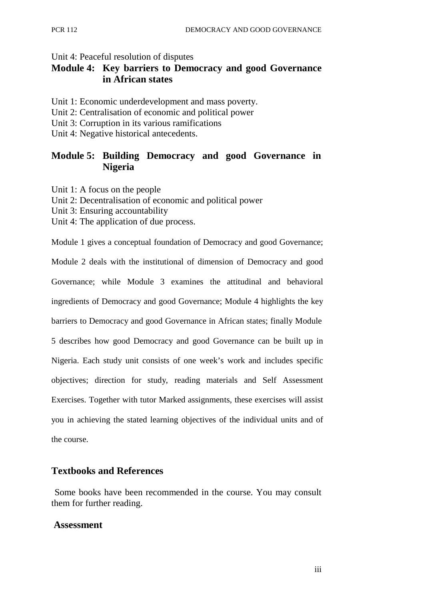#### Unit 4: Peaceful resolution of disputes

# **Module 4: Key barriers to Democracy and good Governance in African states**

- Unit 1: Economic underdevelopment and mass poverty.
- Unit 2: Centralisation of economic and political power
- Unit 3: Corruption in its various ramifications
- Unit 4: Negative historical antecedents.

# **Module 5: Building Democracy and good Governance in Nigeria**

- Unit 1: A focus on the people
- Unit 2: Decentralisation of economic and political power
- Unit 3: Ensuring accountability
- Unit 4: The application of due process.

Module 1 gives a conceptual foundation of Democracy and good Governance; Module 2 deals with the institutional of dimension of Democracy and good Governance; while Module 3 examines the attitudinal and behavioral ingredients of Democracy and good Governance; Module 4 highlights the key barriers to Democracy and good Governance in African states; finally Module 5 describes how good Democracy and good Governance can be built up in Nigeria. Each study unit consists of one week's work and includes specific objectives; direction for study, reading materials and Self Assessment Exercises. Together with tutor Marked assignments, these exercises will assist you in achieving the stated learning objectives of the individual units and of the course.

#### **Textbooks and References**

Some books have been recommended in the course. You may consult them for further reading.

#### **Assessment**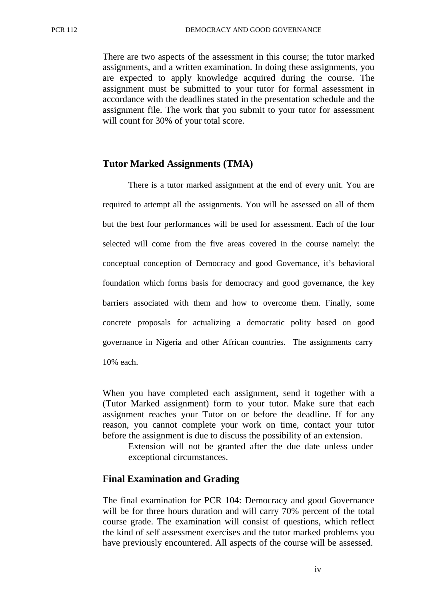There are two aspects of the assessment in this course; the tutor marked assignments, and a written examination. In doing these assignments, you are expected to apply knowledge acquired during the course. The assignment must be submitted to your tutor for formal assessment in accordance with the deadlines stated in the presentation schedule and the assignment file. The work that you submit to your tutor for assessment will count for 30% of your total score.

#### **Tutor Marked Assignments (TMA)**

There is a tutor marked assignment at the end of every unit. You are required to attempt all the assignments. You will be assessed on all of them but the best four performances will be used for assessment. Each of the four selected will come from the five areas covered in the course namely: the conceptual conception of Democracy and good Governance, it's behavioral foundation which forms basis for democracy and good governance, the key barriers associated with them and how to overcome them. Finally, some concrete proposals for actualizing a democratic polity based on good governance in Nigeria and other African countries. The assignments carry 10% each.

When you have completed each assignment, send it together with a (Tutor Marked assignment) form to your tutor. Make sure that each assignment reaches your Tutor on or before the deadline. If for any reason, you cannot complete your work on time, contact your tutor before the assignment is due to discuss the possibility of an extension.

Extension will not be granted after the due date unless under exceptional circumstances.

#### **Final Examination and Grading**

The final examination for PCR 104: Democracy and good Governance will be for three hours duration and will carry 70% percent of the total course grade. The examination will consist of questions, which reflect the kind of self assessment exercises and the tutor marked problems you have previously encountered. All aspects of the course will be assessed.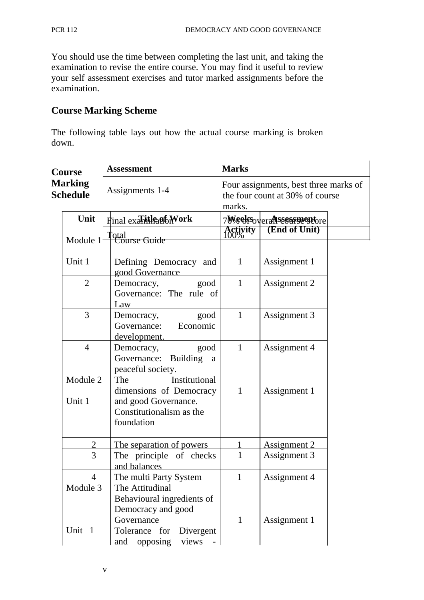You should use the time between completing the last unit, and taking the examination to revise the entire course. You may find it useful to review your self assessment exercises and tutor marked assignments before the examination.

# **Course Marking Scheme**

The following table lays out how the actual course marking is broken down.

| Course<br><b>Marking</b><br><b>Schedule</b> |                | <b>Assessment</b>                                | <b>Marks</b><br>Four assignments, best three marks of<br>the four count at 30% of course<br>marks. |                                        |  |
|---------------------------------------------|----------------|--------------------------------------------------|----------------------------------------------------------------------------------------------------|----------------------------------------|--|
|                                             |                | Assignments 1-4                                  |                                                                                                    |                                        |  |
|                                             | Unit           | Final exarilleation Work                         |                                                                                                    | 7Weelfs <sub>overa</sub> nssessmentore |  |
|                                             | Module $11$    | lotal<br><del>  Course Guide</del>               |                                                                                                    | Activity (End of Unit)                 |  |
|                                             |                |                                                  |                                                                                                    |                                        |  |
|                                             | Unit 1         | Defining Democracy and<br>good Governance        | $\mathbf{1}$                                                                                       | Assignment 1                           |  |
|                                             | $\overline{2}$ | Democracy, good                                  | $\mathbf{1}$                                                                                       | Assignment 2                           |  |
|                                             |                | Governance: The rule of<br>Law                   |                                                                                                    |                                        |  |
|                                             | 3              | Democracy, good                                  | $\mathbf{1}$                                                                                       | Assignment 3                           |  |
|                                             |                | Governance: Economic                             |                                                                                                    |                                        |  |
|                                             | $\overline{4}$ | development.<br>Democracy,<br>good               | 1                                                                                                  | Assignment 4                           |  |
|                                             |                | Governance: Building a<br>peaceful society.      |                                                                                                    |                                        |  |
|                                             | Module 2       | Institutional<br>The                             |                                                                                                    |                                        |  |
|                                             |                | dimensions of Democracy                          | $\mathbf{1}$                                                                                       | Assignment 1                           |  |
|                                             | Unit 1         | and good Governance.<br>Constitutionalism as the |                                                                                                    |                                        |  |
|                                             |                | foundation                                       |                                                                                                    |                                        |  |
|                                             | $\overline{2}$ | The separation of powers                         | $\mathbf{1}$                                                                                       | <b>Assignment 2</b>                    |  |
|                                             | 3              | The principle of checks                          | $\mathbf{1}$                                                                                       | Assignment 3                           |  |
|                                             |                | and balances                                     |                                                                                                    |                                        |  |
|                                             | $\overline{4}$ | The multi Party System                           |                                                                                                    | Assignment 4                           |  |
|                                             | Module 3       | The Attitudinal                                  |                                                                                                    |                                        |  |
|                                             |                | Behavioural ingredients of<br>Democracy and good |                                                                                                    |                                        |  |
|                                             |                | Governance                                       | $\mathbf{1}$                                                                                       | Assignment 1                           |  |
|                                             | Unit 1         | Tolerance for<br>Divergent                       |                                                                                                    |                                        |  |
|                                             |                | and opposing<br><u>views</u>                     |                                                                                                    |                                        |  |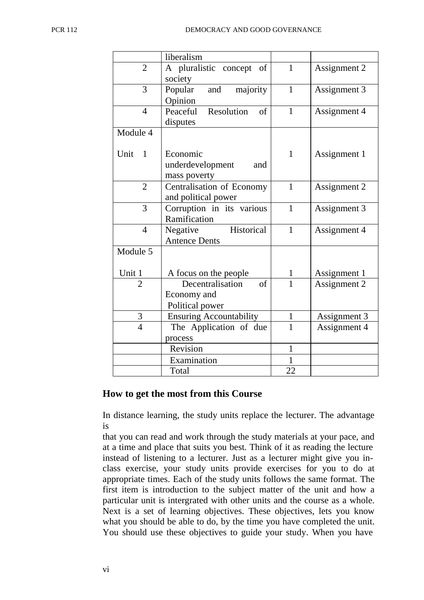|                        | liberalism                     |              |              |
|------------------------|--------------------------------|--------------|--------------|
| $\overline{2}$         | A pluralistic concept of       | $\mathbf{1}$ | Assignment 2 |
|                        | society                        |              |              |
| 3                      | and majority<br>Popular        | $\mathbf{1}$ | Assignment 3 |
|                        | Opinion                        |              |              |
| $\overline{4}$         | Resolution<br>Peaceful<br>of   | $\mathbf{1}$ | Assignment 4 |
|                        | disputes                       |              |              |
| Module 4               |                                |              |              |
|                        |                                |              |              |
| Unit<br>$\overline{1}$ | Economic                       | $\mathbf{1}$ | Assignment 1 |
|                        | underdevelopment<br>and        |              |              |
|                        | mass poverty                   |              |              |
| $\overline{2}$         | Centralisation of Economy      | $\mathbf{1}$ | Assignment 2 |
|                        | and political power            |              |              |
| 3                      | Corruption in its various      | $\mathbf{1}$ | Assignment 3 |
|                        | Ramification                   |              |              |
| $\overline{4}$         | Negative Historical            | $\mathbf{1}$ | Assignment 4 |
|                        | <b>Antence Dents</b>           |              |              |
| Module 5               |                                |              |              |
|                        |                                |              |              |
| Unit 1                 | A focus on the people          | 1            | Assignment 1 |
| $\overline{2}$         | Decentralisation<br>$\sigma$ f | $\mathbf{1}$ | Assignment 2 |
|                        | Economy and                    |              |              |
|                        | Political power                |              |              |
| 3                      | <b>Ensuring Accountability</b> | $\mathbf{1}$ | Assignment 3 |
| $\overline{4}$         | The Application of due         | $\mathbf{1}$ | Assignment 4 |
|                        | process                        |              |              |
|                        | Revision                       | 1            |              |
|                        | Examination                    | 1            |              |
|                        | Total                          | 22           |              |

#### **How to get the most from this Course**

In distance learning, the study units replace the lecturer. The advantage is

that you can read and work through the study materials at your pace, and at a time and place that suits you best. Think of it as reading the lecture instead of listening to a lecturer. Just as a lecturer might give you inclass exercise, your study units provide exercises for you to do at appropriate times. Each of the study units follows the same format. The first item is introduction to the subject matter of the unit and how a particular unit is intergrated with other units and the course as a whole. Next is a set of learning objectives. These objectives, lets you know what you should be able to do, by the time you have completed the unit. You should use these objectives to guide your study. When you have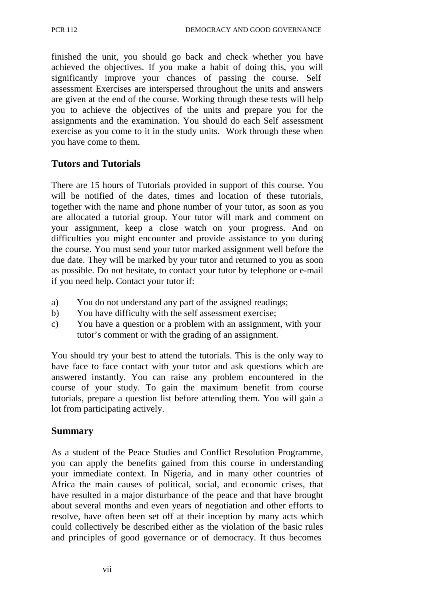finished the unit, you should go back and check whether you have achieved the objectives. If you make a habit of doing this, you will significantly improve your chances of passing the course. Self assessment Exercises are interspersed throughout the units and answers are given at the end of the course. Working through these tests will help you to achieve the objectives of the units and prepare you for the assignments and the examination. You should do each Self assessment exercise as you come to it in the study units. Work through these when you have come to them.

# **Tutors and Tutorials**

There are 15 hours of Tutorials provided in support of this course. You will be notified of the dates, times and location of these tutorials, together with the name and phone number of your tutor, as soon as you are allocated a tutorial group. Your tutor will mark and comment on your assignment, keep a close watch on your progress. And on difficulties you might encounter and provide assistance to you during the course. You must send your tutor marked assignment well before the due date. They will be marked by your tutor and returned to you as soon as possible. Do not hesitate, to contact your tutor by telephone or e-mail if you need help. Contact your tutor if:

- a) You do not understand any part of the assigned readings;
- b) You have difficulty with the self assessment exercise;
- c) You have a question or a problem with an assignment, with your tutor's comment or with the grading of an assignment.

You should try your best to attend the tutorials. This is the only way to have face to face contact with your tutor and ask questions which are answered instantly. You can raise any problem encountered in the course of your study. To gain the maximum benefit from course tutorials, prepare a question list before attending them. You will gain a lot from participating actively.

# **Summary**

As a student of the Peace Studies and Conflict Resolution Programme, you can apply the benefits gained from this course in understanding your immediate context. In Nigeria, and in many other countries of Africa the main causes of political, social, and economic crises, that have resulted in a major disturbance of the peace and that have brought about several months and even years of negotiation and other efforts to resolve, have often been set off at their inception by many acts which could collectively be described either as the violation of the basic rules and principles of good governance or of democracy. It thus becomes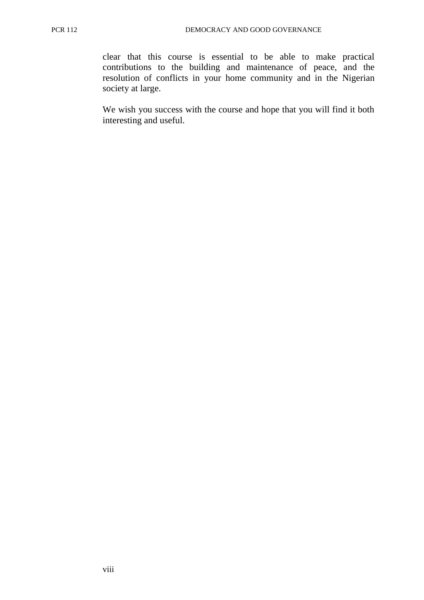clear that this course is essential to be able to make practical contributions to the building and maintenance of peace, and the resolution of conflicts in your home community and in the Nigerian society at large.

We wish you success with the course and hope that you will find it both interesting and useful.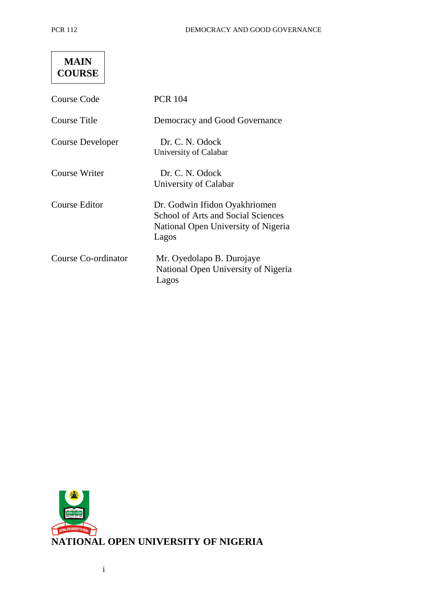| MAIN          |  |
|---------------|--|
| <b>COURSE</b> |  |

| Course Code          | <b>PCR 104</b>                                                                                                             |
|----------------------|----------------------------------------------------------------------------------------------------------------------------|
| Course Title         | Democracy and Good Governance                                                                                              |
| Course Developer     | Dr. C. N. Odock<br>University of Calabar                                                                                   |
| Course Writer        | Dr. C. N. Odock<br>University of Calabar                                                                                   |
| <b>Course Editor</b> | Dr. Godwin Ifidon Oyakhriomen<br><b>School of Arts and Social Sciences</b><br>National Open University of Nigeria<br>Lagos |
| Course Co-ordinator  | Mr. Oyedolapo B. Durojaye<br>National Open University of Nigeria<br>Lagos                                                  |

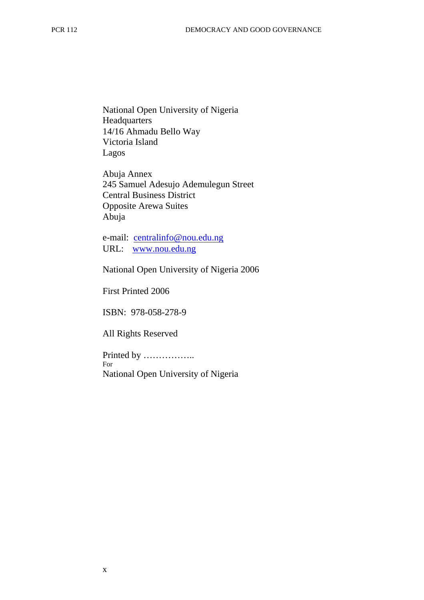National Open University of Nigeria **Headquarters** 14/16 Ahmadu Bello Way Victoria Island Lagos

Abuja Annex 245 Samuel Adesujo Ademulegun Street Central Business District Opposite Arewa Suites Abuja

e-mail: centralinfo@nou.edu.ng URL: www.nou.edu.ng

National Open University of Nigeria 2006

First Printed 2006

ISBN: 978-058-278-9

All Rights Reserved

Printed by …………….. For National Open University of Nigeria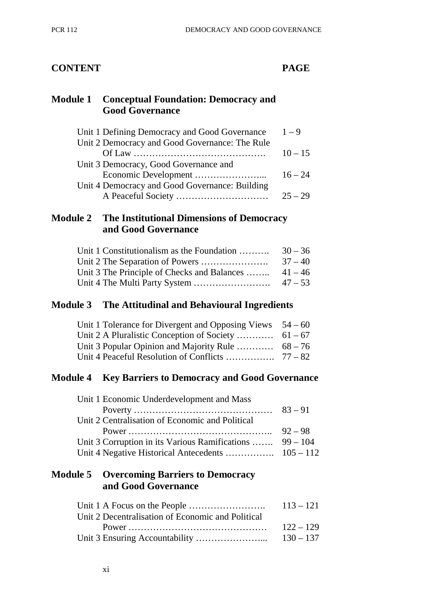# **CONTENT PAGE**

# **Module 1 Conceptual Foundation: Democracy and Good Governance**

| Unit 1 Defining Democracy and Good Governance  | $1 - 9$   |
|------------------------------------------------|-----------|
| Unit 2 Democracy and Good Governance: The Rule |           |
|                                                | $10 - 15$ |
| Unit 3 Democracy, Good Governance and          |           |
|                                                | $16 - 24$ |
| Unit 4 Democracy and Good Governance: Building |           |
|                                                | $25 - 29$ |
|                                                |           |

# **Module 2 The Institutional Dimensions of Democracy and Good Governance**

| Unit 1 Constitutionalism as the Foundation          | $30 - 36$ |
|-----------------------------------------------------|-----------|
|                                                     | $37 - 40$ |
| Unit 3 The Principle of Checks and Balances $41-46$ |           |
|                                                     |           |

# **Module 3 The Attitudinal and Behavioural Ingredients**

| Unit 1 Tolerance for Divergent and Opposing Views $54 - 60$ |  |
|-------------------------------------------------------------|--|
|                                                             |  |
| Unit 3 Popular Opinion and Majority Rule $68-76$            |  |
|                                                             |  |

# **Module 4 Key Barriers to Democracy and Good Governance**

| Unit 1 Economic Underdevelopment and Mass                |           |
|----------------------------------------------------------|-----------|
|                                                          |           |
| Unit 2 Centralisation of Economic and Political          |           |
|                                                          | $92 - 98$ |
| Unit 3 Corruption in its Various Ramifications  99 – 104 |           |
|                                                          |           |

# **Module 5 Overcoming Barriers to Democracy and Good Governance**

|                                                   | $113 - 121$ |
|---------------------------------------------------|-------------|
| Unit 2 Decentralisation of Economic and Political |             |
|                                                   | $122 - 129$ |
|                                                   |             |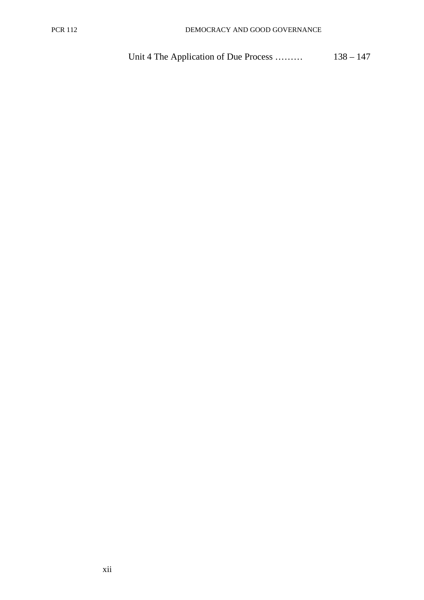Unit 4 The Application of Due Process ……… 138 – 147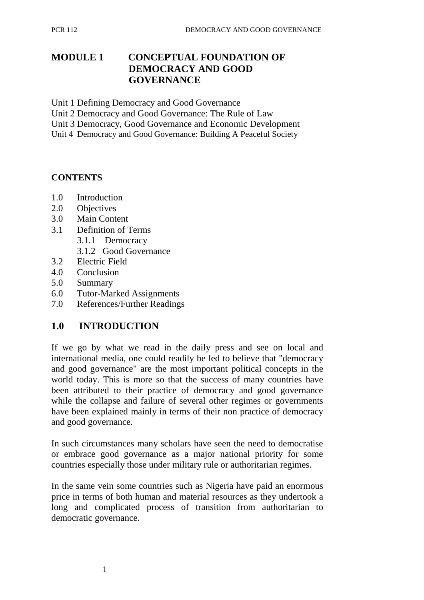# **MODULE 1 CONCEPTUAL FOUNDATION OF DEMOCRACY AND GOOD GOVERNANCE**

Unit 1 Defining Democracy and Good Governance

Unit 2 Democracy and Good Governance: The Rule of Law

Unit 3 Democracy, Good Governance and Economic Development

Unit 4 Democracy and Good Governance: Building A Peaceful Society

#### **CONTENTS**

- 1.0 Introduction
- 2.0 Objectives
- 3.0 Main Content
- 3.1 Definition of Terms
	- 3.1.1 Democracy
	- 3.1.2 Good Governance
- 3.2 Electric Field
- 4.0 Conclusion
- 5.0 Summary
- 6.0 Tutor-Marked Assignments
- 7.0 References/Further Readings

# **1.0 INTRODUCTION**

If we go by what we read in the daily press and see on local and international media, one could readily be led to believe that "democracy and good governance" are the most important political concepts in the world today. This is more so that the success of many countries have been attributed to their practice of democracy and good governance while the collapse and failure of several other regimes or governments have been explained mainly in terms of their non practice of democracy and good governance.

In such circumstances many scholars have seen the need to democratise or embrace good governance as a major national priority for some countries especially those under military rule or authoritarian regimes.

In the same vein some countries such as Nigeria have paid an enormous price in terms of both human and material resources as they undertook a long and complicated process of transition from authoritarian to democratic governance.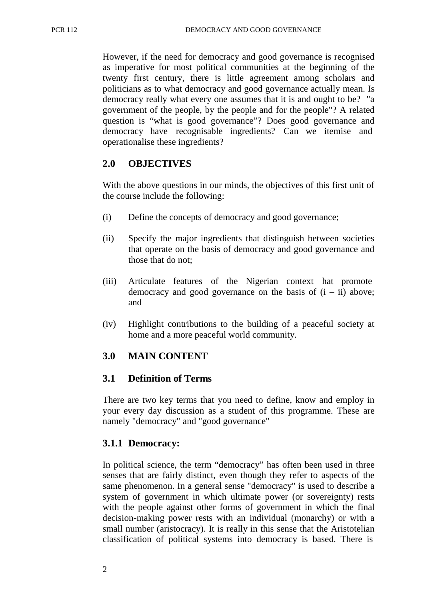However, if the need for democracy and good governance is recognised as imperative for most political communities at the beginning of the twenty first century, there is little agreement among scholars and politicians as to what democracy and good governance actually mean. Is democracy really what every one assumes that it is and ought to be? "a government of the people, by the people and for the people"? A related question is "what is good governance"? Does good governance and democracy have recognisable ingredients? Can we itemise and operationalise these ingredients?

# **2.0 OBJECTIVES**

With the above questions in our minds, the objectives of this first unit of the course include the following:

- (i) Define the concepts of democracy and good governance;
- (ii) Specify the major ingredients that distinguish between societies that operate on the basis of democracy and good governance and those that do not;
- (iii) Articulate features of the Nigerian context hat promote democracy and good governance on the basis of  $(i - ii)$  above; and
- (iv) Highlight contributions to the building of a peaceful society at home and a more peaceful world community.

# **3.0 MAIN CONTENT**

# **3.1 Definition of Terms**

There are two key terms that you need to define, know and employ in your every day discussion as a student of this programme. These are namely "democracy" and "good governance"

# **3.1.1 Democracy:**

In political science, the term "democracy" has often been used in three senses that are fairly distinct, even though they refer to aspects of the same phenomenon. In a general sense "democracy" is used to describe a system of government in which ultimate power (or sovereignty) rests with the people against other forms of government in which the final decision-making power rests with an individual (monarchy) or with a small number (aristocracy). It is really in this sense that the Aristotelian classification of political systems into democracy is based. There is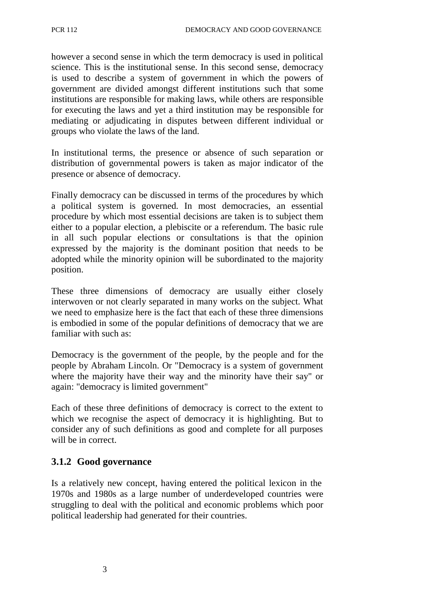however a second sense in which the term democracy is used in political science. This is the institutional sense. In this second sense, democracy is used to describe a system of government in which the powers of government are divided amongst different institutions such that some institutions are responsible for making laws, while others are responsible for executing the laws and yet a third institution may be responsible for mediating or adjudicating in disputes between different individual or groups who violate the laws of the land.

In institutional terms, the presence or absence of such separation or distribution of governmental powers is taken as major indicator of the presence or absence of democracy.

Finally democracy can be discussed in terms of the procedures by which a political system is governed. In most democracies, an essential procedure by which most essential decisions are taken is to subject them either to a popular election, a plebiscite or a referendum. The basic rule in all such popular elections or consultations is that the opinion expressed by the majority is the dominant position that needs to be adopted while the minority opinion will be subordinated to the majority position.

These three dimensions of democracy are usually either closely interwoven or not clearly separated in many works on the subject. What we need to emphasize here is the fact that each of these three dimensions is embodied in some of the popular definitions of democracy that we are familiar with such as:

Democracy is the government of the people, by the people and for the people by Abraham Lincoln. Or "Democracy is a system of government where the majority have their way and the minority have their say" or again: "democracy is limited government"

Each of these three definitions of democracy is correct to the extent to which we recognise the aspect of democracy it is highlighting. But to consider any of such definitions as good and complete for all purposes will be in correct.

#### **3.1.2 Good governance**

Is a relatively new concept, having entered the political lexicon in the 1970s and 1980s as a large number of underdeveloped countries were struggling to deal with the political and economic problems which poor political leadership had generated for their countries.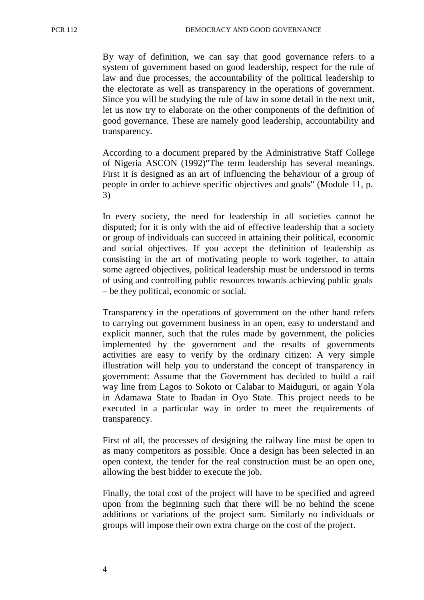By way of definition, we can say that good governance refers to a system of government based on good leadership, respect for the rule of law and due processes, the accountability of the political leadership to the electorate as well as transparency in the operations of government. Since you will be studying the rule of law in some detail in the next unit, let us now try to elaborate on the other components of the definition of good governance. These are namely good leadership, accountability and transparency.

According to a document prepared by the Administrative Staff College of Nigeria ASCON (1992)"The term leadership has several meanings. First it is designed as an art of influencing the behaviour of a group of people in order to achieve specific objectives and goals" (Module 11, p. 3)

In every society, the need for leadership in all societies cannot be disputed; for it is only with the aid of effective leadership that a society or group of individuals can succeed in attaining their political, economic and social objectives. If you accept the definition of leadership as consisting in the art of motivating people to work together, to attain some agreed objectives, political leadership must be understood in terms of using and controlling public resources towards achieving public goals – be they political, economic or social.

Transparency in the operations of government on the other hand refers to carrying out government business in an open, easy to understand and explicit manner, such that the rules made by government, the policies implemented by the government and the results of governments activities are easy to verify by the ordinary citizen: A very simple illustration will help you to understand the concept of transparency in government: Assume that the Government has decided to build a rail way line from Lagos to Sokoto or Calabar to Maiduguri, or again Yola in Adamawa State to Ibadan in Oyo State. This project needs to be executed in a particular way in order to meet the requirements of transparency.

First of all, the processes of designing the railway line must be open to as many competitors as possible. Once a design has been selected in an open context, the tender for the real construction must be an open one, allowing the best bidder to execute the job.

Finally, the total cost of the project will have to be specified and agreed upon from the beginning such that there will be no behind the scene additions or variations of the project sum. Similarly no individuals or groups will impose their own extra charge on the cost of the project.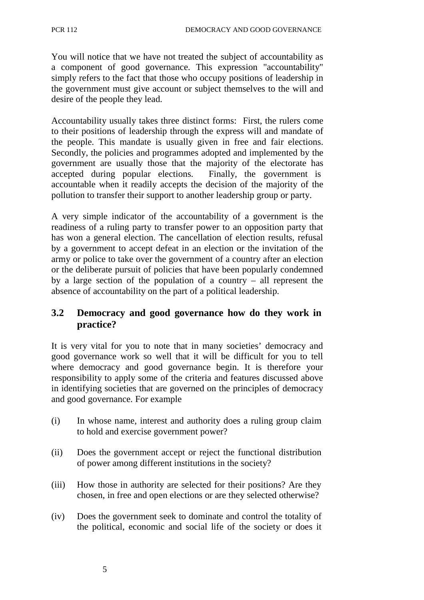You will notice that we have not treated the subject of accountability as a component of good governance. This expression "accountability" simply refers to the fact that those who occupy positions of leadership in the government must give account or subject themselves to the will and desire of the people they lead.

Accountability usually takes three distinct forms: First, the rulers come to their positions of leadership through the express will and mandate of the people. This mandate is usually given in free and fair elections. Secondly, the policies and programmes adopted and implemented by the government are usually those that the majority of the electorate has accepted during popular elections. Finally, the government is accountable when it readily accepts the decision of the majority of the pollution to transfer their support to another leadership group or party.

A very simple indicator of the accountability of a government is the readiness of a ruling party to transfer power to an opposition party that has won a general election. The cancellation of election results, refusal by a government to accept defeat in an election or the invitation of the army or police to take over the government of a country after an election or the deliberate pursuit of policies that have been popularly condemned by a large section of the population of a country – all represent the absence of accountability on the part of a political leadership.

# **3.2 Democracy and good governance how do they work in practice?**

It is very vital for you to note that in many societies' democracy and good governance work so well that it will be difficult for you to tell where democracy and good governance begin. It is therefore your responsibility to apply some of the criteria and features discussed above in identifying societies that are governed on the principles of democracy and good governance. For example

- (i) In whose name, interest and authority does a ruling group claim to hold and exercise government power?
- (ii) Does the government accept or reject the functional distribution of power among different institutions in the society?
- (iii) How those in authority are selected for their positions? Are they chosen, in free and open elections or are they selected otherwise?
- (iv) Does the government seek to dominate and control the totality of the political, economic and social life of the society or does it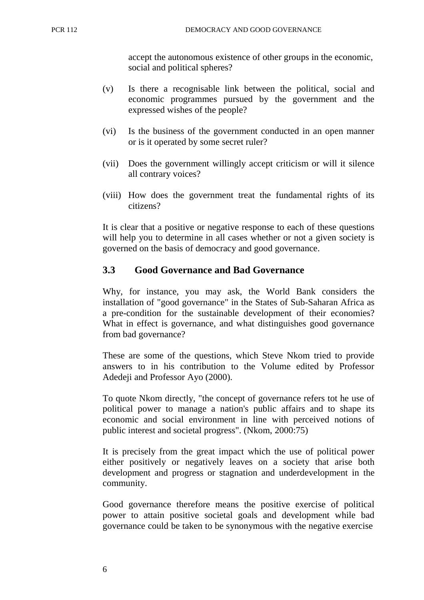accept the autonomous existence of other groups in the economic, social and political spheres?

- (v) Is there a recognisable link between the political, social and economic programmes pursued by the government and the expressed wishes of the people?
- (vi) Is the business of the government conducted in an open manner or is it operated by some secret ruler?
- (vii) Does the government willingly accept criticism or will it silence all contrary voices?
- (viii) How does the government treat the fundamental rights of its citizens?

It is clear that a positive or negative response to each of these questions will help you to determine in all cases whether or not a given society is governed on the basis of democracy and good governance.

#### **3.3 Good Governance and Bad Governance**

Why, for instance, you may ask, the World Bank considers the installation of "good governance" in the States of Sub-Saharan Africa as a pre-condition for the sustainable development of their economies? What in effect is governance, and what distinguishes good governance from bad governance?

These are some of the questions, which Steve Nkom tried to provide answers to in his contribution to the Volume edited by Professor Adedeji and Professor Ayo (2000).

To quote Nkom directly, "the concept of governance refers tot he use of political power to manage a nation's public affairs and to shape its economic and social environment in line with perceived notions of public interest and societal progress". (Nkom, 2000:75)

It is precisely from the great impact which the use of political power either positively or negatively leaves on a society that arise both development and progress or stagnation and underdevelopment in the community.

Good governance therefore means the positive exercise of political power to attain positive societal goals and development while bad governance could be taken to be synonymous with the negative exercise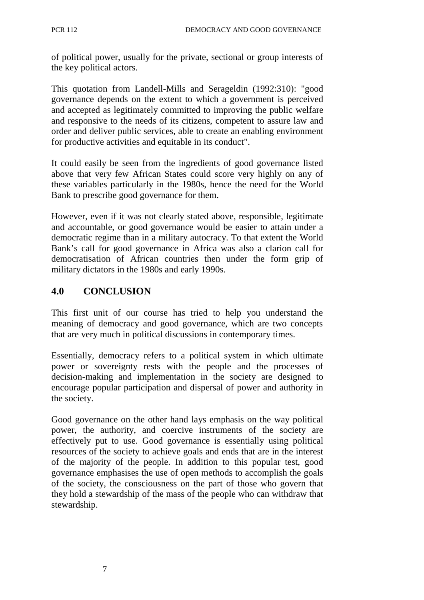of political power, usually for the private, sectional or group interests of the key political actors.

This quotation from Landell-Mills and Serageldin (1992:310): "good governance depends on the extent to which a government is perceived and accepted as legitimately committed to improving the public welfare and responsive to the needs of its citizens, competent to assure law and order and deliver public services, able to create an enabling environment for productive activities and equitable in its conduct".

It could easily be seen from the ingredients of good governance listed above that very few African States could score very highly on any of these variables particularly in the 1980s, hence the need for the World Bank to prescribe good governance for them.

However, even if it was not clearly stated above, responsible, legitimate and accountable, or good governance would be easier to attain under a democratic regime than in a military autocracy. To that extent the World Bank's call for good governance in Africa was also a clarion call for democratisation of African countries then under the form grip of military dictators in the 1980s and early 1990s.

# **4.0 CONCLUSION**

This first unit of our course has tried to help you understand the meaning of democracy and good governance, which are two concepts that are very much in political discussions in contemporary times.

Essentially, democracy refers to a political system in which ultimate power or sovereignty rests with the people and the processes of decision-making and implementation in the society are designed to encourage popular participation and dispersal of power and authority in the society.

Good governance on the other hand lays emphasis on the way political power, the authority, and coercive instruments of the society are effectively put to use. Good governance is essentially using political resources of the society to achieve goals and ends that are in the interest of the majority of the people. In addition to this popular test, good governance emphasises the use of open methods to accomplish the goals of the society, the consciousness on the part of those who govern that they hold a stewardship of the mass of the people who can withdraw that stewardship.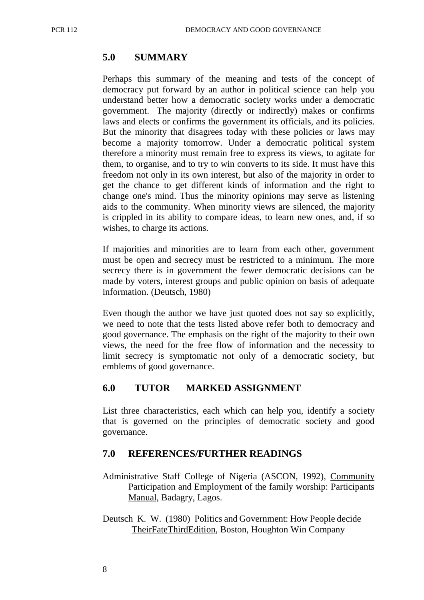# **5.0 SUMMARY**

Perhaps this summary of the meaning and tests of the concept of democracy put forward by an author in political science can help you understand better how a democratic society works under a democratic government. The majority (directly or indirectly) makes or confirms laws and elects or confirms the government its officials, and its policies. But the minority that disagrees today with these policies or laws may become a majority tomorrow. Under a democratic political system therefore a minority must remain free to express its views, to agitate for them, to organise, and to try to win converts to its side. It must have this freedom not only in its own interest, but also of the majority in order to get the chance to get different kinds of information and the right to change one's mind. Thus the minority opinions may serve as listening aids to the community. When minority views are silenced, the majority is crippled in its ability to compare ideas, to learn new ones, and, if so wishes, to charge its actions.

If majorities and minorities are to learn from each other, government must be open and secrecy must be restricted to a minimum. The more secrecy there is in government the fewer democratic decisions can be made by voters, interest groups and public opinion on basis of adequate information. (Deutsch, 1980)

Even though the author we have just quoted does not say so explicitly, we need to note that the tests listed above refer both to democracy and good governance. The emphasis on the right of the majority to their own views, the need for the free flow of information and the necessity to limit secrecy is symptomatic not only of a democratic society, but emblems of good governance.

#### **6.0 TUTOR MARKED ASSIGNMENT**

List three characteristics, each which can help you, identify a society that is governed on the principles of democratic society and good governance.

#### **7.0 REFERENCES/FURTHER READINGS**

- Administrative Staff College of Nigeria (ASCON, 1992), Community Participation and Employment of the family worship: Participants Manual, Badagry, Lagos.
- Deutsch K. W. (1980) Politics and Government: How People decide Their Fate Third Edition, Boston, Houghton Win Company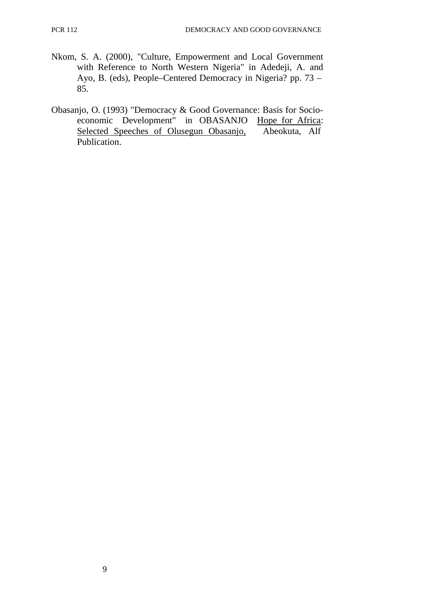- Nkom, S. A. (2000), "Culture, Empowerment and Local Government with Reference to North Western Nigeria" in Adedeji, A. and Ayo, B. (eds), People–Centered Democracy in Nigeria? pp. 73 – 85.
- Obasanjo, O. (1993) "Democracy & Good Governance: Basis for Socioeconomic Development" in OBASANJO Hope for Africa: Selected Speeches of Olusegun Obasanjo, Abeokuta, Alf Publication.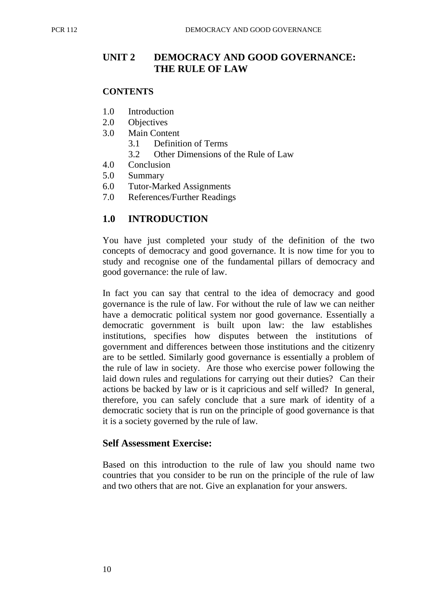# **UNIT 2 DEMOCRACY AND GOOD GOVERNANCE: THE RULE OF LAW**

#### **CONTENTS**

- 1.0 Introduction
- 2.0 Objectives
- 3.0 Main Content
	- 3.1 Definition of Terms
	- 3.2 Other Dimensions of the Rule of Law
- 4.0 Conclusion
- 5.0 Summary
- 6.0 Tutor-Marked Assignments
- 7.0 References/Further Readings

# **1.0 INTRODUCTION**

You have just completed your study of the definition of the two concepts of democracy and good governance. It is now time for you to study and recognise one of the fundamental pillars of democracy and good governance: the rule of law.

In fact you can say that central to the idea of democracy and good governance is the rule of law. For without the rule of law we can neither have a democratic political system nor good governance. Essentially a democratic government is built upon law: the law establishes institutions, specifies how disputes between the institutions of government and differences between those institutions and the citizenry are to be settled. Similarly good governance is essentially a problem of the rule of law in society. Are those who exercise power following the laid down rules and regulations for carrying out their duties? Can their actions be backed by law or is it capricious and self willed? In general, therefore, you can safely conclude that a sure mark of identity of a democratic society that is run on the principle of good governance is that it is a society governed by the rule of law.

#### **Self Assessment Exercise:**

Based on this introduction to the rule of law you should name two countries that you consider to be run on the principle of the rule of law and two others that are not. Give an explanation for your answers.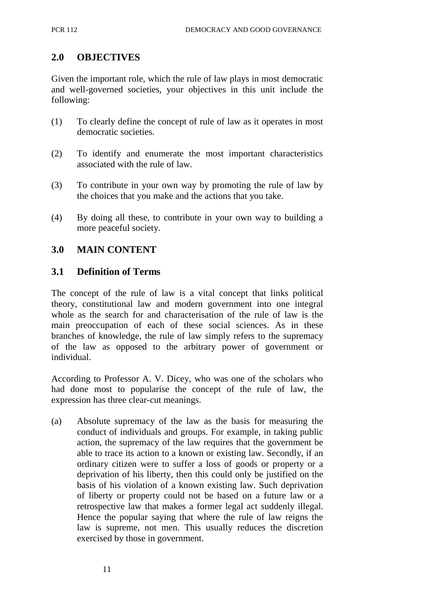# **2.0 OBJECTIVES**

Given the important role, which the rule of law plays in most democratic and well-governed societies, your objectives in this unit include the following:

- (1) To clearly define the concept of rule of law as it operates in most democratic societies.
- (2) To identify and enumerate the most important characteristics associated with the rule of law.
- (3) To contribute in your own way by promoting the rule of law by the choices that you make and the actions that you take.
- (4) By doing all these, to contribute in your own way to building a more peaceful society.

# **3.0 MAIN CONTENT**

#### **3.1 Definition of Terms**

The concept of the rule of law is a vital concept that links political theory, constitutional law and modern government into one integral whole as the search for and characterisation of the rule of law is the main preoccupation of each of these social sciences. As in these branches of knowledge, the rule of law simply refers to the supremacy of the law as opposed to the arbitrary power of government or individual.

According to Professor A. V. Dicey, who was one of the scholars who had done most to popularise the concept of the rule of law, the expression has three clear-cut meanings.

(a) Absolute supremacy of the law as the basis for measuring the conduct of individuals and groups. For example, in taking public action, the supremacy of the law requires that the government be able to trace its action to a known or existing law. Secondly, if an ordinary citizen were to suffer a loss of goods or property or a deprivation of his liberty, then this could only be justified on the basis of his violation of a known existing law. Such deprivation of liberty or property could not be based on a future law or a retrospective law that makes a former legal act suddenly illegal. Hence the popular saying that where the rule of law reigns the law is supreme, not men. This usually reduces the discretion exercised by those in government.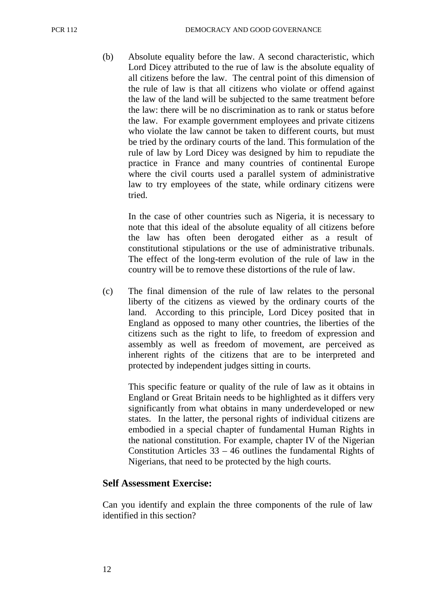(b) Absolute equality before the law. A second characteristic, which Lord Dicey attributed to the rue of law is the absolute equality of all citizens before the law. The central point of this dimension of the rule of law is that all citizens who violate or offend against the law of the land will be subjected to the same treatment before the law: there will be no discrimination as to rank or status before the law. For example government employees and private citizens who violate the law cannot be taken to different courts, but must be tried by the ordinary courts of the land. This formulation of the rule of law by Lord Dicey was designed by him to repudiate the practice in France and many countries of continental Europe where the civil courts used a parallel system of administrative law to try employees of the state, while ordinary citizens were tried.

In the case of other countries such as Nigeria, it is necessary to note that this ideal of the absolute equality of all citizens before the law has often been derogated either as a result of constitutional stipulations or the use of administrative tribunals. The effect of the long-term evolution of the rule of law in the country will be to remove these distortions of the rule of law.

(c) The final dimension of the rule of law relates to the personal liberty of the citizens as viewed by the ordinary courts of the land. According to this principle, Lord Dicey posited that in England as opposed to many other countries, the liberties of the citizens such as the right to life, to freedom of expression and assembly as well as freedom of movement, are perceived as inherent rights of the citizens that are to be interpreted and protected by independent judges sitting in courts.

This specific feature or quality of the rule of law as it obtains in England or Great Britain needs to be highlighted as it differs very significantly from what obtains in many underdeveloped or new states. In the latter, the personal rights of individual citizens are embodied in a special chapter of fundamental Human Rights in the national constitution. For example, chapter IV of the Nigerian Constitution Articles  $33 - 46$  outlines the fundamental Rights of Nigerians, that need to be protected by the high courts.

#### **Self Assessment Exercise:**

Can you identify and explain the three components of the rule of law identified in this section?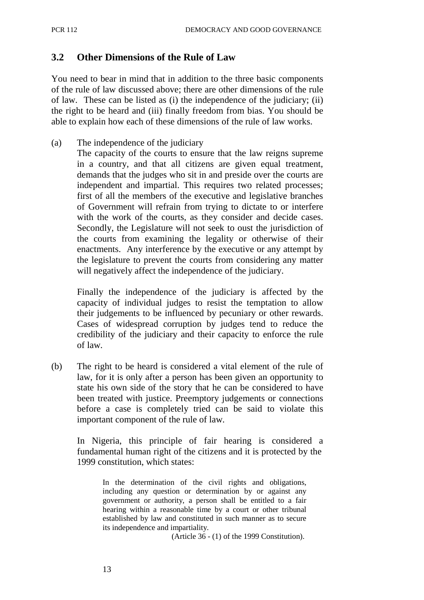#### **3.2 Other Dimensions of the Rule of Law**

You need to bear in mind that in addition to the three basic components of the rule of law discussed above; there are other dimensions of the rule of law. These can be listed as (i) the independence of the judiciary; (ii) the right to be heard and (iii) finally freedom from bias. You should be able to explain how each of these dimensions of the rule of law works.

(a) The independence of the judiciary

The capacity of the courts to ensure that the law reigns supreme in a country, and that all citizens are given equal treatment, demands that the judges who sit in and preside over the courts are independent and impartial. This requires two related processes; first of all the members of the executive and legislative branches of Government will refrain from trying to dictate to or interfere with the work of the courts, as they consider and decide cases. Secondly, the Legislature will not seek to oust the jurisdiction of the courts from examining the legality or otherwise of their enactments. Any interference by the executive or any attempt by the legislature to prevent the courts from considering any matter will negatively affect the independence of the judiciary.

Finally the independence of the judiciary is affected by the capacity of individual judges to resist the temptation to allow their judgements to be influenced by pecuniary or other rewards. Cases of widespread corruption by judges tend to reduce the credibility of the judiciary and their capacity to enforce the rule of law.

(b) The right to be heard is considered a vital element of the rule of law, for it is only after a person has been given an opportunity to state his own side of the story that he can be considered to have been treated with justice. Preemptory judgements or connections before a case is completely tried can be said to violate this important component of the rule of law.

In Nigeria, this principle of fair hearing is considered a fundamental human right of the citizens and it is protected by the 1999 constitution, which states:

> In the determination of the civil rights and obligations, including any question or determination by or against any government or authority, a person shall be entitled to a fair hearing within a reasonable time by a court or other tribunal established by law and constituted in such manner as to secure its independence and impartiality.

(Article 36 - (1) of the 1999 Constitution).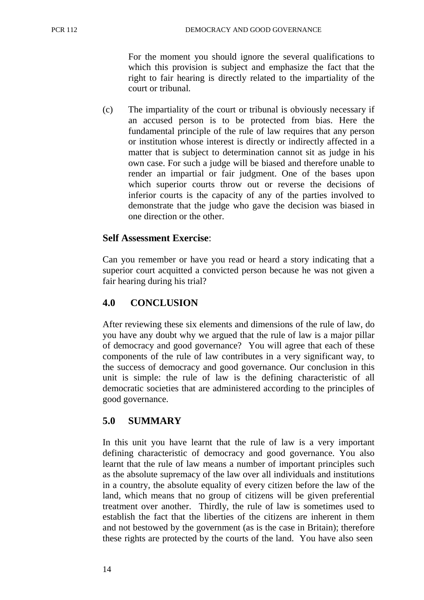For the moment you should ignore the several qualifications to which this provision is subject and emphasize the fact that the right to fair hearing is directly related to the impartiality of the court or tribunal.

(c) The impartiality of the court or tribunal is obviously necessary if an accused person is to be protected from bias. Here the fundamental principle of the rule of law requires that any person or institution whose interest is directly or indirectly affected in a matter that is subject to determination cannot sit as judge in his own case. For such a judge will be biased and therefore unable to render an impartial or fair judgment. One of the bases upon which superior courts throw out or reverse the decisions of inferior courts is the capacity of any of the parties involved to demonstrate that the judge who gave the decision was biased in one direction or the other.

# **Self Assessment Exercise**:

Can you remember or have you read or heard a story indicating that a superior court acquitted a convicted person because he was not given a fair hearing during his trial?

# **4.0 CONCLUSION**

After reviewing these six elements and dimensions of the rule of law, do you have any doubt why we argued that the rule of law is a major pillar of democracy and good governance? You will agree that each of these components of the rule of law contributes in a very significant way, to the success of democracy and good governance. Our conclusion in this unit is simple: the rule of law is the defining characteristic of all democratic societies that are administered according to the principles of good governance.

# **5.0 SUMMARY**

In this unit you have learnt that the rule of law is a very important defining characteristic of democracy and good governance. You also learnt that the rule of law means a number of important principles such as the absolute supremacy of the law over all individuals and institutions in a country, the absolute equality of every citizen before the law of the land, which means that no group of citizens will be given preferential treatment over another. Thirdly, the rule of law is sometimes used to establish the fact that the liberties of the citizens are inherent in them and not bestowed by the government (as is the case in Britain); therefore these rights are protected by the courts of the land. You have also seen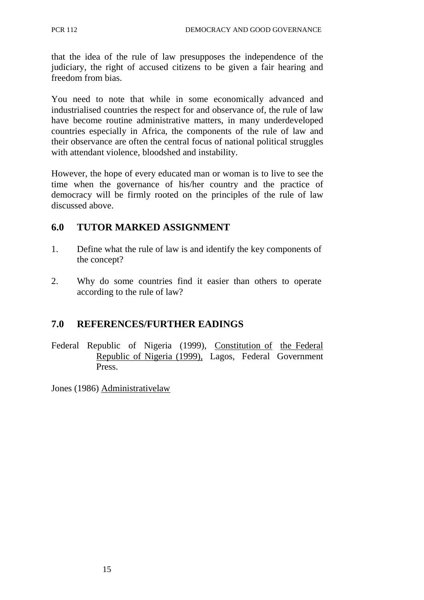that the idea of the rule of law presupposes the independence of the judiciary, the right of accused citizens to be given a fair hearing and freedom from bias.

You need to note that while in some economically advanced and industrialised countries the respect for and observance of, the rule of law have become routine administrative matters, in many underdeveloped countries especially in Africa, the components of the rule of law and their observance are often the central focus of national political struggles with attendant violence, bloodshed and instability.

However, the hope of every educated man or woman is to live to see the time when the governance of his/her country and the practice of democracy will be firmly rooted on the principles of the rule of law discussed above.

# **6.0 TUTOR MARKED ASSIGNMENT**

- 1. Define what the rule of law is and identify the key components of the concept?
- 2. Why do some countries find it easier than others to operate according to the rule of law?

# **7.0 REFERENCES/FURTHER EADINGS**

Federal Republic of Nigeria (1999), Constitution of the Federal Republic of Nigeria (1999), Lagos, Federal Government Press.

Jones (1986) Administrative law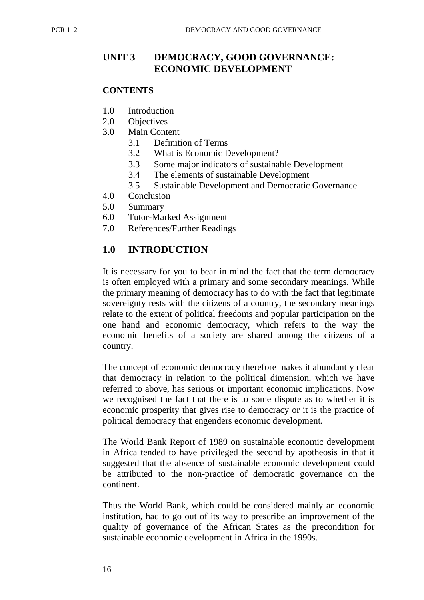# UNIT 3 DEMOCRACY, GOOD GOVERNANCE: **ECONOMIC DEVELOPMENT**

#### **CONTENTS**

- 1.0 Introduction
- 2.0 Objectives
- 3.0 Main Content
	- 3.1 Definition of Terms
	- 3.2 What is Economic Development?
	- 3.3 Some major indicators of sustainable Development
	- 3.4 The elements of sustainable Development
	- 3.5 Sustainable Development and Democratic Governance
- 4.0 Conclusion
- 5.0 Summary
- 6.0 Tutor-Marked Assignment
- 7.0 References/Further Readings

# **1.0 INTRODUCTION**

It is necessary for you to bear in mind the fact that the term democracy is often employed with a primary and some secondary meanings. While the primary meaning of democracy has to do with the fact that legitimate sovereignty rests with the citizens of a country, the secondary meanings relate to the extent of political freedoms and popular participation on the one hand and economic democracy, which refers to the way the economic benefits of a society are shared among the citizens of a country.

The concept of economic democracy therefore makes it abundantly clear that democracy in relation to the political dimension, which we have referred to above, has serious or important economic implications. Now we recognised the fact that there is to some dispute as to whether it is economic prosperity that gives rise to democracy or it is the practice of political democracy that engenders economic development.

The World Bank Report of 1989 on sustainable economic development in Africa tended to have privileged the second by apotheosis in that it suggested that the absence of sustainable economic development could be attributed to the non-practice of democratic governance on the continent.

Thus the World Bank, which could be considered mainly an economic institution, had to go out of its way to prescribe an improvement of the quality of governance of the African States as the precondition for sustainable economic development in Africa in the 1990s.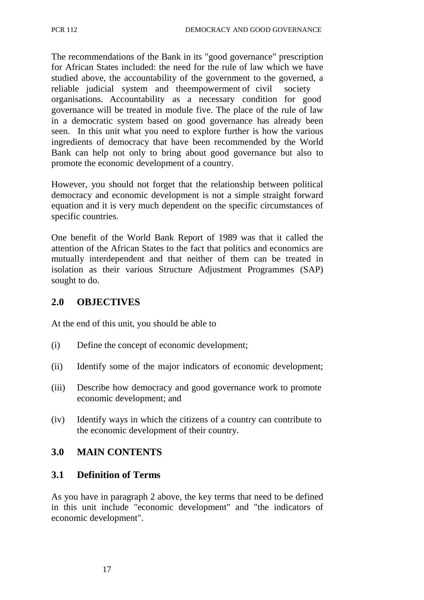The recommendations of the Bank in its "good governance" prescription for African States included: the need for the rule of law which we have studied above, the accountability of the government to the governed, a reliable judicial system and the empowerment of civil society organisations. Accountability as a necessary condition for good governance will be treated in module five. The place of the rule of law in a democratic system based on good governance has already been seen. In this unit what you need to explore further is how the various ingredients of democracy that have been recommended by the World Bank can help not only to bring about good governance but also to promote the economic development of a country.

However, you should not forget that the relationship between political democracy and economic development is not a simple straight forward equation and it is very much dependent on the specific circumstances of specific countries.

One benefit of the World Bank Report of 1989 was that it called the attention of the African States to the fact that politics and economics are mutually interdependent and that neither of them can be treated in isolation as their various Structure Adjustment Programmes (SAP) sought to do.

#### **2.0 OBJECTIVES**

At the end of this unit, you should be able to

- (i) Define the concept of economic development;
- (ii) Identify some of the major indicators of economic development;
- (iii) Describe how democracy and good governance work to promote economic development; and
- (iv) Identify ways in which the citizens of a country can contribute to the economic development of their country.

#### **3.0 MAIN CONTENTS**

#### **3.1 Definition of Terms**

As you have in paragraph 2 above, the key terms that need to be defined in this unit include "economic development" and "the indicators of economic development".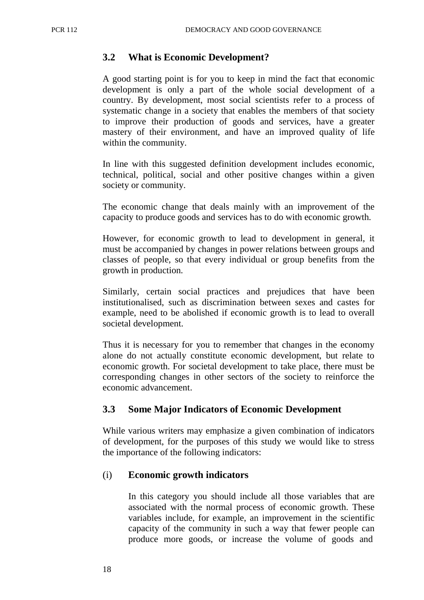#### **3.2 What is Economic Development?**

A good starting point is for you to keep in mind the fact that economic development is only a part of the whole social development of a country. By development, most social scientists refer to a process of systematic change in a society that enables the members of that society to improve their production of goods and services, have a greater mastery of their environment, and have an improved quality of life within the community.

In line with this suggested definition development includes economic, technical, political, social and other positive changes within a given society or community.

The economic change that deals mainly with an improvement of the capacity to produce goods and services has to do with economic growth.

However, for economic growth to lead to development in general, it must be accompanied by changes in power relations between groups and classes of people, so that every individual or group benefits from the growth in production.

Similarly, certain social practices and prejudices that have been institutionalised, such as discrimination between sexes and castes for example, need to be abolished if economic growth is to lead to overall societal development.

Thus it is necessary for you to remember that changes in the economy alone do not actually constitute economic development, but relate to economic growth. For societal development to take place, there must be corresponding changes in other sectors of the society to reinforce the economic advancement.

#### **3.3 Some Major Indicators of Economic Development**

While various writers may emphasize a given combination of indicators of development, for the purposes of this study we would like to stress the importance of the following indicators:

#### (i) **Economic growth indicators**

In this category you should include all those variables that are associated with the normal process of economic growth. These variables include, for example, an improvement in the scientific capacity of the community in such a way that fewer people can produce more goods, or increase the volume of goods and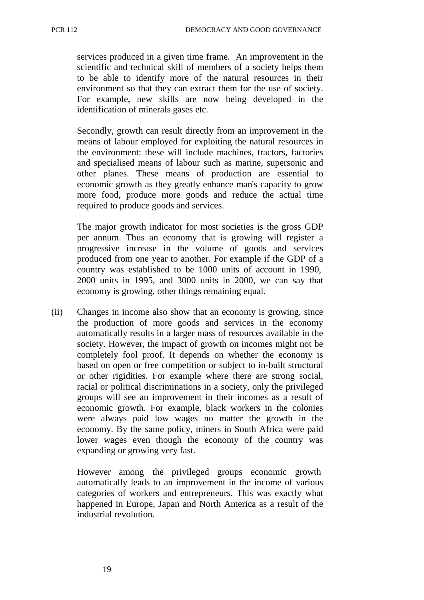services produced in a given time frame. An improvement in the scientific and technical skill of members of a society helps them to be able to identify more of the natural resources in their environment so that they can extract them for the use of society. For example, new skills are now being developed in the identification of minerals gases etc.

Secondly, growth can result directly from an improvement in the means of labour employed for exploiting the natural resources in the environment: these will include machines, tractors, factories and specialised means of labour such as marine, supersonic and other planes. These means of production are essential to economic growth as they greatly enhance man's capacity to grow more food, produce more goods and reduce the actual time required to produce goods and services.

The major growth indicator for most societies is the gross GDP per annum. Thus an economy that is growing will register a progressive increase in the volume of goods and services produced from one year to another. For example if the GDP of a country was established to be 1000 units of account in 1990, 2000 units in 1995, and 3000 units in 2000, we can say that economy is growing, other things remaining equal.

(ii) Changes in income also show that an economy is growing, since the production of more goods and services in the economy automatically results in a larger mass of resources available in the society. However, the impact of growth on incomes might not be completely fool proof. It depends on whether the economy is based on open or free competition or subject to in-built structural or other rigidities. For example where there are strong social, racial or political discriminations in a society, only the privileged groups will see an improvement in their incomes as a result of economic growth. For example, black workers in the colonies were always paid low wages no matter the growth in the economy. By the same policy, miners in South Africa were paid lower wages even though the economy of the country was expanding or growing very fast.

However among the privileged groups economic growth automatically leads to an improvement in the income of various categories of workers and entrepreneurs. This was exactly what happened in Europe, Japan and North America as a result of the industrial revolution.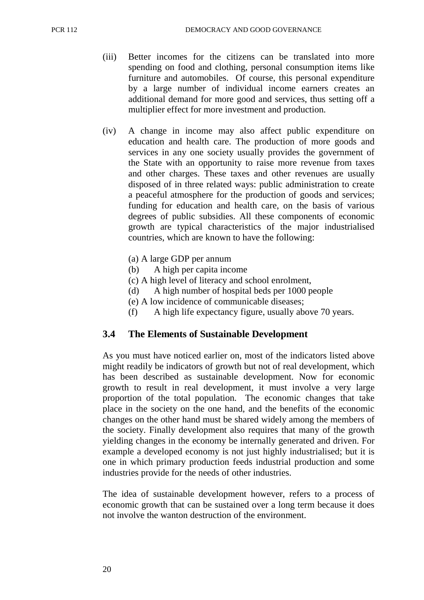- (iii) Better incomes for the citizens can be translated into more spending on food and clothing, personal consumption items like furniture and automobiles. Of course, this personal expenditure by a large number of individual income earners creates an additional demand for more good and services, thus setting off a multiplier effect for more investment and production.
- (iv) A change in income may also affect public expenditure on education and health care. The production of more goods and services in any one society usually provides the government of the State with an opportunity to raise more revenue from taxes and other charges. These taxes and other revenues are usually disposed of in three related ways: public administration to create a peaceful atmosphere for the production of goods and services; funding for education and health care, on the basis of various degrees of public subsidies. All these components of economic growth are typical characteristics of the major industrialised countries, which are known to have the following:
	- (a) A large GDP per annum
	- (b) A high per capita income
	- (c) A high level of literacy and school enrolment,
	- (d) A high number of hospital beds per 1000 people
	- (e) A low incidence of communicable diseases;
	- (f) A high life expectancy figure, usually above 70 years.

#### **3.4 The Elements of Sustainable Development**

As you must have noticed earlier on, most of the indicators listed above might readily be indicators of growth but not of real development, which has been described as sustainable development. Now for economic growth to result in real development, it must involve a very large proportion of the total population. The economic changes that take place in the society on the one hand, and the benefits of the economic changes on the other hand must be shared widely among the members of the society. Finally development also requires that many of the growth yielding changes in the economy be internally generated and driven. For example a developed economy is not just highly industrialised; but it is one in which primary production feeds industrial production and some industries provide for the needs of other industries.

The idea of sustainable development however, refers to a process of economic growth that can be sustained over a long term because it does not involve the wanton destruction of the environment.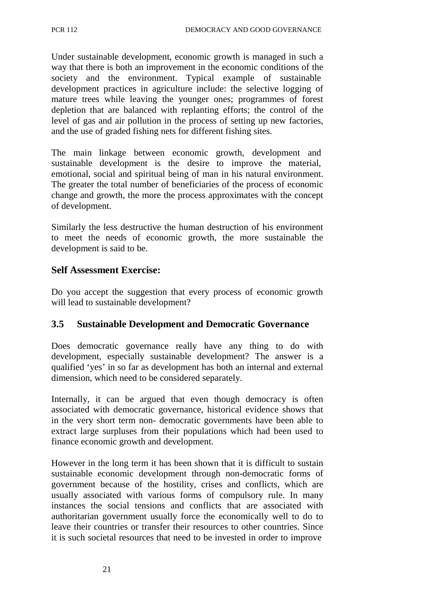Under sustainable development, economic growth is managed in such a way that there is both an improvement in the economic conditions of the society and the environment. Typical example of sustainable development practices in agriculture include: the selective logging of mature trees while leaving the younger ones; programmes of forest depletion that are balanced with replanting efforts; the control of the level of gas and air pollution in the process of setting up new factories, and the use of graded fishing nets for different fishing sites.

The main linkage between economic growth, development and sustainable development is the desire to improve the material, emotional, social and spiritual being of man in his natural environment. The greater the total number of beneficiaries of the process of economic change and growth, the more the process approximates with the concept of development.

Similarly the less destructive the human destruction of his environment to meet the needs of economic growth, the more sustainable the development is said to be.

### **Self Assessment Exercise:**

Do you accept the suggestion that every process of economic growth will lead to sustainable development?

### **3.5 Sustainable Development and Democratic Governance**

Does democratic governance really have any thing to do with development, especially sustainable development? The answer is a qualified 'yes' in so far as development has both an internal and external dimension, which need to be considered separately.

Internally, it can be argued that even though democracy is often associated with democratic governance, historical evidence shows that in the very short term non- democratic governments have been able to extract large surpluses from their populations which had been used to finance economic growth and development.

However in the long term it has been shown that it is difficult to sustain sustainable economic development through non-democratic forms of government because of the hostility, crises and conflicts, which are usually associated with various forms of compulsory rule. In many instances the social tensions and conflicts that are associated with authoritarian government usually force the economically well to do to leave their countries or transfer their resources to other countries. Since it is such societal resources that need to be invested in order to improve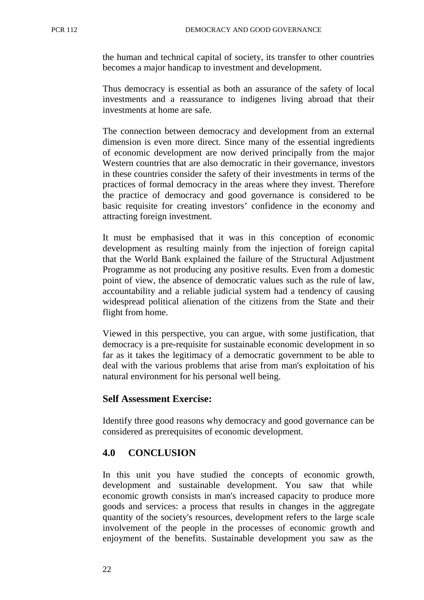the human and technical capital of society, its transfer to other countries becomes a major handicap to investment and development.

Thus democracy is essential as both an assurance of the safety of local investments and a reassurance to indigenes living abroad that their investments at home are safe.

The connection between democracy and development from an external dimension is even more direct. Since many of the essential ingredients of economic development are now derived principally from the major Western countries that are also democratic in their governance, investors in these countries consider the safety of their investments in terms of the practices of formal democracy in the areas where they invest. Therefore the practice of democracy and good governance is considered to be basic requisite for creating investors' confidence in the economy and attracting foreign investment.

It must be emphasised that it was in this conception of economic development as resulting mainly from the injection of foreign capital that the World Bank explained the failure of the Structural Adjustment Programme as not producing any positive results. Even from a domestic point of view, the absence of democratic values such as the rule of law, accountability and a reliable judicial system had a tendency of causing widespread political alienation of the citizens from the State and their flight from home.

Viewed in this perspective, you can argue, with some justification, that democracy is a pre-requisite for sustainable economic development in so far as it takes the legitimacy of a democratic government to be able to deal with the various problems that arise from man's exploitation of his natural environment for his personal well being.

### **Self Assessment Exercise:**

Identify three good reasons why democracy and good governance can be considered as prerequisites of economic development.

### **4.0 CONCLUSION**

In this unit you have studied the concepts of economic growth, development and sustainable development. You saw that while economic growth consists in man's increased capacity to produce more goods and services: a process that results in changes in the aggregate quantity of the society's resources, development refers to the large scale involvement of the people in the processes of economic growth and enjoyment of the benefits. Sustainable development you saw as the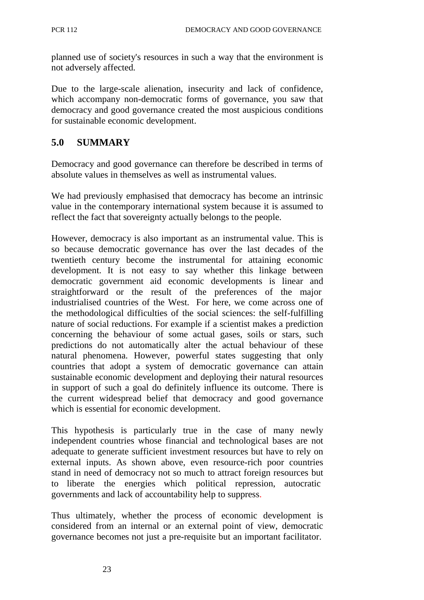planned use of society's resources in such a way that the environment is not adversely affected.

Due to the large-scale alienation, insecurity and lack of confidence, which accompany non-democratic forms of governance, you saw that democracy and good governance created the most auspicious conditions for sustainable economic development.

## **5.0 SUMMARY**

Democracy and good governance can therefore be described in terms of absolute values in themselves as well as instrumental values.

We had previously emphasised that democracy has become an intrinsic value in the contemporary international system because it is assumed to reflect the fact that sovereignty actually belongs to the people.

However, democracy is also important as an instrumental value. This is so because democratic governance has over the last decades of the twentieth century become the instrumental for attaining economic development. It is not easy to say whether this linkage between democratic government aid economic developments is linear and straightforward or the result of the preferences of the major industrialised countries of the West. For here, we come across one of the methodological difficulties of the social sciences: the self-fulfilling nature of social reductions. For example if a scientist makes a prediction concerning the behaviour of some actual gases, soils or stars, such predictions do not automatically alter the actual behaviour of these natural phenomena. However, powerful states suggesting that only countries that adopt a system of democratic governance can attain sustainable economic development and deploying their natural resources in support of such a goal do definitely influence its outcome. There is the current widespread belief that democracy and good governance which is essential for economic development.

This hypothesis is particularly true in the case of many newly independent countries whose financial and technological bases are not adequate to generate sufficient investment resources but have to rely on external inputs. As shown above, even resource-rich poor countries stand in need of democracy not so much to attract foreign resources but to liberate the energies which political repression, autocratic governments and lack of accountability help to suppress.

Thus ultimately, whether the process of economic development is considered from an internal or an external point of view, democratic governance becomes not just a pre-requisite but an important facilitator.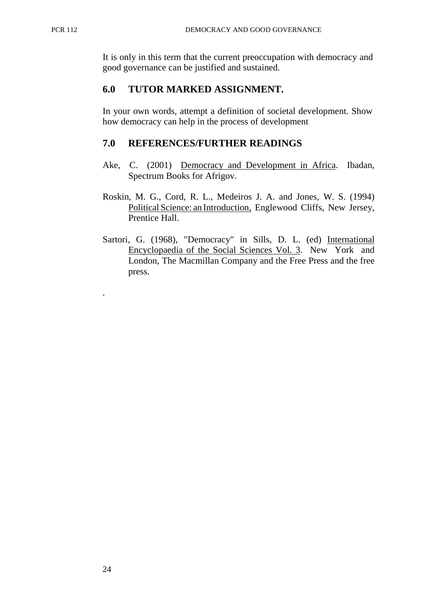It is only in this term that the current preoccupation with democracy and good governance can be justified and sustained.

## **6.0 TUTOR MARKED ASSIGNMENT.**

In your own words, attempt a definition of societal development. Show how democracy can help in the process of development

## **7.0 REFERENCES/FURTHER READINGS**

- Ake, C. (2001) Democracy and Development in Africa. Ibadan, Spectrum Books for Afrigov.
- Roskin, M. G., Cord, R. L., Medeiros J. A. and Jones, W. S. (1994) Political Science: an Introduction, Englewood Cliffs, New Jersey, Prentice Hall.
- Sartori, G. (1968), "Democracy" in Sills, D. L. (ed) International Encyclopaedia of the Social Sciences Vol. 3. New York and London, The Macmillan Company and the Free Press and the free press.

.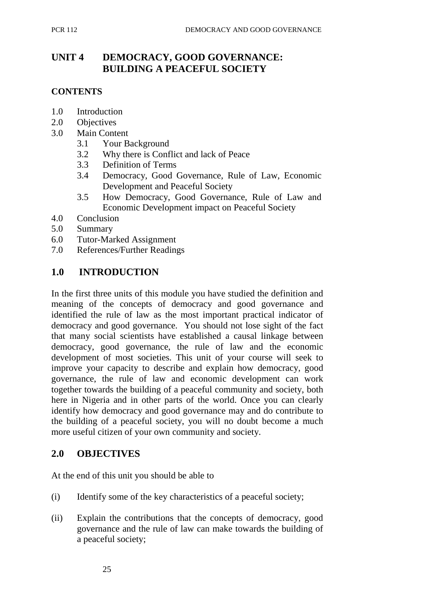# **UNIT 4 DEMOCRACY, GOOD GOVERNANCE: BUILDING A PEACEFUL SOCIETY**

#### **CONTENTS**

- 1.0 Introduction
- 2.0 Objectives
- 3.0 Main Content
	- 3.1 Your Background
	- 3.2 Why there is Conflict and lack of Peace
	- 3.3 Definition of Terms
	- 3.4 Democracy, Good Governance, Rule of Law, Economic Development and Peaceful Society
	- 3.5 How Democracy, Good Governance, Rule of Law and Economic Development impact on Peaceful Society
- 4.0 Conclusion
- 5.0 Summary
- 6.0 Tutor-Marked Assignment
- 7.0 References/Further Readings

### **1.0 INTRODUCTION**

In the first three units of this module you have studied the definition and meaning of the concepts of democracy and good governance and identified the rule of law as the most important practical indicator of democracy and good governance. You should not lose sight of the fact that many social scientists have established a causal linkage between democracy, good governance, the rule of law and the economic development of most societies. This unit of your course will seek to improve your capacity to describe and explain how democracy, good governance, the rule of law and economic development can work together towards the building of a peaceful community and society, both here in Nigeria and in other parts of the world. Once you can clearly identify how democracy and good governance may and do contribute to the building of a peaceful society, you will no doubt become a much more useful citizen of your own community and society.

### **2.0 OBJECTIVES**

At the end of this unit you should be able to

- (i) Identify some of the key characteristics of a peaceful society;
- (ii) Explain the contributions that the concepts of democracy, good governance and the rule of law can make towards the building of a peaceful society;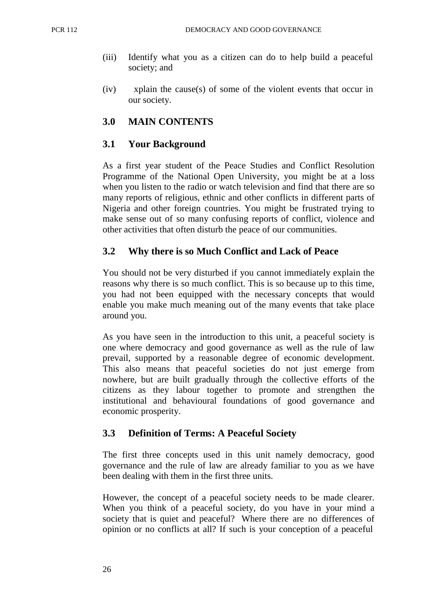- (iii) Identify what you as a citizen can do to help build a peaceful society; and
- (iv) xplain the cause(s) of some of the violent events that occur in our society.

### **3.0 MAIN CONTENTS**

### **3.1 Your Background**

As a first year student of the Peace Studies and Conflict Resolution Programme of the National Open University, you might be at a loss when you listen to the radio or watch television and find that there are so many reports of religious, ethnic and other conflicts in different parts of Nigeria and other foreign countries. You might be frustrated trying to make sense out of so many confusing reports of conflict, violence and other activities that often disturb the peace of our communities.

### **3.2 Why there is so Much Conflict and Lack of Peace**

You should not be very disturbed if you cannot immediately explain the reasons why there is so much conflict. This is so because up to this time, you had not been equipped with the necessary concepts that would enable you make much meaning out of the many events that take place around you.

As you have seen in the introduction to this unit, a peaceful society is one where democracy and good governance as well as the rule of law prevail, supported by a reasonable degree of economic development. This also means that peaceful societies do not just emerge from nowhere, but are built gradually through the collective efforts of the citizens as they labour together to promote and strengthen the institutional and behavioural foundations of good governance and economic prosperity.

### **3.3 Definition of Terms: A Peaceful Society**

The first three concepts used in this unit namely democracy, good governance and the rule of law are already familiar to you as we have been dealing with them in the first three units.

However, the concept of a peaceful society needs to be made clearer. When you think of a peaceful society, do you have in your mind a society that is quiet and peaceful? Where there are no differences of opinion or no conflicts at all? If such is your conception of a peaceful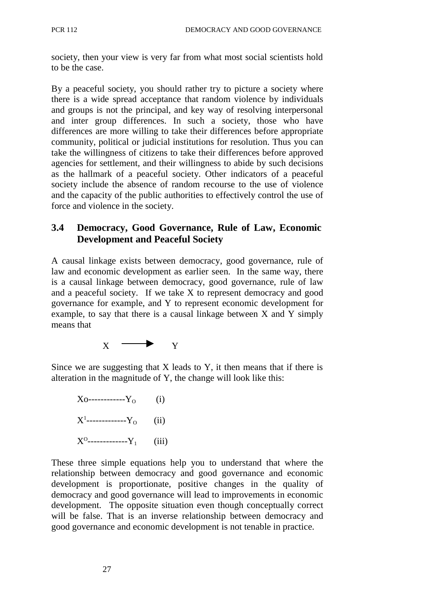society, then your view is very far from what most social scientists hold to be the case.

By a peaceful society, you should rather try to picture a society where there is a wide spread acceptance that random violence by individuals and groups is not the principal, and key way of resolving interpersonal and inter group differences. In such a society, those who have differences are more willing to take their differences before appropriate community, political or judicial institutions for resolution. Thus you can take the willingness of citizens to take their differences before approved agencies for settlement, and their willingness to abide by such decisions as the hallmark of a peaceful society. Other indicators of a peaceful society include the absence of random recourse to the use of violence and the capacity of the public authorities to effectively control the use of force and violence in the society.

## **3.4 Democracy, Good Governance, Rule of Law, Economic Development and Peaceful Society**

A causal linkage exists between democracy, good governance, rule of law and economic development as earlier seen. In the same way, there is a causal linkage between democracy, good governance, rule of law and a peaceful society. If we take X to represent democracy and good governance for example, and Y to represent economic development for example, to say that there is a causal linkage between X and Y simply means that



Since we are suggesting that  $X$  leads to  $Y$ , it then means that if there is alteration in the magnitude of Y, the change will look like this:

 $X_0$ ------------Y<sub>o</sub> (i)  $X^1$ -------------Y<sub>0</sub> (ii)  $X^0$ -------------Y<sub>1</sub> (iii)

These three simple equations help you to understand that where the relationship between democracy and good governance and economic development is proportionate, positive changes in the quality of democracy and good governance will lead to improvements in economic development. The opposite situation even though conceptually correct will be false. That is an inverse relationship between democracy and good governance and economic development is not tenable in practice.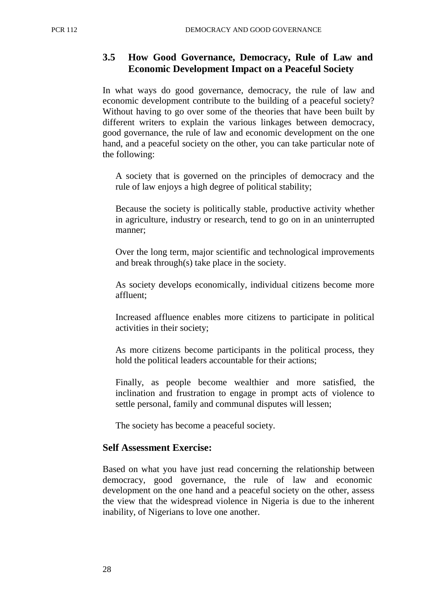## **3.5 How Good Governance, Democracy, Rule of Law and Economic Development Impact on a Peaceful Society**

In what ways do good governance, democracy, the rule of law and economic development contribute to the building of a peaceful society? Without having to go over some of the theories that have been built by different writers to explain the various linkages between democracy, good governance, the rule of law and economic development on the one hand, and a peaceful society on the other, you can take particular note of the following:

A society that is governed on the principles of democracy and the rule of law enjoys a high degree of political stability;

Because the society is politically stable, productive activity whether in agriculture, industry or research, tend to go on in an uninterrupted manner;

Over the long term, major scientific and technological improvements and break through(s) take place in the society.

As society develops economically, individual citizens become more affluent;

Increased affluence enables more citizens to participate in political activities in their society;

As more citizens become participants in the political process, they hold the political leaders accountable for their actions;

Finally, as people become wealthier and more satisfied, the inclination and frustration to engage in prompt acts of violence to settle personal, family and communal disputes will lessen;

The society has become a peaceful society.

### **Self Assessment Exercise:**

Based on what you have just read concerning the relationship between democracy, good governance, the rule of law and economic development on the one hand and a peaceful society on the other, assess the view that the widespread violence in Nigeria is due to the inherent inability, of Nigerians to love one another.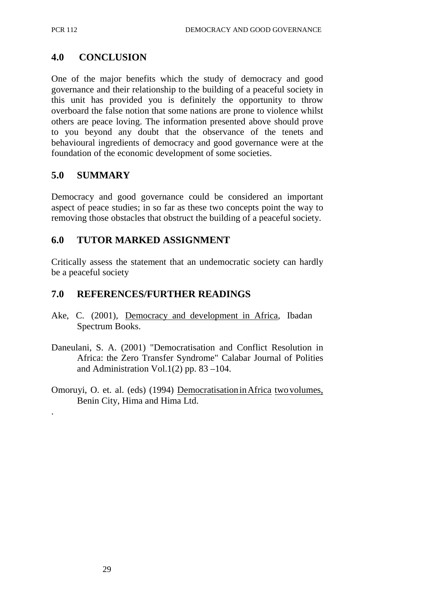### **4.0 CONCLUSION**

One of the major benefits which the study of democracy and good governance and their relationship to the building of a peaceful society in this unit has provided you is definitely the opportunity to throw overboard the false notion that some nations are prone to violence whilst others are peace loving. The information presented above should prove to you beyond any doubt that the observance of the tenets and behavioural ingredients of democracy and good governance were at the foundation of the economic development of some societies.

### **5.0 SUMMARY**

.

Democracy and good governance could be considered an important aspect of peace studies; in so far as these two concepts point the way to removing those obstacles that obstruct the building of a peaceful society.

### **6.0 TUTOR MARKED ASSIGNMENT**

Critically assess the statement that an undemocratic society can hardly be a peaceful society

### **7.0 REFERENCES/FURTHER READINGS**

- Ake, C. (2001), Democracy and development in Africa, Ibadan Spectrum Books.
- Daneulani, S. A. (2001) "Democratisation and Conflict Resolution in Africa: the Zero Transfer Syndrome" Calabar Journal of Polities and Administration Vol.1(2) pp.  $83 - 104$ .
- Omoruyi, O. et. al. (eds) (1994) Democratisation in Africa two volumes, Benin City, Hima and Hima Ltd.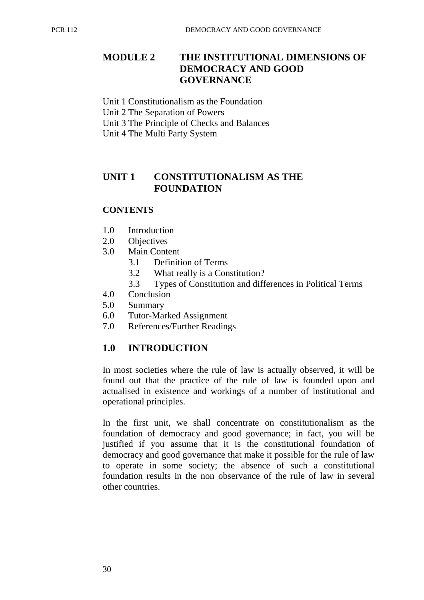# **MODULE 2 THE INSTITUTIONAL DIMENSIONS OF DEMOCRACY AND GOOD GOVERNANCE**

- Unit 1 Constitutionalism as the Foundation
- Unit 2 The Separation of Powers
- Unit 3 The Principle of Checks and Balances
- Unit 4 The Multi Party System

### **UNIT 1 CONSTITUTIONALISM AS THE FOUNDATION**

#### **CONTENTS**

- 1.0 Introduction
- 2.0 Objectives
- 3.0 Main Content
	- 3.1 Definition of Terms
	- 3.2 What really is a Constitution?
	- 3.3 Types of Constitution and differences in Political Terms
- 4.0 Conclusion
- 5.0 Summary
- 6.0 Tutor-Marked Assignment
- 7.0 References/Further Readings

## **1.0 INTRODUCTION**

In most societies where the rule of law is actually observed, it will be found out that the practice of the rule of law is founded upon and actualised in existence and workings of a number of institutional and operational principles.

In the first unit, we shall concentrate on constitutionalism as the foundation of democracy and good governance; in fact, you will be justified if you assume that it is the constitutional foundation of democracy and good governance that make it possible for the rule of law to operate in some society; the absence of such a constitutional foundation results in the non observance of the rule of law in several other countries.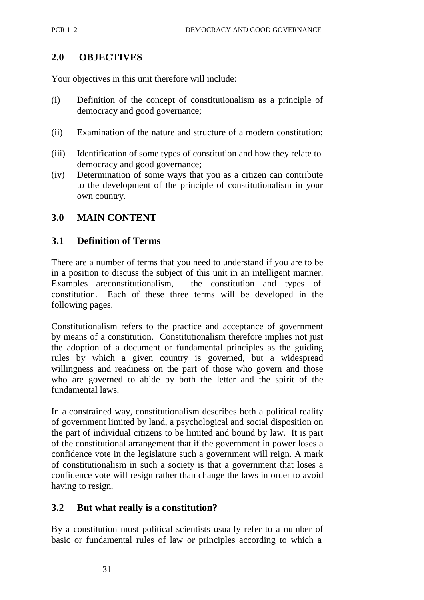## **2.0 OBJECTIVES**

Your objectives in this unit therefore will include:

- (i) Definition of the concept of constitutionalism as a principle of democracy and good governance;
- (ii) Examination of the nature and structure of a modern constitution;
- (iii) Identification of some types of constitution and how they relate to democracy and good governance;
- (iv) Determination of some ways that you as a citizen can contribute to the development of the principle of constitutionalism in your own country.

### **3.0 MAIN CONTENT**

### **3.1 Definition of Terms**

There are a number of terms that you need to understand if you are to be in a position to discuss the subject of this unit in an intelligent manner. Examples are constitutionalism, the constitution and types of constitution. Each of these three terms will be developed in the following pages.

Constitutionalism refers to the practice and acceptance of government by means of a constitution. Constitutionalism therefore implies not just the adoption of a document or fundamental principles as the guiding rules by which a given country is governed, but a widespread willingness and readiness on the part of those who govern and those who are governed to abide by both the letter and the spirit of the fundamental laws.

In a constrained way, constitutionalism describes both a political reality of government limited by land, a psychological and social disposition on the part of individual citizens to be limited and bound by law. It is part of the constitutional arrangement that if the government in power loses a confidence vote in the legislature such a government will reign. A mark of constitutionalism in such a society is that a government that loses a confidence vote will resign rather than change the laws in order to avoid having to resign.

### **3.2 But what really is a constitution?**

By a constitution most political scientists usually refer to a number of basic or fundamental rules of law or principles according to which a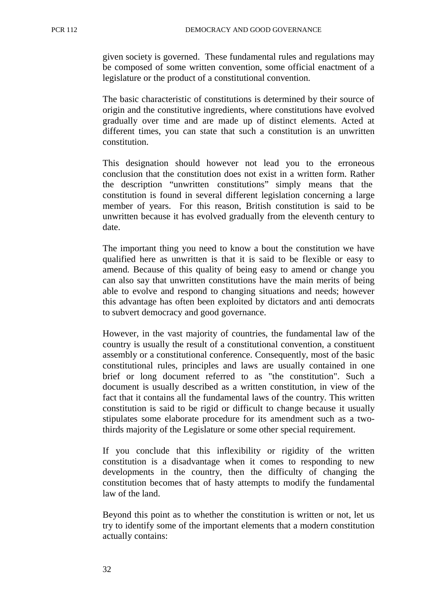given society is governed. These fundamental rules and regulations may be composed of some written convention, some official enactment of a legislature or the product of a constitutional convention.

The basic characteristic of constitutions is determined by their source of origin and the constitutive ingredients, where constitutions have evolved gradually over time and are made up of distinct elements. Acted at different times, you can state that such a constitution is an unwritten constitution.

This designation should however not lead you to the erroneous conclusion that the constitution does not exist in a written form. Rather the description "unwritten constitutions" simply means that the constitution is found in several different legislation concerning a large member of years. For this reason, British constitution is said to be unwritten because it has evolved gradually from the eleventh century to date.

The important thing you need to know a bout the constitution we have qualified here as unwritten is that it is said to be flexible or easy to amend. Because of this quality of being easy to amend or change you can also say that unwritten constitutions have the main merits of being able to evolve and respond to changing situations and needs; however this advantage has often been exploited by dictators and anti democrats to subvert democracy and good governance.

However, in the vast majority of countries, the fundamental law of the country is usually the result of a constitutional convention, a constituent assembly or a constitutional conference. Consequently, most of the basic constitutional rules, principles and laws are usually contained in one brief or long document referred to as "the constitution". Such a document is usually described as a written constitution, in view of the fact that it contains all the fundamental laws of the country. This written constitution is said to be rigid or difficult to change because it usually stipulates some elaborate procedure for its amendment such as a twothirds majority of the Legislature or some other special requirement.

If you conclude that this inflexibility or rigidity of the written constitution is a disadvantage when it comes to responding to new developments in the country, then the difficulty of changing the constitution becomes that of hasty attempts to modify the fundamental law of the land.

Beyond this point as to whether the constitution is written or not, let us try to identify some of the important elements that a modern constitution actually contains: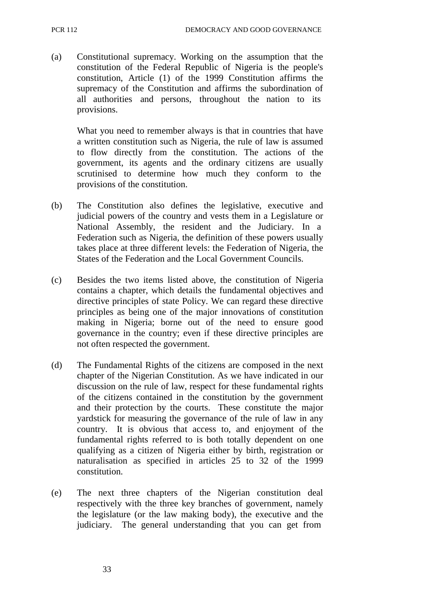(a) Constitutional supremacy. Working on the assumption that the constitution of the Federal Republic of Nigeria is the people's constitution, Article (1) of the 1999 Constitution affirms the supremacy of the Constitution and affirms the subordination of all authorities and persons, throughout the nation to its provisions.

What you need to remember always is that in countries that have a written constitution such as Nigeria, the rule of law is assumed to flow directly from the constitution. The actions of the government, its agents and the ordinary citizens are usually scrutinised to determine how much they conform to the provisions of the constitution.

- (b) The Constitution also defines the legislative, executive and judicial powers of the country and vests them in a Legislature or National Assembly, the resident and the Judiciary. In a Federation such as Nigeria, the definition of these powers usually takes place at three different levels: the Federation of Nigeria, the States of the Federation and the Local Government Councils.
- (c) Besides the two items listed above, the constitution of Nigeria contains a chapter, which details the fundamental objectives and directive principles of state Policy. We can regard these directive principles as being one of the major innovations of constitution making in Nigeria; borne out of the need to ensure good governance in the country; even if these directive principles are not often respected the government.
- (d) The Fundamental Rights of the citizens are composed in the next chapter of the Nigerian Constitution. As we have indicated in our discussion on the rule of law, respect for these fundamental rights of the citizens contained in the constitution by the government and their protection by the courts. These constitute the major yardstick for measuring the governance of the rule of law in any country. It is obvious that access to, and enjoyment of the fundamental rights referred to is both totally dependent on one qualifying as a citizen of Nigeria either by birth, registration or naturalisation as specified in articles 25 to 32 of the 1999 constitution.
- (e) The next three chapters of the Nigerian constitution deal respectively with the three key branches of government, namely the legislature (or the law making body), the executive and the judiciary. The general understanding that you can get from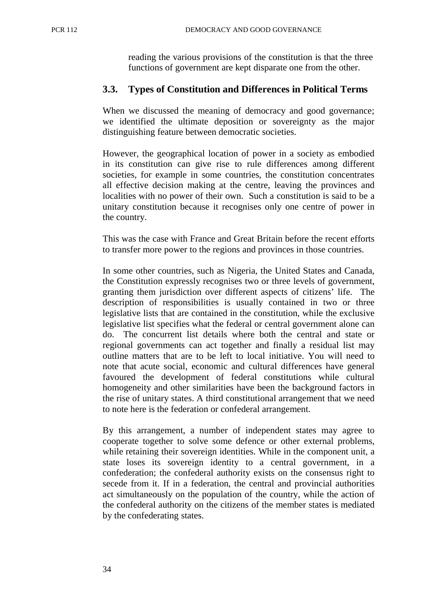reading the various provisions of the constitution is that the three functions of government are kept disparate one from the other.

### **3.3. Types of Constitution and Differences in Political Terms**

When we discussed the meaning of democracy and good governance; we identified the ultimate deposition or sovereignty as the major distinguishing feature between democratic societies.

However, the geographical location of power in a society as embodied in its constitution can give rise to rule differences among different societies, for example in some countries, the constitution concentrates all effective decision making at the centre, leaving the provinces and localities with no power of their own. Such a constitution is said to be a unitary constitution because it recognises only one centre of power in the country.

This was the case with France and Great Britain before the recent efforts to transfer more power to the regions and provinces in those countries.

In some other countries, such as Nigeria, the United States and Canada, the Constitution expressly recognises two or three levels of government, granting them jurisdiction over different aspects of citizens' life. The description of responsibilities is usually contained in two or three legislative lists that are contained in the constitution, while the exclusive legislative list specifies what the federal or central government alone can do. The concurrent list details where both the central and state or regional governments can act together and finally a residual list may outline matters that are to be left to local initiative. You will need to note that acute social, economic and cultural differences have general favoured the development of federal constitutions while cultural homogeneity and other similarities have been the background factors in the rise of unitary states. A third constitutional arrangement that we need to note here is the federation or confederal arrangement.

By this arrangement, a number of independent states may agree to cooperate together to solve some defence or other external problems, while retaining their sovereign identities. While in the component unit, a state loses its sovereign identity to a central government, in a confederation; the confederal authority exists on the consensus right to secede from it. If in a federation, the central and provincial authorities act simultaneously on the population of the country, while the action of the confederal authority on the citizens of the member states is mediated by the confederating states.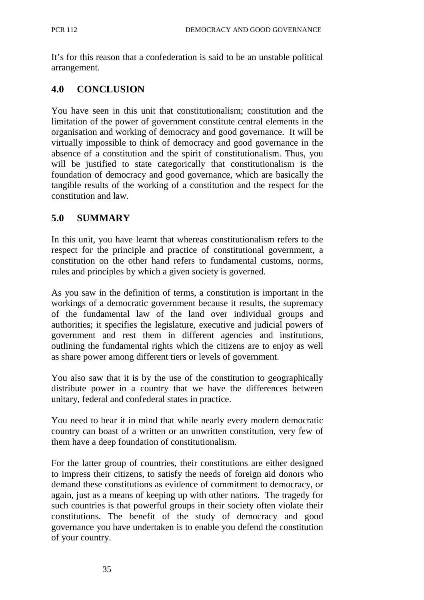It's for this reason that a confederation is said to be an unstable political arrangement.

# **4.0 CONCLUSION**

You have seen in this unit that constitutionalism; constitution and the limitation of the power of government constitute central elements in the organisation and working of democracy and good governance. It will be virtually impossible to think of democracy and good governance in the absence of a constitution and the spirit of constitutionalism. Thus, you will be justified to state categorically that constitutionalism is the foundation of democracy and good governance, which are basically the tangible results of the working of a constitution and the respect for the constitution and law.

## **5.0 SUMMARY**

In this unit, you have learnt that whereas constitutionalism refers to the respect for the principle and practice of constitutional government, a constitution on the other hand refers to fundamental customs, norms, rules and principles by which a given society is governed.

As you saw in the definition of terms, a constitution is important in the workings of a democratic government because it results, the supremacy of the fundamental law of the land over individual groups and authorities; it specifies the legislature, executive and judicial powers of government and rest them in different agencies and institutions, outlining the fundamental rights which the citizens are to enjoy as well as share power among different tiers or levels of government.

You also saw that it is by the use of the constitution to geographically distribute power in a country that we have the differences between unitary, federal and confederal states in practice.

You need to bear it in mind that while nearly every modern democratic country can boast of a written or an unwritten constitution, very few of them have a deep foundation of constitutionalism.

For the latter group of countries, their constitutions are either designed to impress their citizens, to satisfy the needs of foreign aid donors who demand these constitutions as evidence of commitment to democracy, or again, just as a means of keeping up with other nations. The tragedy for such countries is that powerful groups in their society often violate their constitutions. The benefit of the study of democracy and good governance you have undertaken is to enable you defend the constitution of your country.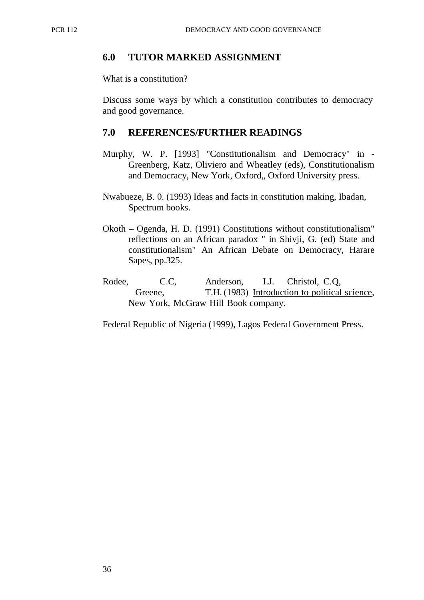### **6.0 TUTOR MARKED ASSIGNMENT**

What is a constitution?

Discuss some ways by which a constitution contributes to democracy and good governance.

#### **7.0 REFERENCES/FURTHER READINGS**

- Murphy, W. P. [1993] "Constitutionalism and Democracy" in Greenberg, Katz, Oliviero and Wheatley (eds), Constitutionalism and Democracy, New York, Oxford,, Oxford University press.
- Nwabueze, B. 0. (1993) Ideas and facts in constitution making, Ibadan, Spectrum books.
- Okoth Ogenda, H. D. (1991) Constitutions without constitutionalism" reflections on an African paradox " in Shivji, G. (ed) State and constitutionalism" An African Debate on Democracy, Harare Sapes, pp.325.
- Rodee, C.C, Anderson, I.J. Christol, C.Q, Greene, T.H. (1983) Introduction to political science, New York, McGraw Hill Book company.

Federal Republic of Nigeria (1999), Lagos Federal Government Press.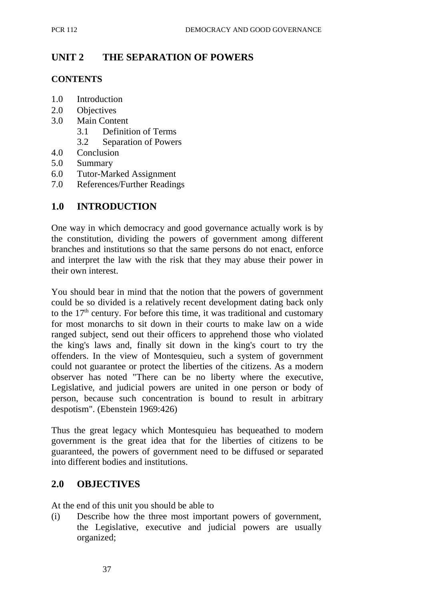## **UNIT 2 THE SEPARATION OF POWERS**

#### **CONTENTS**

- 1.0 Introduction
- 2.0 Objectives
- 3.0 Main Content
	- 3.1 Definition of Terms
	- 3.2 Separation of Powers
- 4.0 Conclusion
- 5.0 Summary
- 6.0 Tutor-Marked Assignment
- 7.0 References/Further Readings

## **1.0 INTRODUCTION**

One way in which democracy and good governance actually work is by the constitution, dividing the powers of government among different branches and institutions so that the same persons do not enact, enforce and interpret the law with the risk that they may abuse their power in their own interest.

You should bear in mind that the notion that the powers of government could be so divided is a relatively recent development dating back only to the  $17<sup>th</sup>$  century. For before this time, it was traditional and customary for most monarchs to sit down in their courts to make law on a wide ranged subject, send out their officers to apprehend those who violated the king's laws and, finally sit down in the king's court to try the offenders. In the view of Montesquieu, such a system of government could not guarantee or protect the liberties of the citizens. As a modern observer has noted "There can be no liberty where the executive, Legislative, and judicial powers are united in one person or body of person, because such concentration is bound to result in arbitrary despotism". (Ebenstein 1969:426)

Thus the great legacy which Montesquieu has bequeathed to modern government is the great idea that for the liberties of citizens to be guaranteed, the powers of government need to be diffused or separated into different bodies and institutions.

### **2.0 OBJECTIVES**

At the end of this unit you should be able to

(i) Describe how the three most important powers of government, the Legislative, executive and judicial powers are usually organized;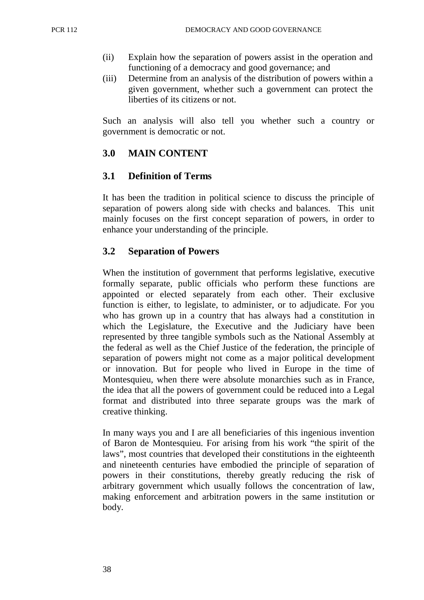- (ii) Explain how the separation of powers assist in the operation and functioning of a democracy and good governance; and
- (iii) Determine from an analysis of the distribution of powers within a given government, whether such a government can protect the liberties of its citizens or not.

Such an analysis will also tell you whether such a country or government is democratic or not.

# **3.0 MAIN CONTENT**

## **3.1 Definition of Terms**

It has been the tradition in political science to discuss the principle of separation of powers along side with checks and balances. This unit mainly focuses on the first concept separation of powers, in order to enhance your understanding of the principle.

### **3.2 Separation of Powers**

When the institution of government that performs legislative, executive formally separate, public officials who perform these functions are appointed or elected separately from each other. Their exclusive function is either, to legislate, to administer, or to adjudicate. For you who has grown up in a country that has always had a constitution in which the Legislature, the Executive and the Judiciary have been represented by three tangible symbols such as the National Assembly at the federal as well as the Chief Justice of the federation, the principle of separation of powers might not come as a major political development or innovation. But for people who lived in Europe in the time of Montesquieu, when there were absolute monarchies such as in France, the idea that all the powers of government could be reduced into a Legal format and distributed into three separate groups was the mark of creative thinking.

In many ways you and I are all beneficiaries of this ingenious invention of Baron de Montesquieu. For arising from his work "the spirit of the laws", most countries that developed their constitutions in the eighteenth and nineteenth centuries have embodied the principle of separation of powers in their constitutions, thereby greatly reducing the risk of arbitrary government which usually follows the concentration of law, making enforcement and arbitration powers in the same institution or body.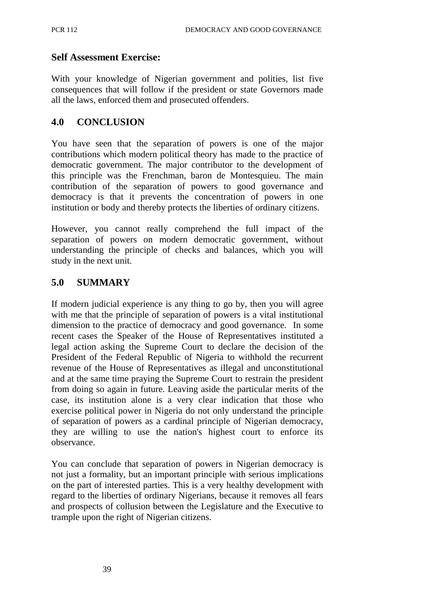### **Self Assessment Exercise:**

With your knowledge of Nigerian government and polities, list five consequences that will follow if the president or state Governors made all the laws, enforced them and prosecuted offenders.

## **4.0 CONCLUSION**

You have seen that the separation of powers is one of the major contributions which modern political theory has made to the practice of democratic government. The major contributor to the development of this principle was the Frenchman, baron de Montesquieu. The main contribution of the separation of powers to good governance and democracy is that it prevents the concentration of powers in one institution or body and thereby protects the liberties of ordinary citizens.

However, you cannot really comprehend the full impact of the separation of powers on modern democratic government, without understanding the principle of checks and balances, which you will study in the next unit.

## **5.0 SUMMARY**

If modern judicial experience is any thing to go by, then you will agree with me that the principle of separation of powers is a vital institutional dimension to the practice of democracy and good governance. In some recent cases the Speaker of the House of Representatives instituted a legal action asking the Supreme Court to declare the decision of the President of the Federal Republic of Nigeria to withhold the recurrent revenue of the House of Representatives as illegal and unconstitutional and at the same time praying the Supreme Court to restrain the president from doing so again in future. Leaving aside the particular merits of the case, its institution alone is a very clear indication that those who exercise political power in Nigeria do not only understand the principle of separation of powers as a cardinal principle of Nigerian democracy, they are willing to use the nation's highest court to enforce its observance.

You can conclude that separation of powers in Nigerian democracy is not just a formality, but an important principle with serious implications on the part of interested parties. This is a very healthy development with regard to the liberties of ordinary Nigerians, because it removes all fears and prospects of collusion between the Legislature and the Executive to trample upon the right of Nigerian citizens.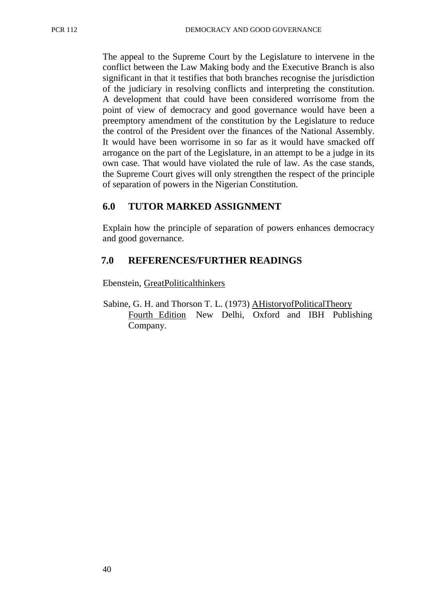The appeal to the Supreme Court by the Legislature to intervene in the conflict between the Law Making body and the Executive Branch is also significant in that it testifies that both branches recognise the jurisdiction of the judiciary in resolving conflicts and interpreting the constitution. A development that could have been considered worrisome from the point of view of democracy and good governance would have been a preemptory amendment of the constitution by the Legislature to reduce the control of the President over the finances of the National Assembly. It would have been worrisome in so far as it would have smacked off arrogance on the part of the Legislature, in an attempt to be a judge in its own case. That would have violated the rule of law. As the case stands, the Supreme Court gives will only strengthen the respect of the principle of separation of powers in the Nigerian Constitution.

### **6.0 TUTOR MARKED ASSIGNMENT**

Explain how the principle of separation of powers enhances democracy and good governance.

### **7.0 REFERENCES/FURTHER READINGS**

Ebenstein, Great Political thinkers

Sabine, G. H. and Thorson T. L. (1973) A History of Political Theory Fourth Edition New Delhi, Oxford and IBH Publishing Company.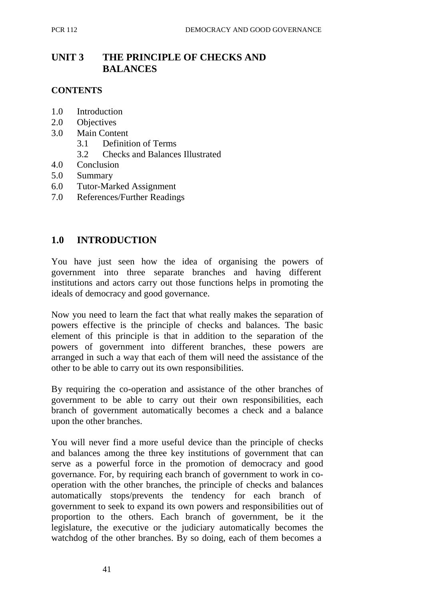# **UNIT 3 THE PRINCIPLE OF CHECKS AND BALANCES**

### **CONTENTS**

- 1.0 Introduction
- 2.0 Objectives
- 3.0 Main Content
	- 3.1 Definition of Terms
	- 3.2 Checks and Balances Illustrated
- 4.0 Conclusion
- 5.0 Summary
- 6.0 Tutor-Marked Assignment
- 7.0 References/Further Readings

### **1.0 INTRODUCTION**

You have just seen how the idea of organising the powers of government into three separate branches and having different institutions and actors carry out those functions helps in promoting the ideals of democracy and good governance.

Now you need to learn the fact that what really makes the separation of powers effective is the principle of checks and balances. The basic element of this principle is that in addition to the separation of the powers of government into different branches, these powers are arranged in such a way that each of them will need the assistance of the other to be able to carry out its own responsibilities.

By requiring the co-operation and assistance of the other branches of government to be able to carry out their own responsibilities, each branch of government automatically becomes a check and a balance upon the other branches.

You will never find a more useful device than the principle of checks and balances among the three key institutions of government that can serve as a powerful force in the promotion of democracy and good governance. For, by requiring each branch of government to work in cooperation with the other branches, the principle of checks and balances automatically stops/prevents the tendency for each branch of government to seek to expand its own powers and responsibilities out of proportion to the others. Each branch of government, be it the legislature, the executive or the judiciary automatically becomes the watchdog of the other branches. By so doing, each of them becomes a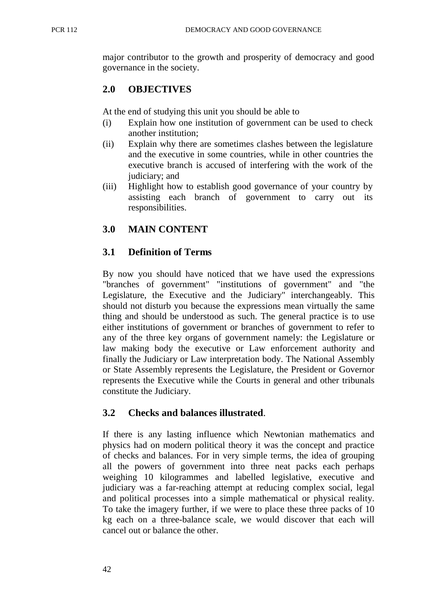major contributor to the growth and prosperity of democracy and good governance in the society.

## **2.0 OBJECTIVES**

At the end of studying this unit you should be able to

- (i) Explain how one institution of government can be used to check another institution;
- (ii) Explain why there are sometimes clashes between the legislature and the executive in some countries, while in other countries the executive branch is accused of interfering with the work of the judiciary; and
- (iii) Highlight how to establish good governance of your country by assisting each branch of government to carry out its responsibilities.

# **3.0 MAIN CONTENT**

### **3.1 Definition of Terms**

By now you should have noticed that we have used the expressions "branches of government" "institutions of government" and "the Legislature, the Executive and the Judiciary" interchangeably. This should not disturb you because the expressions mean virtually the same thing and should be understood as such. The general practice is to use either institutions of government or branches of government to refer to any of the three key organs of government namely: the Legislature or law making body the executive or Law enforcement authority and finally the Judiciary or Law interpretation body. The National Assembly or State Assembly represents the Legislature, the President or Governor represents the Executive while the Courts in general and other tribunals constitute the Judiciary.

### **3.2 Checks and balances illustrated**.

If there is any lasting influence which Newtonian mathematics and physics had on modern political theory it was the concept and practice of checks and balances. For in very simple terms, the idea of grouping all the powers of government into three neat packs each perhaps weighing 10 kilogrammes and labelled legislative, executive and judiciary was a far-reaching attempt at reducing complex social, legal and political processes into a simple mathematical or physical reality. To take the imagery further, if we were to place these three packs of 10 kg each on a three-balance scale, we would discover that each will cancel out or balance the other.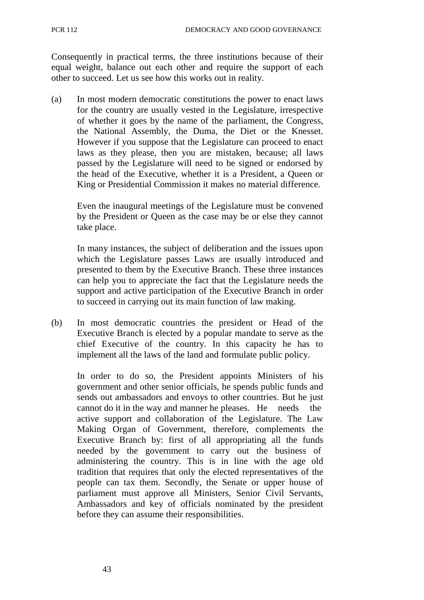Consequently in practical terms, the three institutions because of their equal weight, balance out each other and require the support of each other to succeed. Let us see how this works out in reality.

(a) In most modern democratic constitutions the power to enact laws for the country are usually vested in the Legislature, irrespective of whether it goes by the name of the parliament, the Congress, the National Assembly, the Duma, the Diet or the Knesset. However if you suppose that the Legislature can proceed to enact laws as they please, then you are mistaken, because; all laws passed by the Legislature will need to be signed or endorsed by the head of the Executive, whether it is a President, a Queen or King or Presidential Commission it makes no material difference.

Even the inaugural meetings of the Legislature must be convened by the President or Queen as the case may be or else they cannot take place.

In many instances, the subject of deliberation and the issues upon which the Legislature passes Laws are usually introduced and presented to them by the Executive Branch. These three instances can help you to appreciate the fact that the Legislature needs the support and active participation of the Executive Branch in order to succeed in carrying out its main function of law making.

(b) In most democratic countries the president or Head of the Executive Branch is elected by a popular mandate to serve as the chief Executive of the country. In this capacity he has to implement all the laws of the land and formulate public policy.

In order to do so, the President appoints Ministers of his government and other senior officials, he spends public funds and sends out ambassadors and envoys to other countries. But he just cannot do it in the way and manner he pleases. He needs the active support and collaboration of the Legislature. The Law Making Organ of Government, therefore, complements the Executive Branch by: first of all appropriating all the funds needed by the government to carry out the business of administering the country. This is in line with the age old tradition that requires that only the elected representatives of the people can tax them. Secondly, the Senate or upper house of parliament must approve all Ministers, Senior Civil Servants, Ambassadors and key of officials nominated by the president before they can assume their responsibilities.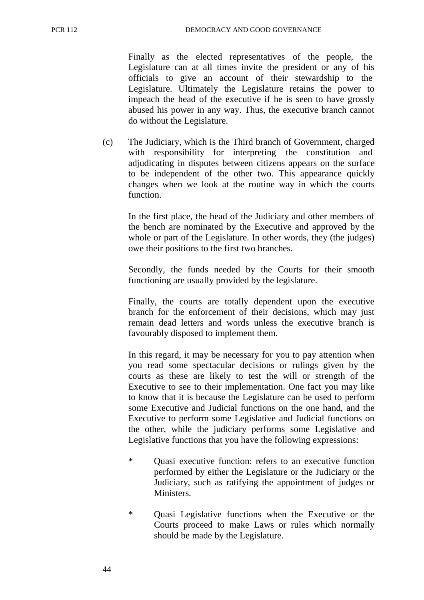Finally as the elected representatives of the people, the Legislature can at all times invite the president or any of his officials to give an account of their stewardship to the Legislature. Ultimately the Legislature retains the power to impeach the head of the executive if he is seen to have grossly abused his power in any way. Thus, the executive branch cannot do without the Legislature.

(c) The Judiciary, which is the Third branch of Government, charged with responsibility for interpreting the constitution and adjudicating in disputes between citizens appears on the surface to be independent of the other two. This appearance quickly changes when we look at the routine way in which the courts function.

In the first place, the head of the Judiciary and other members of the bench are nominated by the Executive and approved by the whole or part of the Legislature. In other words, they (the judges) owe their positions to the first two branches.

Secondly, the funds needed by the Courts for their smooth functioning are usually provided by the legislature.

Finally, the courts are totally dependent upon the executive branch for the enforcement of their decisions, which may just remain dead letters and words unless the executive branch is favourably disposed to implement them.

In this regard, it may be necessary for you to pay attention when you read some spectacular decisions or rulings given by the courts as these are likely to test the will or strength of the Executive to see to their implementation. One fact you may like to know that it is because the Legislature can be used to perform some Executive and Judicial functions on the one hand, and the Executive to perform some Legislative and Judicial functions on the other, while the judiciary performs some Legislative and Legislative functions that you have the following expressions:

- \* Quasi executive function: refers to an executive function performed by either the Legislature or the Judiciary or the Judiciary, such as ratifying the appointment of judges or **Ministers**
- \* Quasi Legislative functions when the Executive or the Courts proceed to make Laws or rules which normally should be made by the Legislature.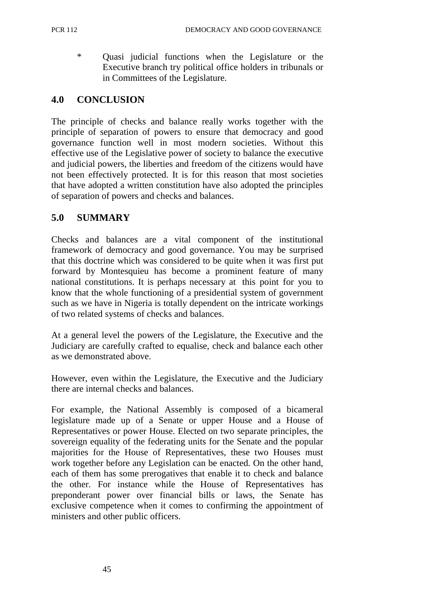\* Quasi judicial functions when the Legislature or the Executive branch try political office holders in tribunals or in Committees of the Legislature.

## **4.0 CONCLUSION**

The principle of checks and balance really works together with the principle of separation of powers to ensure that democracy and good governance function well in most modern societies. Without this effective use of the Legislative power of society to balance the executive and judicial powers, the liberties and freedom of the citizens would have not been effectively protected. It is for this reason that most societies that have adopted a written constitution have also adopted the principles of separation of powers and checks and balances.

### **5.0 SUMMARY**

Checks and balances are a vital component of the institutional framework of democracy and good governance. You may be surprised that this doctrine which was considered to be quite when it was first put forward by Montesquieu has become a prominent feature of many national constitutions. It is perhaps necessary at this point for you to know that the whole functioning of a presidential system of government such as we have in Nigeria is totally dependent on the intricate workings of two related systems of checks and balances.

At a general level the powers of the Legislature, the Executive and the Judiciary are carefully crafted to equalise, check and balance each other as we demonstrated above.

However, even within the Legislature, the Executive and the Judiciary there are internal checks and balances.

For example, the National Assembly is composed of a bicameral legislature made up of a Senate or upper House and a House of Representatives or power House. Elected on two separate principles, the sovereign equality of the federating units for the Senate and the popular majorities for the House of Representatives, these two Houses must work together before any Legislation can be enacted. On the other hand, each of them has some prerogatives that enable it to check and balance the other. For instance while the House of Representatives has preponderant power over financial bills or laws, the Senate has exclusive competence when it comes to confirming the appointment of ministers and other public officers.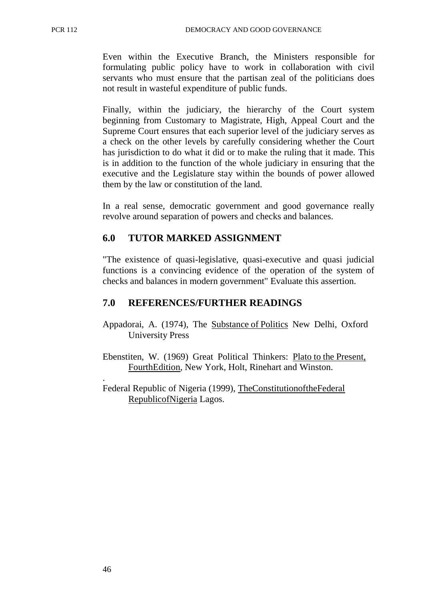Even within the Executive Branch, the Ministers responsible for formulating public policy have to work in collaboration with civil servants who must ensure that the partisan zeal of the politicians does not result in wasteful expenditure of public funds.

Finally, within the judiciary, the hierarchy of the Court system beginning from Customary to Magistrate, High, Appeal Court and the Supreme Court ensures that each superior level of the judiciary serves as a check on the other levels by carefully considering whether the Court has jurisdiction to do what it did or to make the ruling that it made. This is in addition to the function of the whole judiciary in ensuring that the executive and the Legislature stay within the bounds of power allowed them by the law or constitution of the land.

In a real sense, democratic government and good governance really revolve around separation of powers and checks and balances.

### **6.0 TUTOR MARKED ASSIGNMENT**

"The existence of quasi-legislative, quasi-executive and quasi judicial functions is a convincing evidence of the operation of the system of checks and balances in modern government" Evaluate this assertion.

#### **7.0 REFERENCES/FURTHER READINGS**

- Appadorai, A. (1974), The Substance of Politics New Delhi, Oxford University Press
- Ebenstiten, W. (1969) Great Political Thinkers: Plato to the Present, Fourth Edition, New York, Holt, Rinehart and Winston.
- Federal Republic of Nigeria (1999), The Constitution of the Federal Republic of Nigeria Lagos.

.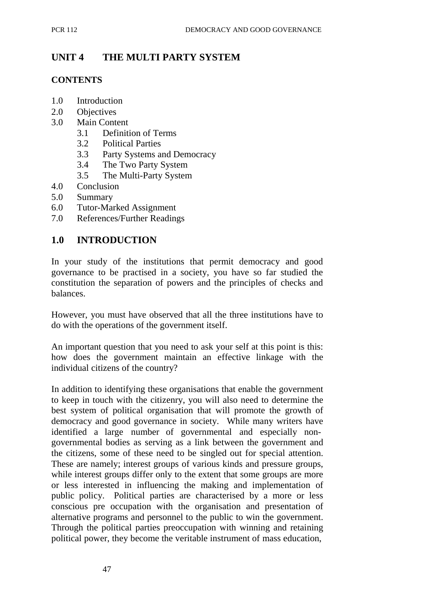# **UNIT 4 THE MULTI PARTY SYSTEM**

#### **CONTENTS**

- 1.0 Introduction
- 2.0 Objectives
- 3.0 Main Content
	- 3.1 Definition of Terms
	- 3.2 Political Parties
	- 3.3 Party Systems and Democracy
	- 3.4 The Two Party System
	- 3.5 The Multi-Party System
- 4.0 Conclusion
- 5.0 Summary
- 6.0 Tutor-Marked Assignment
- 7.0 References/Further Readings

### **1.0 INTRODUCTION**

In your study of the institutions that permit democracy and good governance to be practised in a society, you have so far studied the constitution the separation of powers and the principles of checks and balances.

However, you must have observed that all the three institutions have to do with the operations of the government itself.

An important question that you need to ask your self at this point is this: how does the government maintain an effective linkage with the individual citizens of the country?

In addition to identifying these organisations that enable the government to keep in touch with the citizenry, you will also need to determine the best system of political organisation that will promote the growth of democracy and good governance in society. While many writers have identified a large number of governmental and especially nongovernmental bodies as serving as a link between the government and the citizens, some of these need to be singled out for special attention. These are namely; interest groups of various kinds and pressure groups, while interest groups differ only to the extent that some groups are more or less interested in influencing the making and implementation of public policy. Political parties are characterised by a more or less conscious pre occupation with the organisation and presentation of alternative programs and personnel to the public to win the government. Through the political parties preoccupation with winning and retaining political power, they become the veritable instrument of mass education,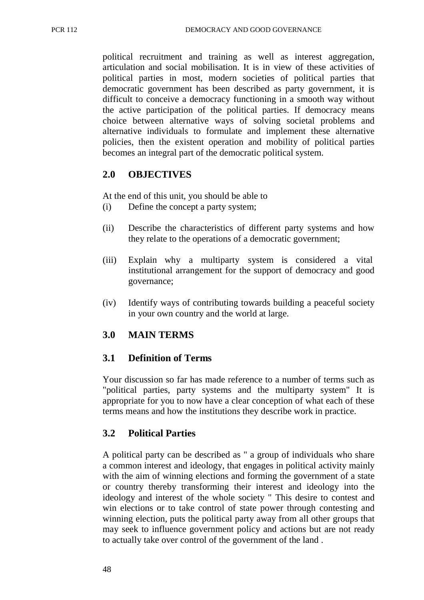political recruitment and training as well as interest aggregation, articulation and social mobilisation. It is in view of these activities of political parties in most, modern societies of political parties that democratic government has been described as party government, it is difficult to conceive a democracy functioning in a smooth way without the active participation of the political parties. If democracy means choice between alternative ways of solving societal problems and alternative individuals to formulate and implement these alternative policies, then the existent operation and mobility of political parties becomes an integral part of the democratic political system.

### **2.0 OBJECTIVES**

At the end of this unit, you should be able to

- (i) Define the concept a party system;
- (ii) Describe the characteristics of different party systems and how they relate to the operations of a democratic government;
- (iii) Explain why a multiparty system is considered a vital institutional arrangement for the support of democracy and good governance;
- (iv) Identify ways of contributing towards building a peaceful society in your own country and the world at large.

## **3.0 MAIN TERMS**

## **3.1 Definition of Terms**

Your discussion so far has made reference to a number of terms such as "political parties, party systems and the multiparty system" It is appropriate for you to now have a clear conception of what each of these terms means and how the institutions they describe work in practice.

## **3.2 Political Parties**

A political party can be described as " a group of individuals who share a common interest and ideology, that engages in political activity mainly with the aim of winning elections and forming the government of a state or country thereby transforming their interest and ideology into the ideology and interest of the whole society " This desire to contest and win elections or to take control of state power through contesting and winning election, puts the political party away from all other groups that may seek to influence government policy and actions but are not ready to actually take over control of the government of the land .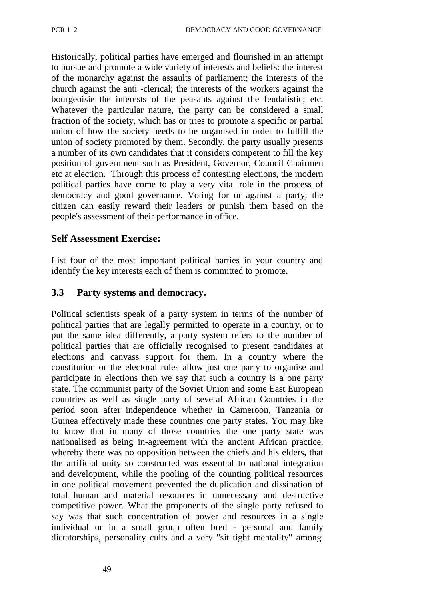Historically, political parties have emerged and flourished in an attempt to pursue and promote a wide variety of interests and beliefs: the interest of the monarchy against the assaults of parliament; the interests of the church against the anti -clerical; the interests of the workers against the bourgeoisie the interests of the peasants against the feudalistic; etc. Whatever the particular nature, the party can be considered a small fraction of the society, which has or tries to promote a specific or partial union of how the society needs to be organised in order to fulfill the union of society promoted by them. Secondly, the party usually presents a number of its own candidates that it considers competent to fill the key position of government such as President, Governor, Council Chairmen etc at election. Through this process of contesting elections, the modern political parties have come to play a very vital role in the process of democracy and good governance. Voting for or against a party, the citizen can easily reward their leaders or punish them based on the people's assessment of their performance in office.

#### **Self Assessment Exercise:**

List four of the most important political parties in your country and identify the key interests each of them is committed to promote.

### **3.3 Party systems and democracy.**

Political scientists speak of a party system in terms of the number of political parties that are legally permitted to operate in a country, or to put the same idea differently, a party system refers to the number of political parties that are officially recognised to present candidates at elections and canvass support for them. In a country where the constitution or the electoral rules allow just one party to organise and participate in elections then we say that such a country is a one party state. The communist party of the Soviet Union and some East European countries as well as single party of several African Countries in the period soon after independence whether in Cameroon, Tanzania or Guinea effectively made these countries one party states. You may like to know that in many of those countries the one party state was nationalised as being in-agreement with the ancient African practice, whereby there was no opposition between the chiefs and his elders, that the artificial unity so constructed was essential to national integration and development, while the pooling of the counting political resources in one political movement prevented the duplication and dissipation of total human and material resources in unnecessary and destructive competitive power. What the proponents of the single party refused to say was that such concentration of power and resources in a single individual or in a small group often bred - personal and family dictatorships, personality cults and a very "sit tight mentality" among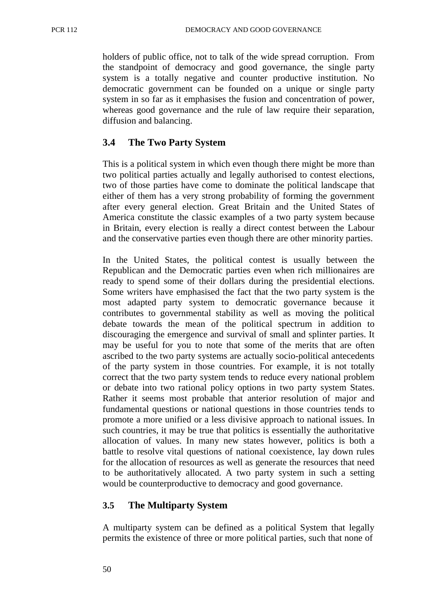holders of public office, not to talk of the wide spread corruption. From the standpoint of democracy and good governance, the single party system is a totally negative and counter productive institution. No democratic government can be founded on a unique or single party system in so far as it emphasises the fusion and concentration of power, whereas good governance and the rule of law require their separation, diffusion and balancing.

## **3.4 The Two Party System**

This is a political system in which even though there might be more than two political parties actually and legally authorised to contest elections, two of those parties have come to dominate the political landscape that either of them has a very strong probability of forming the government after every general election. Great Britain and the United States of America constitute the classic examples of a two party system because in Britain, every election is really a direct contest between the Labour and the conservative parties even though there are other minority parties.

In the United States, the political contest is usually between the Republican and the Democratic parties even when rich millionaires are ready to spend some of their dollars during the presidential elections. Some writers have emphasised the fact that the two party system is the most adapted party system to democratic governance because it contributes to governmental stability as well as moving the political debate towards the mean of the political spectrum in addition to discouraging the emergence and survival of small and splinter parties. It may be useful for you to note that some of the merits that are often ascribed to the two party systems are actually socio-political antecedents of the party system in those countries. For example, it is not totally correct that the two party system tends to reduce every national problem or debate into two rational policy options in two party system States. Rather it seems most probable that anterior resolution of major and fundamental questions or national questions in those countries tends to promote a more unified or a less divisive approach to national issues. In such countries, it may be true that politics is essentially the authoritative allocation of values. In many new states however, politics is both a battle to resolve vital questions of national coexistence, lay down rules for the allocation of resources as well as generate the resources that need to be authoritatively allocated. A two party system in such a setting would be counterproductive to democracy and good governance.

### **3.5 The Multiparty System**

A multiparty system can be defined as a political System that legally permits the existence of three or more political parties, such that none of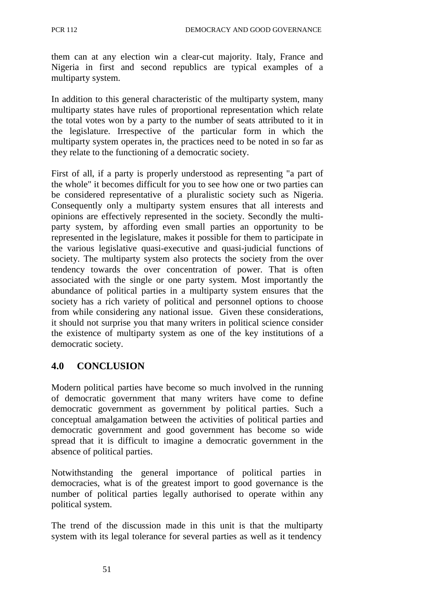them can at any election win a clear-cut majority. Italy, France and Nigeria in first and second republics are typical examples of a multiparty system.

In addition to this general characteristic of the multiparty system, many multiparty states have rules of proportional representation which relate the total votes won by a party to the number of seats attributed to it in the legislature. Irrespective of the particular form in which the multiparty system operates in, the practices need to be noted in so far as they relate to the functioning of a democratic society.

First of all, if a party is properly understood as representing "a part of the whole" it becomes difficult for you to see how one or two parties can be considered representative of a pluralistic society such as Nigeria. Consequently only a multiparty system ensures that all interests and opinions are effectively represented in the society. Secondly the multiparty system, by affording even small parties an opportunity to be represented in the legislature, makes it possible for them to participate in the various legislative quasi-executive and quasi-judicial functions of society. The multiparty system also protects the society from the over tendency towards the over concentration of power. That is often associated with the single or one party system. Most importantly the abundance of political parties in a multiparty system ensures that the society has a rich variety of political and personnel options to choose from while considering any national issue. Given these considerations, it should not surprise you that many writers in political science consider the existence of multiparty system as one of the key institutions of a democratic society.

## **4.0 CONCLUSION**

Modern political parties have become so much involved in the running of democratic government that many writers have come to define democratic government as government by political parties. Such a conceptual amalgamation between the activities of political parties and democratic government and good government has become so wide spread that it is difficult to imagine a democratic government in the absence of political parties.

Notwithstanding the general importance of political parties in democracies, what is of the greatest import to good governance is the number of political parties legally authorised to operate within any political system.

The trend of the discussion made in this unit is that the multiparty system with its legal tolerance for several parties as well as it tendency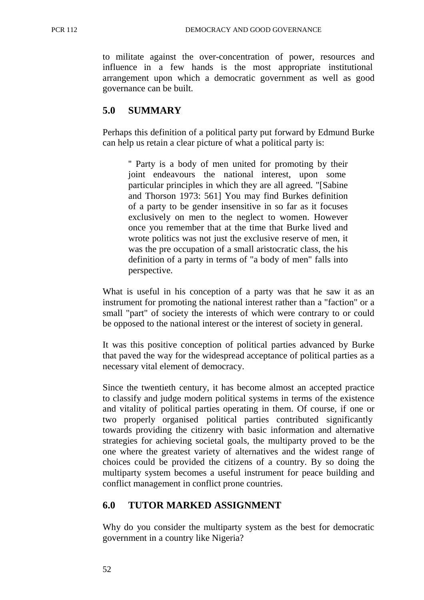to militate against the over-concentration of power, resources and influence in a few hands is the most appropriate institutional arrangement upon which a democratic government as well as good governance can be built.

### **5.0 SUMMARY**

Perhaps this definition of a political party put forward by Edmund Burke can help us retain a clear picture of what a political party is:

'' Party is a body of men united for promoting by their joint endeavours the national interest, upon some particular principles in which they are all agreed. "[Sabine and Thorson 1973: 561] You may find Burkes definition of a party to be gender insensitive in so far as it focuses exclusively on men to the neglect to women. However once you remember that at the time that Burke lived and wrote politics was not just the exclusive reserve of men, it was the pre occupation of a small aristocratic class, the his definition of a party in terms of "a body of men" falls into perspective.

What is useful in his conception of a party was that he saw it as an instrument for promoting the national interest rather than a "faction" or a small "part" of society the interests of which were contrary to or could be opposed to the national interest or the interest of society in general.

It was this positive conception of political parties advanced by Burke that paved the way for the widespread acceptance of political parties as a necessary vital element of democracy.

Since the twentieth century, it has become almost an accepted practice to classify and judge modern political systems in terms of the existence and vitality of political parties operating in them. Of course, if one or two properly organised political parties contributed significantly towards providing the citizenry with basic information and alternative strategies for achieving societal goals, the multiparty proved to be the one where the greatest variety of alternatives and the widest range of choices could be provided the citizens of a country. By so doing the multiparty system becomes a useful instrument for peace building and conflict management in conflict prone countries.

### **6.0 TUTOR MARKED ASSIGNMENT**

Why do you consider the multiparty system as the best for democratic government in a country like Nigeria?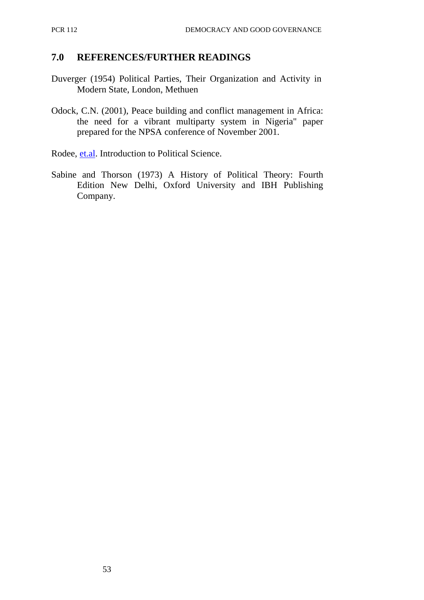### **7.0 REFERENCES/FURTHER READINGS**

- Duverger (1954) Political Parties, Their Organization and Activity in Modern State, London, Methuen
- Odock, C.N. (2001), Peace building and conflict management in Africa: the need for a vibrant multiparty system in Nigeria" paper prepared for the NPSA conference of November 2001.
- Rodee, et.al. Introduction to Political Science.
- Sabine and Thorson (1973) A History of Political Theory: Fourth Edition New Delhi, Oxford University and IBH Publishing Company.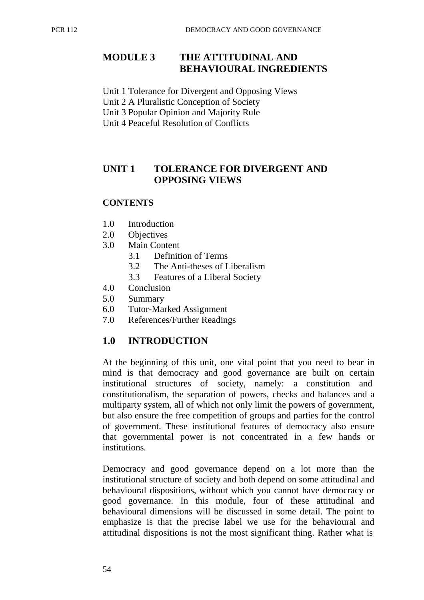## **MODULE 3 THE ATTITUDINAL AND BEHAVIOURAL INGREDIENTS**

Unit 1 Tolerance for Divergent and Opposing Views

Unit 2 A Pluralistic Conception of Society

Unit 3 Popular Opinion and Majority Rule

Unit 4 Peaceful Resolution of Conflicts

## **UNIT 1 TOLERANCE FOR DIVERGENT AND OPPOSING VIEWS**

#### **CONTENTS**

- 1.0 Introduction
- 2.0 Objectives
- 3.0 Main Content
	- 3.1 Definition of Terms
	- 3.2 The Anti-theses of Liberalism
	- 3.3 Features of a Liberal Society
- 4.0 Conclusion
- 5.0 Summary
- 6.0 Tutor-Marked Assignment
- 7.0 References/Further Readings

### **1.0 INTRODUCTION**

At the beginning of this unit, one vital point that you need to bear in mind is that democracy and good governance are built on certain institutional structures of society, namely: a constitution and constitutionalism, the separation of powers, checks and balances and a multiparty system, all of which not only limit the powers of government, but also ensure the free competition of groups and parties for the control of government. These institutional features of democracy also ensure that governmental power is not concentrated in a few hands or institutions.

Democracy and good governance depend on a lot more than the institutional structure of society and both depend on some attitudinal and behavioural dispositions, without which you cannot have democracy or good governance. In this module, four of these attitudinal and behavioural dimensions will be discussed in some detail. The point to emphasize is that the precise label we use for the behavioural and attitudinal dispositions is not the most significant thing. Rather what is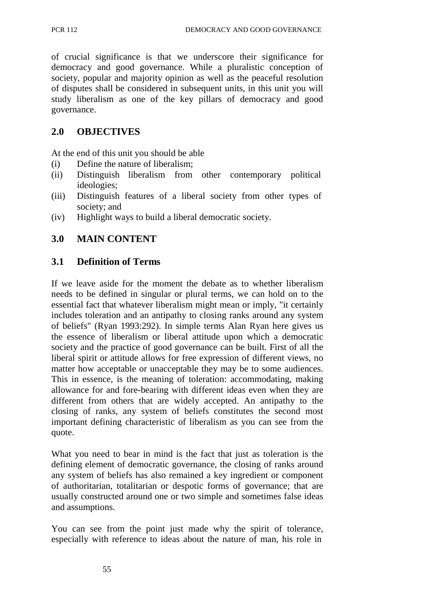of crucial significance is that we underscore their significance for democracy and good governance. While a pluralistic conception of society, popular and majority opinion as well as the peaceful resolution of disputes shall be considered in subsequent units, in this unit you will study liberalism as one of the key pillars of democracy and good governance.

### **2.0 OBJECTIVES**

At the end of this unit you should be able

- (i) Define the nature of liberalism;
- (ii) Distinguish liberalism from other contemporary political ideologies;
- (iii) Distinguish features of a liberal society from other types of society; and
- (iv) Highlight ways to build a liberal democratic society.

## **3.0 MAIN CONTENT**

#### **3.1 Definition of Terms**

If we leave aside for the moment the debate as to whether liberalism needs to be defined in singular or plural terms, we can hold on to the essential fact that whatever liberalism might mean or imply, "it certainly includes toleration and an antipathy to closing ranks around any system of beliefs" (Ryan 1993:292). In simple terms Alan Ryan here gives us the essence of liberalism or liberal attitude upon which a democratic society and the practice of good governance can be built. First of all the liberal spirit or attitude allows for free expression of different views, no matter how acceptable or unacceptable they may be to some audiences. This in essence, is the meaning of toleration: accommodating, making allowance for and fore-bearing with different ideas even when they are different from others that are widely accepted. An antipathy to the closing of ranks, any system of beliefs constitutes the second most important defining characteristic of liberalism as you can see from the quote.

What you need to bear in mind is the fact that just as toleration is the defining element of democratic governance, the closing of ranks around any system of beliefs has also remained a key ingredient or component of authoritarian, totalitarian or despotic forms of governance; that are usually constructed around one or two simple and sometimes false ideas and assumptions.

You can see from the point just made why the spirit of tolerance, especially with reference to ideas about the nature of man, his role in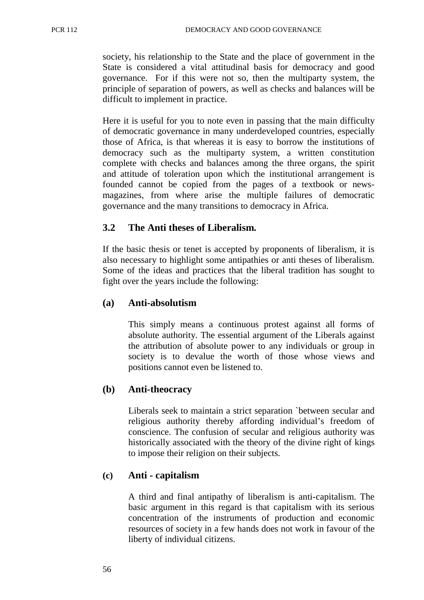society, his relationship to the State and the place of government in the State is considered a vital attitudinal basis for democracy and good governance. For if this were not so, then the multiparty system, the principle of separation of powers, as well as checks and balances will be difficult to implement in practice.

Here it is useful for you to note even in passing that the main difficulty of democratic governance in many underdeveloped countries, especially those of Africa, is that whereas it is easy to borrow the institutions of democracy such as the multiparty system, a written constitution complete with checks and balances among the three organs, the spirit and attitude of toleration upon which the institutional arrangement is founded cannot be copied from the pages of a textbook or newsmagazines, from where arise the multiple failures of democratic governance and the many transitions to democracy in Africa.

### **3.2 The Anti theses of Liberalism.**

If the basic thesis or tenet is accepted by proponents of liberalism, it is also necessary to highlight some antipathies or anti theses of liberalism. Some of the ideas and practices that the liberal tradition has sought to fight over the years include the following:

#### **(a) Anti-absolutism**

This simply means a continuous protest against all forms of absolute authority. The essential argument of the Liberals against the attribution of absolute power to any individuals or group in society is to devalue the worth of those whose views and positions cannot even be listened to.

#### **(b) Anti-theocracy**

Liberals seek to maintain a strict separation `between secular and religious authority thereby affording individual's freedom of conscience. The confusion of secular and religious authority was historically associated with the theory of the divine right of kings to impose their religion on their subjects.

#### **(c) Anti - capitalism**

A third and final antipathy of liberalism is anti-capitalism. The basic argument in this regard is that capitalism with its serious concentration of the instruments of production and economic resources of society in a few hands does not work in favour of the liberty of individual citizens.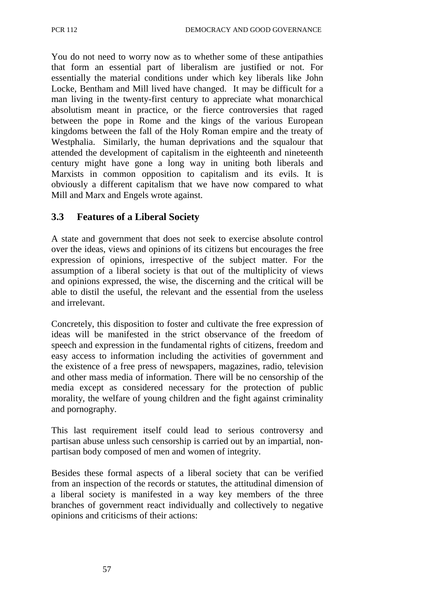You do not need to worry now as to whether some of these antipathies that form an essential part of liberalism are justified or not. For essentially the material conditions under which key liberals like John Locke, Bentham and Mill lived have changed. It may be difficult for a man living in the twenty-first century to appreciate what monarchical absolutism meant in practice, or the fierce controversies that raged between the pope in Rome and the kings of the various European kingdoms between the fall of the Holy Roman empire and the treaty of Westphalia. Similarly, the human deprivations and the squalour that attended the development of capitalism in the eighteenth and nineteenth century might have gone a long way in uniting both liberals and Marxists in common opposition to capitalism and its evils. It is obviously a different capitalism that we have now compared to what Mill and Marx and Engels wrote against.

# **3.3 Features of a Liberal Society**

A state and government that does not seek to exercise absolute control over the ideas, views and opinions of its citizens but encourages the free expression of opinions, irrespective of the subject matter. For the assumption of a liberal society is that out of the multiplicity of views and opinions expressed, the wise, the discerning and the critical will be able to distil the useful, the relevant and the essential from the useless and irrelevant.

Concretely, this disposition to foster and cultivate the free expression of ideas will be manifested in the strict observance of the freedom of speech and expression in the fundamental rights of citizens, freedom and easy access to information including the activities of government and the existence of a free press of newspapers, magazines, radio, television and other mass media of information. There will be no censorship of the media except as considered necessary for the protection of public morality, the welfare of young children and the fight against criminality and pornography.

This last requirement itself could lead to serious controversy and partisan abuse unless such censorship is carried out by an impartial, nonpartisan body composed of men and women of integrity.

Besides these formal aspects of a liberal society that can be verified from an inspection of the records or statutes, the attitudinal dimension of a liberal society is manifested in a way key members of the three branches of government react individually and collectively to negative opinions and criticisms of their actions: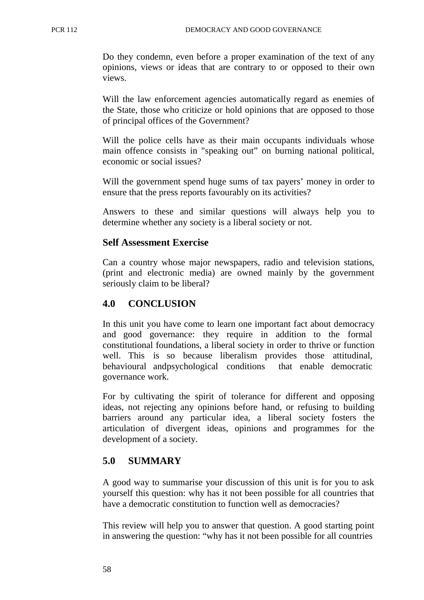Do they condemn, even before a proper examination of the text of any opinions, views or ideas that are contrary to or opposed to their own views.

Will the law enforcement agencies automatically regard as enemies of the State, those who criticize or hold opinions that are opposed to those of principal offices of the Government?

Will the police cells have as their main occupants individuals whose main offence consists in "speaking out" on burning national political, economic or social issues?

Will the government spend huge sums of tax payers' money in order to ensure that the press reports favourably on its activities?

Answers to these and similar questions will always help you to determine whether any society is a liberal society or not.

## **Self Assessment Exercise**

Can a country whose major newspapers, radio and television stations, (print and electronic media) are owned mainly by the government seriously claim to be liberal?

## **4.0 CONCLUSION**

In this unit you have come to learn one important fact about democracy and good governance: they require in addition to the formal constitutional foundations, a liberal society in order to thrive or function well. This is so because liberalism provides those attitudinal, behavioural and psychological conditions that enable democratic governance work.

For by cultivating the spirit of tolerance for different and opposing ideas, not rejecting any opinions before hand, or refusing to building barriers around any particular idea, a liberal society fosters the articulation of divergent ideas, opinions and programmes for the development of a society.

## **5.0 SUMMARY**

A good way to summarise your discussion of this unit is for you to ask yourself this question: why has it not been possible for all countries that have a democratic constitution to function well as democracies?

This review will help you to answer that question. A good starting point in answering the question: "why has it not been possible for all countries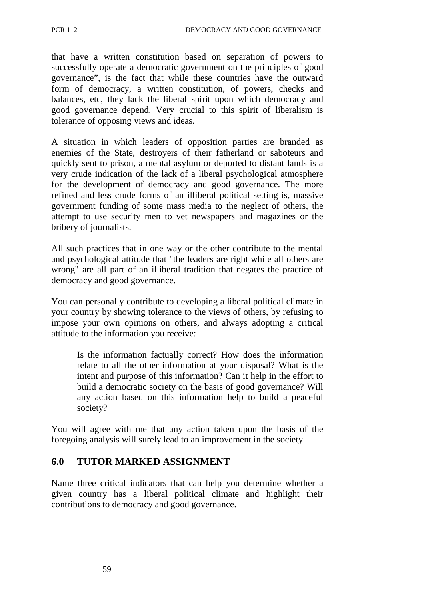that have a written constitution based on separation of powers to successfully operate a democratic government on the principles of good governance", is the fact that while these countries have the outward form of democracy, a written constitution, of powers, checks and balances, etc, they lack the liberal spirit upon which democracy and good governance depend. Very crucial to this spirit of liberalism is tolerance of opposing views and ideas.

A situation in which leaders of opposition parties are branded as enemies of the State, destroyers of their fatherland or saboteurs and quickly sent to prison, a mental asylum or deported to distant lands is a very crude indication of the lack of a liberal psychological atmosphere for the development of democracy and good governance. The more refined and less crude forms of an illiberal political setting is, massive government funding of some mass media to the neglect of others, the attempt to use security men to vet newspapers and magazines or the bribery of journalists.

All such practices that in one way or the other contribute to the mental and psychological attitude that "the leaders are right while all others are wrong" are all part of an illiberal tradition that negates the practice of democracy and good governance.

You can personally contribute to developing a liberal political climate in your country by showing tolerance to the views of others, by refusing to impose your own opinions on others, and always adopting a critical attitude to the information you receive:

Is the information factually correct? How does the information relate to all the other information at your disposal? What is the intent and purpose of this information? Can it help in the effort to build a democratic society on the basis of good governance? Will any action based on this information help to build a peaceful society?

You will agree with me that any action taken upon the basis of the foregoing analysis will surely lead to an improvement in the society.

# **6.0 TUTOR MARKED ASSIGNMENT**

Name three critical indicators that can help you determine whether a given country has a liberal political climate and highlight their contributions to democracy and good governance.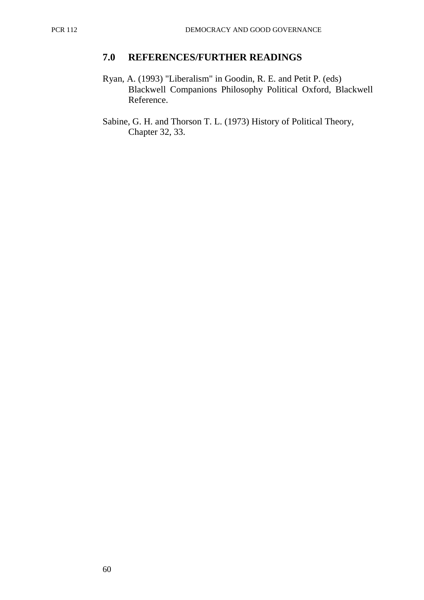## **7.0 REFERENCES/FURTHER READINGS**

- Ryan, A. (1993) "Liberalism" in Goodin, R. E. and Petit P. (eds) Blackwell Companions Philosophy Political Oxford, Blackwell Reference.
- Sabine, G. H. and Thorson T. L. (1973) History of Political Theory, Chapter 32, 33.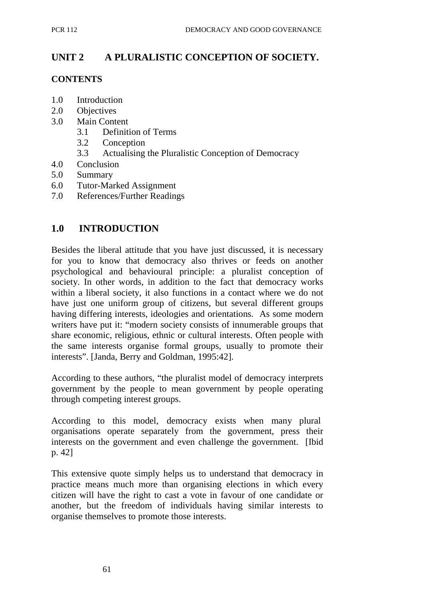# **UNIT 2 A PLURALISTIC CONCEPTION OF SOCIETY.**

### **CONTENTS**

- 1.0 Introduction
- 2.0 Objectives
- 3.0 Main Content
	- 3.1 Definition of Terms
	- 3.2 Conception
	- 3.3 Actualising the Pluralistic Conception of Democracy
- 4.0 Conclusion
- 5.0 Summary
- 6.0 Tutor-Marked Assignment
- 7.0 References/Further Readings

## **1.0 INTRODUCTION**

Besides the liberal attitude that you have just discussed, it is necessary for you to know that democracy also thrives or feeds on another psychological and behavioural principle: a pluralist conception of society. In other words, in addition to the fact that democracy works within a liberal society, it also functions in a contact where we do not have just one uniform group of citizens, but several different groups having differing interests, ideologies and orientations. As some modern writers have put it: "modern society consists of innumerable groups that share economic, religious, ethnic or cultural interests. Often people with the same interests organise formal groups, usually to promote their interests". [Janda, Berry and Goldman, 1995:42].

According to these authors, "the pluralist model of democracy interprets government by the people to mean government by people operating through competing interest groups.

According to this model, democracy exists when many plural organisations operate separately from the government, press their interests on the government and even challenge the government. [Ibid p. 42]

This extensive quote simply helps us to understand that democracy in practice means much more than organising elections in which every citizen will have the right to cast a vote in favour of one candidate or another, but the freedom of individuals having similar interests to organise themselves to promote those interests.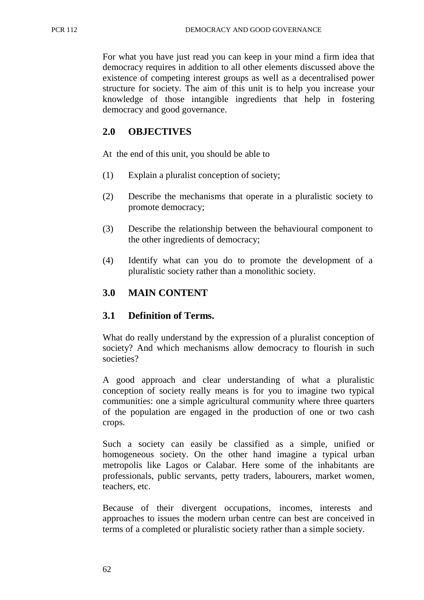For what you have just read you can keep in your mind a firm idea that democracy requires in addition to all other elements discussed above the existence of competing interest groups as well as a decentralised power structure for society. The aim of this unit is to help you increase your knowledge of those intangible ingredients that help in fostering democracy and good governance.

# **2.0 OBJECTIVES**

At the end of this unit, you should be able to

- (1) Explain a pluralist conception of society;
- (2) Describe the mechanisms that operate in a pluralistic society to promote democracy;
- (3) Describe the relationship between the behavioural component to the other ingredients of democracy;
- (4) Identify what can you do to promote the development of a pluralistic society rather than a monolithic society.

# **3.0 MAIN CONTENT**

# **3.1 Definition of Terms.**

What do really understand by the expression of a pluralist conception of society? And which mechanisms allow democracy to flourish in such societies?

A good approach and clear understanding of what a pluralistic conception of society really means is for you to imagine two typical communities: one a simple agricultural community where three quarters of the population are engaged in the production of one or two cash crops.

Such a society can easily be classified as a simple, unified or homogeneous society. On the other hand imagine a typical urban metropolis like Lagos or Calabar. Here some of the inhabitants are professionals, public servants, petty traders, labourers, market women, teachers, etc.

Because of their divergent occupations, incomes, interests and approaches to issues the modern urban centre can best are conceived in terms of a completed or pluralistic society rather than a simple society.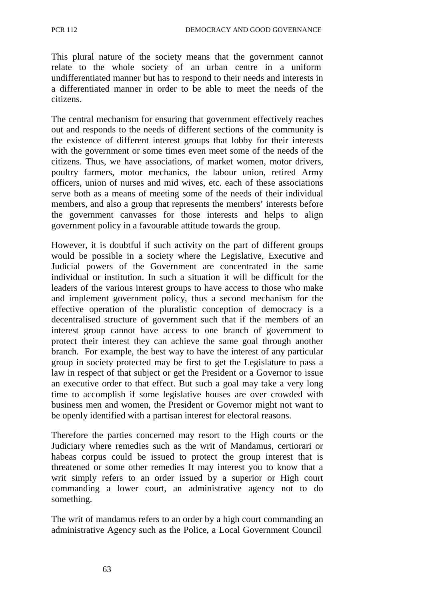This plural nature of the society means that the government cannot relate to the whole society of an urban centre in a uniform undifferentiated manner but has to respond to their needs and interests in a differentiated manner in order to be able to meet the needs of the citizens.

The central mechanism for ensuring that government effectively reaches out and responds to the needs of different sections of the community is the existence of different interest groups that lobby for their interests with the government or some times even meet some of the needs of the citizens. Thus, we have associations, of market women, motor drivers, poultry farmers, motor mechanics, the labour union, retired Army officers, union of nurses and mid wives, etc. each of these associations serve both as a means of meeting some of the needs of their individual members, and also a group that represents the members' interests before the government canvasses for those interests and helps to align government policy in a favourable attitude towards the group.

However, it is doubtful if such activity on the part of different groups would be possible in a society where the Legislative, Executive and Judicial powers of the Government are concentrated in the same individual or institution. In such a situation it will be difficult for the leaders of the various interest groups to have access to those who make and implement government policy, thus a second mechanism for the effective operation of the pluralistic conception of democracy is a decentralised structure of government such that if the members of an interest group cannot have access to one branch of government to protect their interest they can achieve the same goal through another branch. For example, the best way to have the interest of any particular group in society protected may be first to get the Legislature to pass a law in respect of that subject or get the President or a Governor to issue an executive order to that effect. But such a goal may take a very long time to accomplish if some legislative houses are over crowded with business men and women, the President or Governor might not want to be openly identified with a partisan interest for electoral reasons.

Therefore the parties concerned may resort to the High courts or the Judiciary where remedies such as the writ of Mandamus, certiorari or habeas corpus could be issued to protect the group interest that is threatened or some other remedies It may interest you to know that a writ simply refers to an order issued by a superior or High court commanding a lower court, an administrative agency not to do something.

The writ of mandamus refers to an order by a high court commanding an administrative Agency such as the Police, a Local Government Council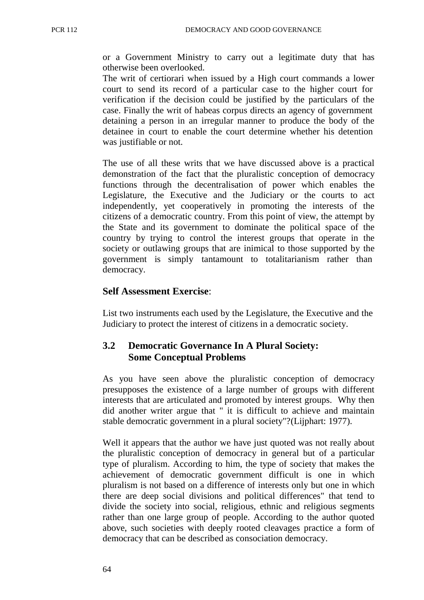or a Government Ministry to carry out a legitimate duty that has otherwise been overlooked.

The writ of certiorari when issued by a High court commands a lower court to send its record of a particular case to the higher court for verification if the decision could be justified by the particulars of the case. Finally the writ of habeas corpus directs an agency of government detaining a person in an irregular manner to produce the body of the detainee in court to enable the court determine whether his detention was justifiable or not.

The use of all these writs that we have discussed above is a practical demonstration of the fact that the pluralistic conception of democracy functions through the decentralisation of power which enables the Legislature, the Executive and the Judiciary or the courts to act independently, yet cooperatively in promoting the interests of the citizens of a democratic country. From this point of view, the attempt by the State and its government to dominate the political space of the country by trying to control the interest groups that operate in the society or outlawing groups that are inimical to those supported by the government is simply tantamount to totalitarianism rather than democracy.

#### **Self Assessment Exercise**:

List two instruments each used by the Legislature, the Executive and the Judiciary to protect the interest of citizens in a democratic society.

# **3.2 Democratic Governance In A Plural Society: Some Conceptual Problems**

As you have seen above the pluralistic conception of democracy presupposes the existence of a large number of groups with different interests that are articulated and promoted by interest groups. Why then did another writer argue that " it is difficult to achieve and maintain stable democratic government in a plural society"?(Lijphart: 1977).

Well it appears that the author we have just quoted was not really about the pluralistic conception of democracy in general but of a particular type of pluralism. According to him, the type of society that makes the achievement of democratic government difficult is one in which pluralism is not based on a difference of interests only but one in which there are deep social divisions and political differences" that tend to divide the society into social, religious, ethnic and religious segments rather than one large group of people. According to the author quoted above, such societies with deeply rooted cleavages practice a form of democracy that can be described as consociation democracy.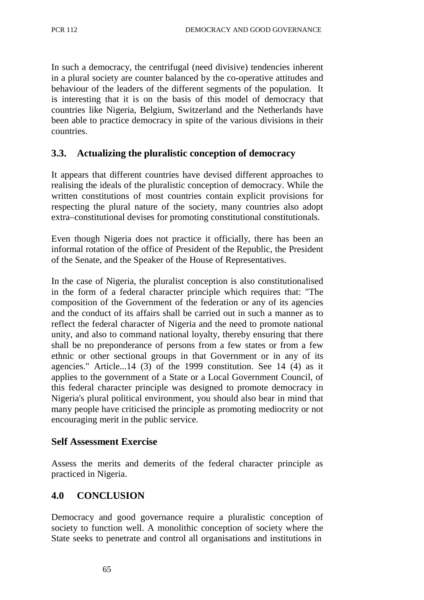In such a democracy, the centrifugal (need divisive) tendencies inherent in a plural society are counter balanced by the co-operative attitudes and behaviour of the leaders of the different segments of the population. It is interesting that it is on the basis of this model of democracy that countries like Nigeria, Belgium, Switzerland and the Netherlands have been able to practice democracy in spite of the various divisions in their countries.

## **3.3. Actualizing the pluralistic conception of democracy**

It appears that different countries have devised different approaches to realising the ideals of the pluralistic conception of democracy. While the written constitutions of most countries contain explicit provisions for respecting the plural nature of the society, many countries also adopt extra–constitutional devises for promoting constitutional constitutionals.

Even though Nigeria does not practice it officially, there has been an informal rotation of the office of President of the Republic, the President of the Senate, and the Speaker of the House of Representatives.

In the case of Nigeria, the pluralist conception is also constitutionalised in the form of a federal character principle which requires that: "The composition of the Government of the federation or any of its agencies and the conduct of its affairs shall be carried out in such a manner as to reflect the federal character of Nigeria and the need to promote national unity, and also to command national loyalty, thereby ensuring that there shall be no preponderance of persons from a few states or from a few ethnic or other sectional groups in that Government or in any of its agencies." Article...14 (3) of the 1999 constitution. See 14 (4) as it applies to the government of a State or a Local Government Council, of this federal character principle was designed to promote democracy in Nigeria's plural political environment, you should also bear in mind that many people have criticised the principle as promoting mediocrity or not encouraging merit in the public service.

## **Self Assessment Exercise**

Assess the merits and demerits of the federal character principle as practiced in Nigeria.

## **4.0 CONCLUSION**

Democracy and good governance require a pluralistic conception of society to function well. A monolithic conception of society where the State seeks to penetrate and control all organisations and institutions in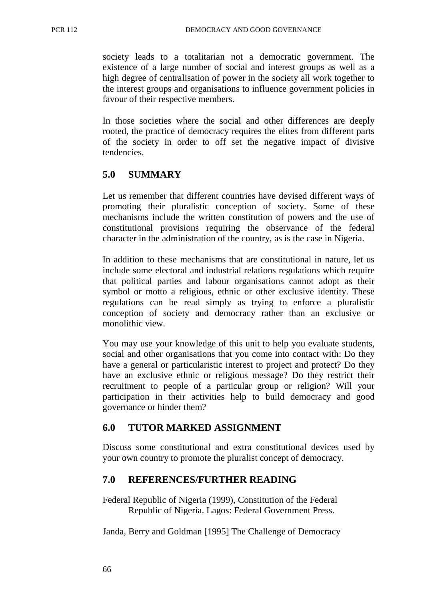society leads to a totalitarian not a democratic government. The existence of a large number of social and interest groups as well as a high degree of centralisation of power in the society all work together to the interest groups and organisations to influence government policies in favour of their respective members.

In those societies where the social and other differences are deeply rooted, the practice of democracy requires the elites from different parts of the society in order to off set the negative impact of divisive tendencies.

# **5.0 SUMMARY**

Let us remember that different countries have devised different ways of promoting their pluralistic conception of society. Some of these mechanisms include the written constitution of powers and the use of constitutional provisions requiring the observance of the federal character in the administration of the country, as is the case in Nigeria.

In addition to these mechanisms that are constitutional in nature, let us include some electoral and industrial relations regulations which require that political parties and labour organisations cannot adopt as their symbol or motto a religious, ethnic or other exclusive identity. These regulations can be read simply as trying to enforce a pluralistic conception of society and democracy rather than an exclusive or monolithic view.

You may use your knowledge of this unit to help you evaluate students, social and other organisations that you come into contact with: Do they have a general or particularistic interest to project and protect? Do they have an exclusive ethnic or religious message? Do they restrict their recruitment to people of a particular group or religion? Will your participation in their activities help to build democracy and good governance or hinder them?

## **6.0 TUTOR MARKED ASSIGNMENT**

Discuss some constitutional and extra constitutional devices used by your own country to promote the pluralist concept of democracy.

## **7.0 REFERENCES/FURTHER READING**

Federal Republic of Nigeria (1999), Constitution of the Federal Republic of Nigeria. Lagos: Federal Government Press.

Janda, Berry and Goldman [1995] The Challenge of Democracy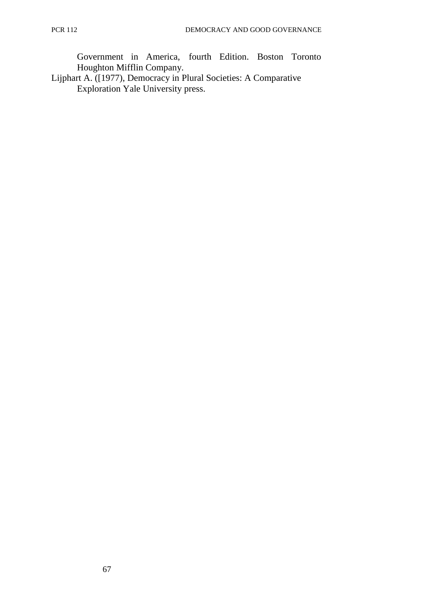Government in America, fourth Edition. Boston Toronto Houghton Mifflin Company.

Lijphart A. ([1977), Democracy in Plural Societies: A Comparative Exploration Yale University press.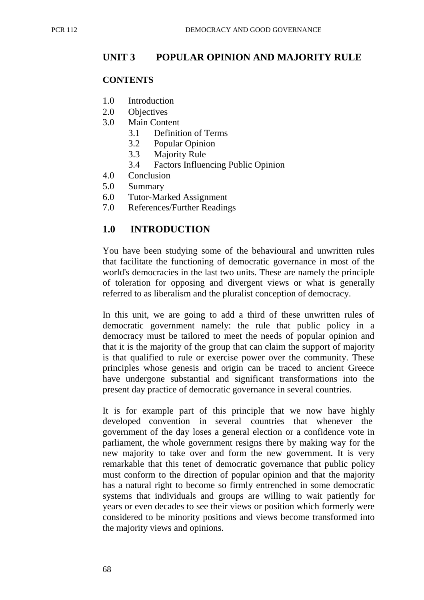# **UNIT 3 POPULAR OPINION AND MAJORITY RULE**

### **CONTENTS**

- 1.0 Introduction
- 2.0 Objectives
- 3.0 Main Content
	- 3.1 Definition of Terms
	- 3.2 Popular Opinion
	- 3.3 Majority Rule
	- 3.4 Factors Influencing Public Opinion
- 4.0 Conclusion
- 5.0 Summary
- 6.0 Tutor-Marked Assignment
- 7.0 References/Further Readings

# **1.0 INTRODUCTION**

You have been studying some of the behavioural and unwritten rules that facilitate the functioning of democratic governance in most of the world's democracies in the last two units. These are namely the principle of toleration for opposing and divergent views or what is generally referred to as liberalism and the pluralist conception of democracy.

In this unit, we are going to add a third of these unwritten rules of democratic government namely: the rule that public policy in a democracy must be tailored to meet the needs of popular opinion and that it is the majority of the group that can claim the support of majority is that qualified to rule or exercise power over the community. These principles whose genesis and origin can be traced to ancient Greece have undergone substantial and significant transformations into the present day practice of democratic governance in several countries.

It is for example part of this principle that we now have highly developed convention in several countries that whenever the government of the day loses a general election or a confidence vote in parliament, the whole government resigns there by making way for the new majority to take over and form the new government. It is very remarkable that this tenet of democratic governance that public policy must conform to the direction of popular opinion and that the majority has a natural right to become so firmly entrenched in some democratic systems that individuals and groups are willing to wait patiently for years or even decades to see their views or position which formerly were considered to be minority positions and views become transformed into the majority views and opinions.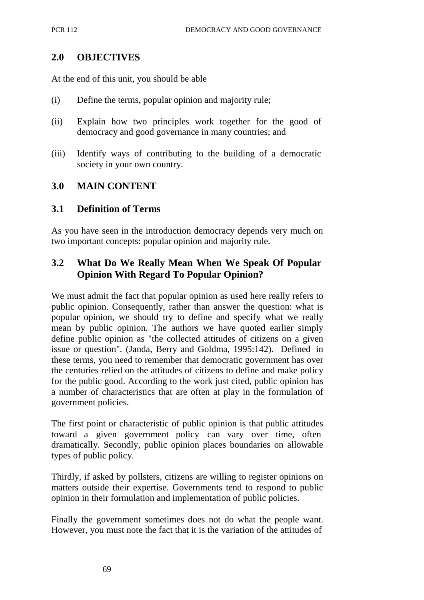## **2.0 OBJECTIVES**

At the end of this unit, you should be able

- (i) Define the terms, popular opinion and majority rule;
- (ii) Explain how two principles work together for the good of democracy and good governance in many countries; and
- (iii) Identify ways of contributing to the building of a democratic society in your own country.

## **3.0 MAIN CONTENT**

## **3.1 Definition of Terms**

As you have seen in the introduction democracy depends very much on two important concepts: popular opinion and majority rule.

# **3.2 What Do We Really Mean When We Speak Of Popular Opinion With Regard To Popular Opinion?**

We must admit the fact that popular opinion as used here really refers to public opinion. Consequently, rather than answer the question: what is popular opinion, we should try to define and specify what we really mean by public opinion. The authors we have quoted earlier simply define public opinion as "the collected attitudes of citizens on a given issue or question". (Janda, Berry and Goldma, 1995:142). Defined in these terms, you need to remember that democratic government has over the centuries relied on the attitudes of citizens to define and make policy for the public good. According to the work just cited, public opinion has a number of characteristics that are often at play in the formulation of government policies.

The first point or characteristic of public opinion is that public attitudes toward a given government policy can vary over time, often dramatically. Secondly, public opinion places boundaries on allowable types of public policy.

Thirdly, if asked by pollsters, citizens are willing to register opinions on matters outside their expertise. Governments tend to respond to public opinion in their formulation and implementation of public policies.

Finally the government sometimes does not do what the people want. However, you must note the fact that it is the variation of the attitudes of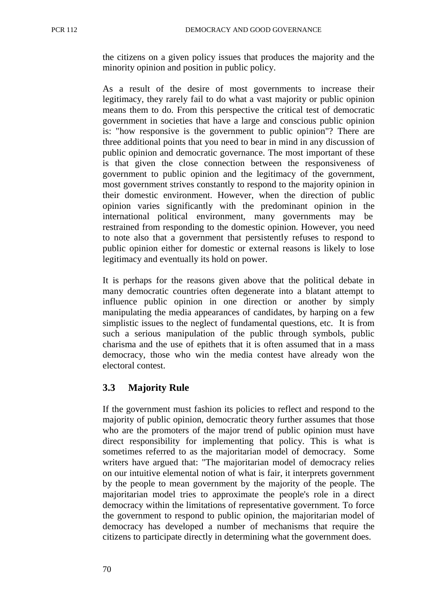the citizens on a given policy issues that produces the majority and the minority opinion and position in public policy.

As a result of the desire of most governments to increase their legitimacy, they rarely fail to do what a vast majority or public opinion means them to do. From this perspective the critical test of democratic government in societies that have a large and conscious public opinion is: "how responsive is the government to public opinion"? There are three additional points that you need to bear in mind in any discussion of public opinion and democratic governance. The most important of these is that given the close connection between the responsiveness of government to public opinion and the legitimacy of the government, most government strives constantly to respond to the majority opinion in their domestic environment. However, when the direction of public opinion varies significantly with the predominant opinion in the international political environment, many governments may be restrained from responding to the domestic opinion. However, you need to note also that a government that persistently refuses to respond to public opinion either for domestic or external reasons is likely to lose legitimacy and eventually its hold on power.

It is perhaps for the reasons given above that the political debate in many democratic countries often degenerate into a blatant attempt to influence public opinion in one direction or another by simply manipulating the media appearances of candidates, by harping on a few simplistic issues to the neglect of fundamental questions, etc. It is from such a serious manipulation of the public through symbols, public charisma and the use of epithets that it is often assumed that in a mass democracy, those who win the media contest have already won the electoral contest.

# **3.3 Majority Rule**

If the government must fashion its policies to reflect and respond to the majority of public opinion, democratic theory further assumes that those who are the promoters of the major trend of public opinion must have direct responsibility for implementing that policy. This is what is sometimes referred to as the majoritarian model of democracy. Some writers have argued that: "The majoritarian model of democracy relies on our intuitive elemental notion of what is fair, it interprets government by the people to mean government by the majority of the people. The majoritarian model tries to approximate the people's role in a direct democracy within the limitations of representative government. To force the government to respond to public opinion, the majoritarian model of democracy has developed a number of mechanisms that require the citizens to participate directly in determining what the government does.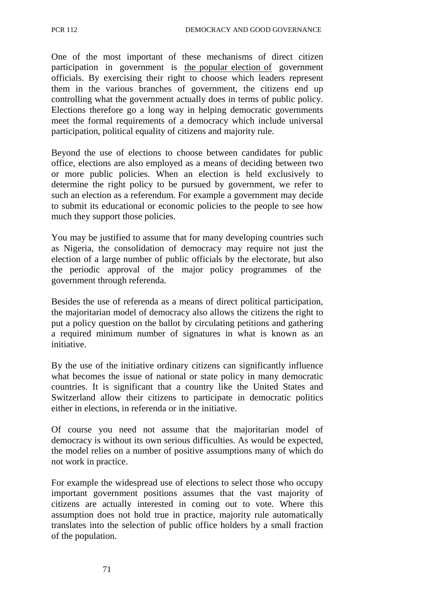One of the most important of these mechanisms of direct citizen participation in government is the popular election of government officials. By exercising their right to choose which leaders represent them in the various branches of government, the citizens end up controlling what the government actually does in terms of public policy. Elections therefore go a long way in helping democratic governments meet the formal requirements of a democracy which include universal participation, political equality of citizens and majority rule.

Beyond the use of elections to choose between candidates for public office, elections are also employed as a means of deciding between two or more public policies. When an election is held exclusively to determine the right policy to be pursued by government, we refer to such an election as a referendum. For example a government may decide to submit its educational or economic policies to the people to see how much they support those policies.

You may be justified to assume that for many developing countries such as Nigeria, the consolidation of democracy may require not just the election of a large number of public officials by the electorate, but also the periodic approval of the major policy programmes of the government through referenda.

Besides the use of referenda as a means of direct political participation, the majoritarian model of democracy also allows the citizens the right to put a policy question on the ballot by circulating petitions and gathering a required minimum number of signatures in what is known as an initiative.

By the use of the initiative ordinary citizens can significantly influence what becomes the issue of national or state policy in many democratic countries. It is significant that a country like the United States and Switzerland allow their citizens to participate in democratic politics either in elections, in referenda or in the initiative.

Of course you need not assume that the majoritarian model of democracy is without its own serious difficulties. As would be expected, the model relies on a number of positive assumptions many of which do not work in practice.

For example the widespread use of elections to select those who occupy important government positions assumes that the vast majority of citizens are actually interested in coming out to vote. Where this assumption does not hold true in practice, majority rule automatically translates into the selection of public office holders by a small fraction of the population.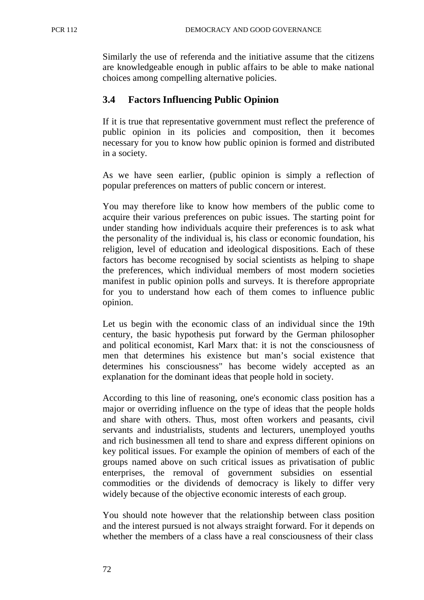Similarly the use of referenda and the initiative assume that the citizens are knowledgeable enough in public affairs to be able to make national choices among compelling alternative policies.

## **3.4 Factors Influencing Public Opinion**

If it is true that representative government must reflect the preference of public opinion in its policies and composition, then it becomes necessary for you to know how public opinion is formed and distributed in a society.

As we have seen earlier, (public opinion is simply a reflection of popular preferences on matters of public concern or interest.

You may therefore like to know how members of the public come to acquire their various preferences on pubic issues. The starting point for under standing how individuals acquire their preferences is to ask what the personality of the individual is, his class or economic foundation, his religion, level of education and ideological dispositions. Each of these factors has become recognised by social scientists as helping to shape the preferences, which individual members of most modern societies manifest in public opinion polls and surveys. It is therefore appropriate for you to understand how each of them comes to influence public opinion.

Let us begin with the economic class of an individual since the 19th century, the basic hypothesis put forward by the German philosopher and political economist, Karl Marx that: it is not the consciousness of men that determines his existence but man's social existence that determines his consciousness" has become widely accepted as an explanation for the dominant ideas that people hold in society.

According to this line of reasoning, one's economic class position has a major or overriding influence on the type of ideas that the people holds and share with others. Thus, most often workers and peasants, civil servants and industrialists, students and lecturers, unemployed youths and rich businessmen all tend to share and express different opinions on key political issues. For example the opinion of members of each of the groups named above on such critical issues as privatisation of public enterprises, the removal of government subsidies on essential commodities or the dividends of democracy is likely to differ very widely because of the objective economic interests of each group.

You should note however that the relationship between class position and the interest pursued is not always straight forward. For it depends on whether the members of a class have a real consciousness of their class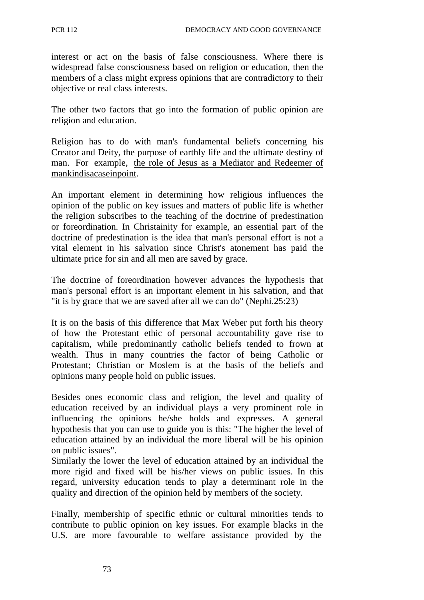interest or act on the basis of false consciousness. Where there is widespread false consciousness based on religion or education, then the members of a class might express opinions that are contradictory to their objective or real class interests.

The other two factors that go into the formation of public opinion are religion and education.

Religion has to do with man's fundamental beliefs concerning his Creator and Deity, the purpose of earthly life and the ultimate destiny of man. For example, the role of Jesus as a Mediator and Redeemer of mankind is a case in point.

An important element in determining how religious influences the opinion of the public on key issues and matters of public life is whether the religion subscribes to the teaching of the doctrine of predestination or foreordination. In Christainity for example, an essential part of the doctrine of predestination is the idea that man's personal effort is not a vital element in his salvation since Christ's atonement has paid the ultimate price for sin and all men are saved by grace.

The doctrine of foreordination however advances the hypothesis that man's personal effort is an important element in his salvation, and that "it is by grace that we are saved after all we can do" (Nephi.25:23)

It is on the basis of this difference that Max Weber put forth his theory of how the Protestant ethic of personal accountability gave rise to capitalism, while predominantly catholic beliefs tended to frown at wealth. Thus in many countries the factor of being Catholic or Protestant; Christian or Moslem is at the basis of the beliefs and opinions many people hold on public issues.

Besides ones economic class and religion, the level and quality of education received by an individual plays a very prominent role in influencing the opinions he/she holds and expresses. A general hypothesis that you can use to guide you is this: "The higher the level of education attained by an individual the more liberal will be his opinion on public issues".

Similarly the lower the level of education attained by an individual the more rigid and fixed will be his/her views on public issues. In this regard, university education tends to play a determinant role in the quality and direction of the opinion held by members of the society.

Finally, membership of specific ethnic or cultural minorities tends to contribute to public opinion on key issues. For example blacks in the U.S. are more favourable to welfare assistance provided by the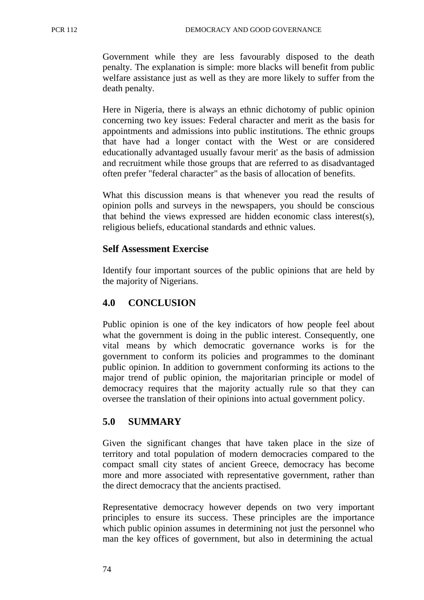Government while they are less favourably disposed to the death penalty. The explanation is simple: more blacks will benefit from public welfare assistance just as well as they are more likely to suffer from the death penalty.

Here in Nigeria, there is always an ethnic dichotomy of public opinion concerning two key issues: Federal character and merit as the basis for appointments and admissions into public institutions. The ethnic groups that have had a longer contact with the West or are considered educationally advantaged usually favour merit' as the basis of admission and recruitment while those groups that are referred to as disadvantaged often prefer "federal character" as the basis of allocation of benefits.

What this discussion means is that whenever you read the results of opinion polls and surveys in the newspapers, you should be conscious that behind the views expressed are hidden economic class interest(s), religious beliefs, educational standards and ethnic values.

## **Self Assessment Exercise**

Identify four important sources of the public opinions that are held by the majority of Nigerians.

# **4.0 CONCLUSION**

Public opinion is one of the key indicators of how people feel about what the government is doing in the public interest. Consequently, one vital means by which democratic governance works is for the government to conform its policies and programmes to the dominant public opinion. In addition to government conforming its actions to the major trend of public opinion, the majoritarian principle or model of democracy requires that the majority actually rule so that they can oversee the translation of their opinions into actual government policy.

# **5.0 SUMMARY**

Given the significant changes that have taken place in the size of territory and total population of modern democracies compared to the compact small city states of ancient Greece, democracy has become more and more associated with representative government, rather than the direct democracy that the ancients practised.

Representative democracy however depends on two very important principles to ensure its success. These principles are the importance which public opinion assumes in determining not just the personnel who man the key offices of government, but also in determining the actual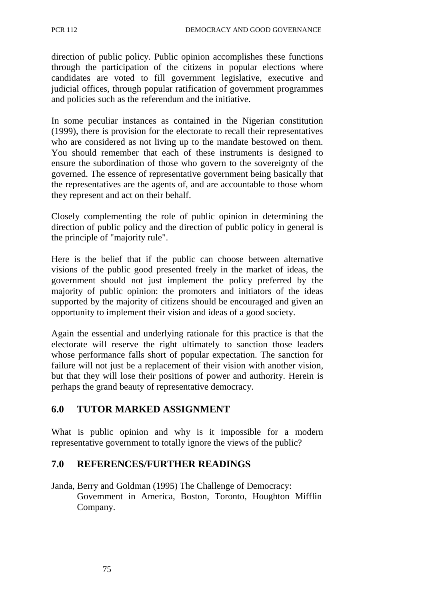direction of public policy. Public opinion accomplishes these functions through the participation of the citizens in popular elections where candidates are voted to fill government legislative, executive and judicial offices, through popular ratification of government programmes and policies such as the referendum and the initiative.

In some peculiar instances as contained in the Nigerian constitution (1999), there is provision for the electorate to recall their representatives who are considered as not living up to the mandate bestowed on them. You should remember that each of these instruments is designed to ensure the subordination of those who govern to the sovereignty of the governed. The essence of representative government being basically that the representatives are the agents of, and are accountable to those whom they represent and act on their behalf.

Closely complementing the role of public opinion in determining the direction of public policy and the direction of public policy in general is the principle of "majority rule".

Here is the belief that if the public can choose between alternative visions of the public good presented freely in the market of ideas, the government should not just implement the policy preferred by the majority of public opinion: the promoters and initiators of the ideas supported by the majority of citizens should be encouraged and given an opportunity to implement their vision and ideas of a good society.

Again the essential and underlying rationale for this practice is that the electorate will reserve the right ultimately to sanction those leaders whose performance falls short of popular expectation. The sanction for failure will not just be a replacement of their vision with another vision, but that they will lose their positions of power and authority. Herein is perhaps the grand beauty of representative democracy.

# **6.0 TUTOR MARKED ASSIGNMENT**

What is public opinion and why is it impossible for a modern representative government to totally ignore the views of the public?

# **7.0 REFERENCES/FURTHER READINGS**

Janda, Berry and Goldman (1995) The Challenge of Democracy: Govemment in America, Boston, Toronto, Houghton Mifflin Company.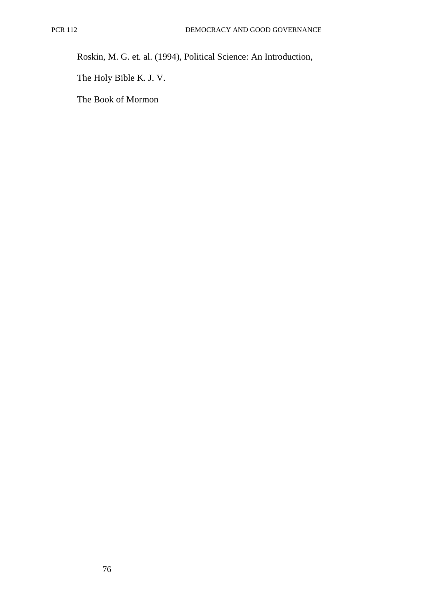Roskin, M. G. et. al. (1994), Political Science: An Introduction,

The Holy Bible K. J. V.

The Book of Mormon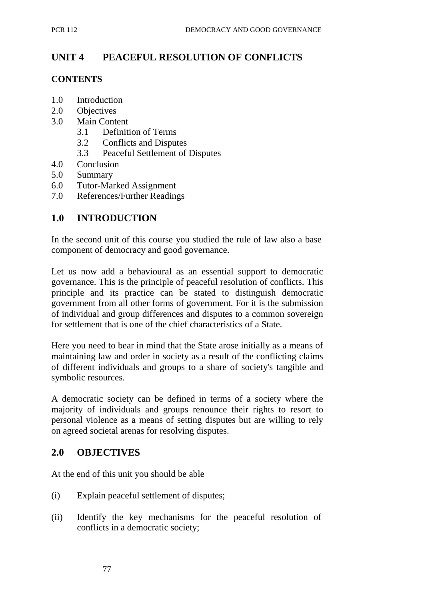# **UNIT 4 PEACEFUL RESOLUTION OF CONFLICTS**

### **CONTENTS**

- 1.0 Introduction
- 2.0 Objectives
- 3.0 Main Content
	- 3.1 Definition of Terms
	- 3.2 Conflicts and Disputes
	- 3.3 Peaceful Settlement of Disputes
- 4.0 Conclusion
- 5.0 Summary
- 6.0 Tutor-Marked Assignment
- 7.0 References/Further Readings

## **1.0 INTRODUCTION**

In the second unit of this course you studied the rule of law also a base component of democracy and good governance.

Let us now add a behavioural as an essential support to democratic governance. This is the principle of peaceful resolution of conflicts. This principle and its practice can be stated to distinguish democratic government from all other forms of government. For it is the submission of individual and group differences and disputes to a common sovereign for settlement that is one of the chief characteristics of a State.

Here you need to bear in mind that the State arose initially as a means of maintaining law and order in society as a result of the conflicting claims of different individuals and groups to a share of society's tangible and symbolic resources.

A democratic society can be defined in terms of a society where the majority of individuals and groups renounce their rights to resort to personal violence as a means of setting disputes but are willing to rely on agreed societal arenas for resolving disputes.

## **2.0 OBJECTIVES**

At the end of this unit you should be able

- (i) Explain peaceful settlement of disputes;
- (ii) Identify the key mechanisms for the peaceful resolution of conflicts in a democratic society;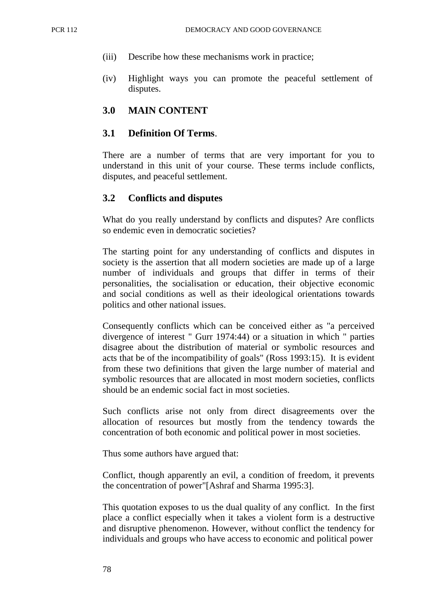- (iii) Describe how these mechanisms work in practice;
- (iv) Highlight ways you can promote the peaceful settlement of disputes.

### **3.0 MAIN CONTENT**

#### **3.1 Definition Of Terms**.

There are a number of terms that are very important for you to understand in this unit of your course. These terms include conflicts, disputes, and peaceful settlement.

#### **3.2 Conflicts and disputes**

What do you really understand by conflicts and disputes? Are conflicts so endemic even in democratic societies?

The starting point for any understanding of conflicts and disputes in society is the assertion that all modern societies are made up of a large number of individuals and groups that differ in terms of their personalities, the socialisation or education, their objective economic and social conditions as well as their ideological orientations towards politics and other national issues.

Consequently conflicts which can be conceived either as "a perceived divergence of interest " Gurr 1974:44) or a situation in which " parties disagree about the distribution of material or symbolic resources and acts that be of the incompatibility of goals" (Ross 1993:15). It is evident from these two definitions that given the large number of material and symbolic resources that are allocated in most modern societies, conflicts should be an endemic social fact in most societies.

Such conflicts arise not only from direct disagreements over the allocation of resources but mostly from the tendency towards the concentration of both economic and political power in most societies.

Thus some authors have argued that:

Conflict, though apparently an evil, a condition of freedom, it prevents the concentration of power"[Ashraf and Sharma 1995:3].

This quotation exposes to us the dual quality of any conflict. In the first place a conflict especially when it takes a violent form is a destructive and disruptive phenomenon. However, without conflict the tendency for individuals and groups who have access to economic and political power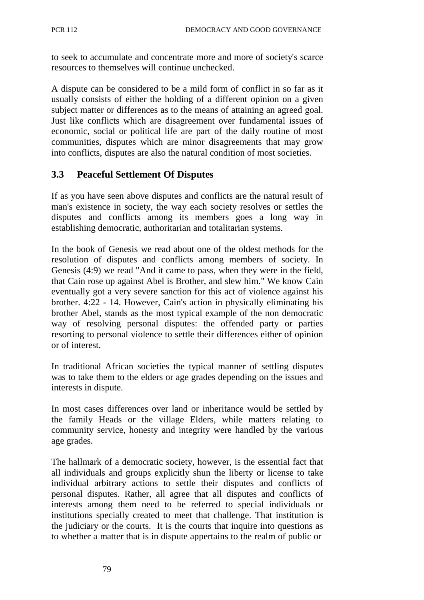to seek to accumulate and concentrate more and more of society's scarce resources to themselves will continue unchecked.

A dispute can be considered to be a mild form of conflict in so far as it usually consists of either the holding of a different opinion on a given subject matter or differences as to the means of attaining an agreed goal. Just like conflicts which are disagreement over fundamental issues of economic, social or political life are part of the daily routine of most communities, disputes which are minor disagreements that may grow into conflicts, disputes are also the natural condition of most societies.

## **3.3 Peaceful Settlement Of Disputes**

If as you have seen above disputes and conflicts are the natural result of man's existence in society, the way each society resolves or settles the disputes and conflicts among its members goes a long way in establishing democratic, authoritarian and totalitarian systems.

In the book of Genesis we read about one of the oldest methods for the resolution of disputes and conflicts among members of society. In Genesis (4:9) we read "And it came to pass, when they were in the field, that Cain rose up against Abel is Brother, and slew him." We know Cain eventually got a very severe sanction for this act of violence against his brother. 4:22 - 14. However, Cain's action in physically eliminating his brother Abel, stands as the most typical example of the non democratic way of resolving personal disputes: the offended party or parties resorting to personal violence to settle their differences either of opinion or of interest.

In traditional African societies the typical manner of settling disputes was to take them to the elders or age grades depending on the issues and interests in dispute.

In most cases differences over land or inheritance would be settled by the family Heads or the village Elders, while matters relating to community service, honesty and integrity were handled by the various age grades.

The hallmark of a democratic society, however, is the essential fact that all individuals and groups explicitly shun the liberty or license to take individual arbitrary actions to settle their disputes and conflicts of personal disputes. Rather, all agree that all disputes and conflicts of interests among them need to be referred to special individuals or institutions specially created to meet that challenge. That institution is the judiciary or the courts. It is the courts that inquire into questions as to whether a matter that is in dispute appertains to the realm of public or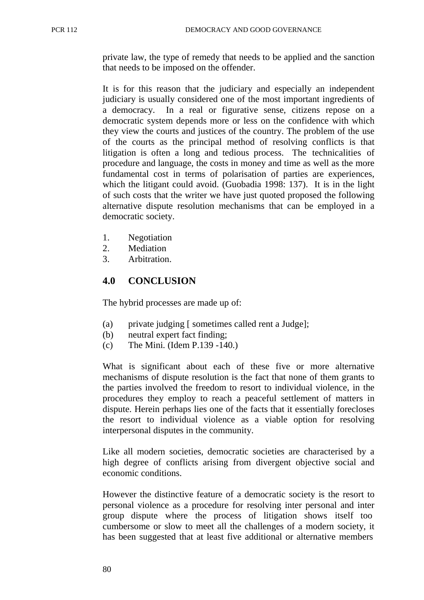private law, the type of remedy that needs to be applied and the sanction that needs to be imposed on the offender.

It is for this reason that the judiciary and especially an independent judiciary is usually considered one of the most important ingredients of a democracy. In a real or figurative sense, citizens repose on a democratic system depends more or less on the confidence with which they view the courts and justices of the country. The problem of the use of the courts as the principal method of resolving conflicts is that litigation is often a long and tedious process. The technicalities of procedure and language, the costs in money and time as well as the more fundamental cost in terms of polarisation of parties are experiences, which the litigant could avoid. (Guobadia 1998: 137). It is in the light of such costs that the writer we have just quoted proposed the following alternative dispute resolution mechanisms that can be employed in a democratic society.

- 1. Negotiation
- 2. Mediation
- 3. Arbitration.

## **4.0 CONCLUSION**

The hybrid processes are made up of:

- (a) private judging [ sometimes called rent a Judge];
- (b) neutral expert fact finding;
- (c) The Mini. (Idem P.139 -140.)

What is significant about each of these five or more alternative mechanisms of dispute resolution is the fact that none of them grants to the parties involved the freedom to resort to individual violence, in the procedures they employ to reach a peaceful settlement of matters in dispute. Herein perhaps lies one of the facts that it essentially forecloses the resort to individual violence as a viable option for resolving interpersonal disputes in the community.

Like all modern societies, democratic societies are characterised by a high degree of conflicts arising from divergent objective social and economic conditions.

However the distinctive feature of a democratic society is the resort to personal violence as a procedure for resolving inter personal and inter group dispute where the process of litigation shows itself too cumbersome or slow to meet all the challenges of a modern society, it has been suggested that at least five additional or alternative members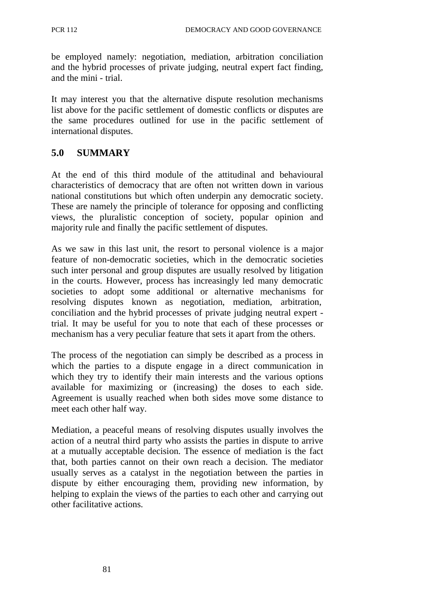be employed namely: negotiation, mediation, arbitration conciliation and the hybrid processes of private judging, neutral expert fact finding, and the mini - trial.

It may interest you that the alternative dispute resolution mechanisms list above for the pacific settlement of domestic conflicts or disputes are the same procedures outlined for use in the pacific settlement of international disputes.

# **5.0 SUMMARY**

At the end of this third module of the attitudinal and behavioural characteristics of democracy that are often not written down in various national constitutions but which often underpin any democratic society. These are namely the principle of tolerance for opposing and conflicting views, the pluralistic conception of society, popular opinion and majority rule and finally the pacific settlement of disputes.

As we saw in this last unit, the resort to personal violence is a major feature of non-democratic societies, which in the democratic societies such inter personal and group disputes are usually resolved by litigation in the courts. However, process has increasingly led many democratic societies to adopt some additional or alternative mechanisms for resolving disputes known as negotiation, mediation, arbitration, conciliation and the hybrid processes of private judging neutral expert trial. It may be useful for you to note that each of these processes or mechanism has a very peculiar feature that sets it apart from the others.

The process of the negotiation can simply be described as a process in which the parties to a dispute engage in a direct communication in which they try to identify their main interests and the various options available for maximizing or (increasing) the doses to each side. Agreement is usually reached when both sides move some distance to meet each other half way.

Mediation, a peaceful means of resolving disputes usually involves the action of a neutral third party who assists the parties in dispute to arrive at a mutually acceptable decision. The essence of mediation is the fact that, both parties cannot on their own reach a decision. The mediator usually serves as a catalyst in the negotiation between the parties in dispute by either encouraging them, providing new information, by helping to explain the views of the parties to each other and carrying out other facilitative actions.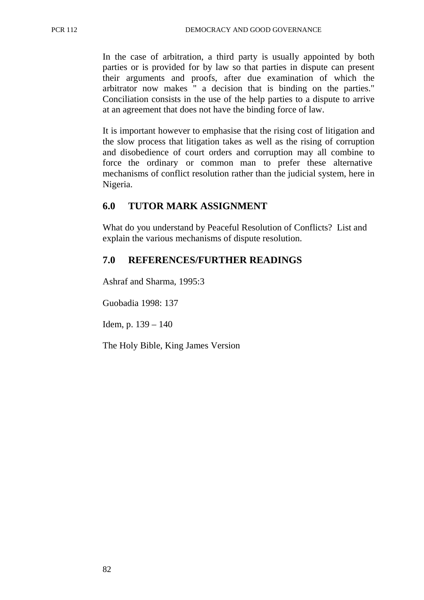In the case of arbitration, a third party is usually appointed by both parties or is provided for by law so that parties in dispute can present their arguments and proofs, after due examination of which the arbitrator now makes " a decision that is binding on the parties." Conciliation consists in the use of the help parties to a dispute to arrive at an agreement that does not have the binding force of law.

It is important however to emphasise that the rising cost of litigation and the slow process that litigation takes as well as the rising of corruption and disobedience of court orders and corruption may all combine to force the ordinary or common man to prefer these alternative mechanisms of conflict resolution rather than the judicial system, here in Nigeria.

### **6.0 TUTOR MARK ASSIGNMENT**

What do you understand by Peaceful Resolution of Conflicts? List and explain the various mechanisms of dispute resolution.

### **7.0 REFERENCES/FURTHER READINGS**

Ashraf and Sharma, 1995:3

Guobadia 1998: 137

Idem, p.  $139 - 140$ 

The Holy Bible, King James Version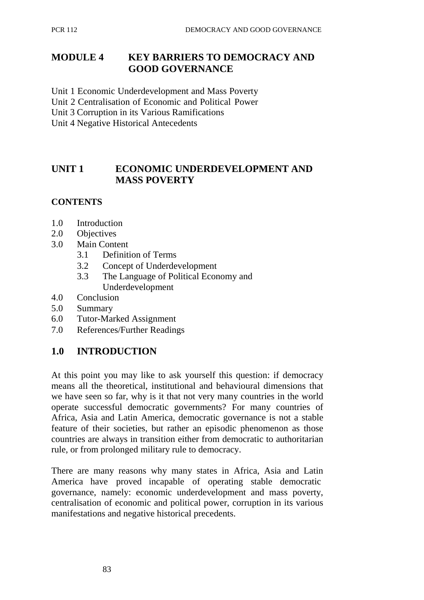# **MODULE 4 KEY BARRIERS TO DEMOCRACY AND GOOD GOVERNANCE**

Unit 1 Economic Underdevelopment and Mass Poverty

Unit 2 Centralisation of Economic and Political Power

Unit 3 Corruption in its Various Ramifications

Unit 4 Negative Historical Antecedents

# **UNIT 1 ECONOMIC UNDERDEVELOPMENT AND MASS POVERTY**

# **CONTENTS**

- 1.0 Introduction
- 2.0 Objectives
- 3.0 Main Content
	- 3.1 Definition of Terms
	- 3.2 Concept of Underdevelopment
	- 3.3 The Language of Political Economy and Underdevelopment
- 4.0 Conclusion
- 5.0 Summary
- 6.0 Tutor-Marked Assignment
- 7.0 References/Further Readings

# **1.0 INTRODUCTION**

At this point you may like to ask yourself this question: if democracy means all the theoretical, institutional and behavioural dimensions that we have seen so far, why is it that not very many countries in the world operate successful democratic governments? For many countries of Africa, Asia and Latin America, democratic governance is not a stable feature of their societies, but rather an episodic phenomenon as those countries are always in transition either from democratic to authoritarian rule, or from prolonged military rule to democracy.

There are many reasons why many states in Africa, Asia and Latin America have proved incapable of operating stable democratic governance, namely: economic underdevelopment and mass poverty, centralisation of economic and political power, corruption in its various manifestations and negative historical precedents.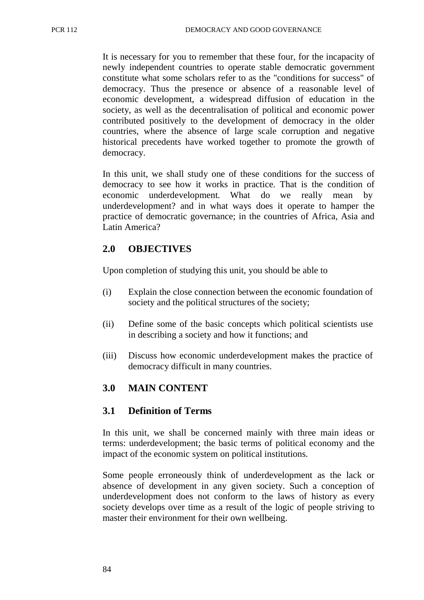It is necessary for you to remember that these four, for the incapacity of newly independent countries to operate stable democratic government constitute what some scholars refer to as the "conditions for success" of democracy. Thus the presence or absence of a reasonable level of economic development, a widespread diffusion of education in the society, as well as the decentralisation of political and economic power contributed positively to the development of democracy in the older countries, where the absence of large scale corruption and negative historical precedents have worked together to promote the growth of democracy.

In this unit, we shall study one of these conditions for the success of democracy to see how it works in practice. That is the condition of economic underdevelopment. What do we really mean by underdevelopment? and in what ways does it operate to hamper the practice of democratic governance; in the countries of Africa, Asia and Latin America?

# **2.0 OBJECTIVES**

Upon completion of studying this unit, you should be able to

- (i) Explain the close connection between the economic foundation of society and the political structures of the society;
- (ii) Define some of the basic concepts which political scientists use in describing a society and how it functions; and
- (iii) Discuss how economic underdevelopment makes the practice of democracy difficult in many countries.

# **3.0 MAIN CONTENT**

## **3.1 Definition of Terms**

In this unit, we shall be concerned mainly with three main ideas or terms: underdevelopment; the basic terms of political economy and the impact of the economic system on political institutions.

Some people erroneously think of underdevelopment as the lack or absence of development in any given society. Such a conception of underdevelopment does not conform to the laws of history as every society develops over time as a result of the logic of people striving to master their environment for their own wellbeing.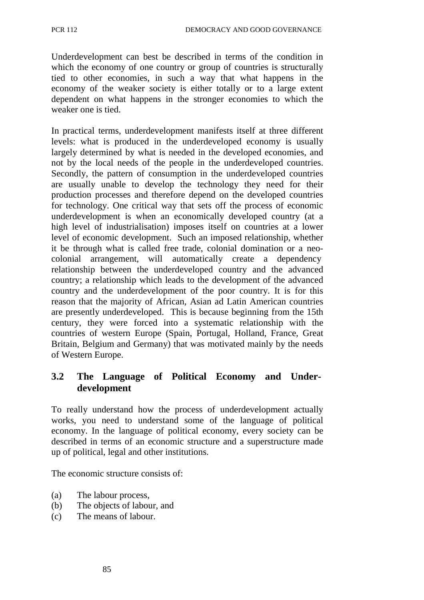Underdevelopment can best be described in terms of the condition in which the economy of one country or group of countries is structurally tied to other economies, in such a way that what happens in the economy of the weaker society is either totally or to a large extent dependent on what happens in the stronger economies to which the weaker one is tied.

In practical terms, underdevelopment manifests itself at three different levels: what is produced in the underdeveloped economy is usually largely determined by what is needed in the developed economies, and not by the local needs of the people in the underdeveloped countries. Secondly, the pattern of consumption in the underdeveloped countries are usually unable to develop the technology they need for their production processes and therefore depend on the developed countries for technology. One critical way that sets off the process of economic underdevelopment is when an economically developed country (at a high level of industrialisation) imposes itself on countries at a lower level of economic development. Such an imposed relationship, whether it be through what is called free trade, colonial domination or a neocolonial arrangement, will automatically create a dependency relationship between the underdeveloped country and the advanced country; a relationship which leads to the development of the advanced country and the underdevelopment of the poor country. It is for this reason that the majority of African, Asian ad Latin American countries are presently underdeveloped. This is because beginning from the 15th century, they were forced into a systematic relationship with the countries of western Europe (Spain, Portugal, Holland, France, Great Britain, Belgium and Germany) that was motivated mainly by the needs of Western Europe.

# **3.2 The Language of Political Economy and Underdevelopment**

To really understand how the process of underdevelopment actually works, you need to understand some of the language of political economy. In the language of political economy, every society can be described in terms of an economic structure and a superstructure made up of political, legal and other institutions.

The economic structure consists of:

- (a) The labour process,
- (b) The objects of labour, and
- (c) The means of labour.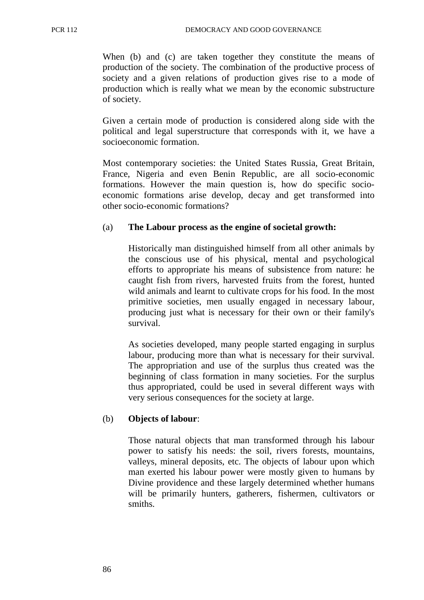When (b) and (c) are taken together they constitute the means of production of the society. The combination of the productive process of society and a given relations of production gives rise to a mode of production which is really what we mean by the economic substructure of society.

Given a certain mode of production is considered along side with the political and legal superstructure that corresponds with it, we have a socioeconomic formation.

Most contemporary societies: the United States Russia, Great Britain, France, Nigeria and even Benin Republic, are all socio-economic formations. However the main question is, how do specific socioeconomic formations arise develop, decay and get transformed into other socio-economic formations?

#### (a) **The Labour process as the engine of societal growth:**

Historically man distinguished himself from all other animals by the conscious use of his physical, mental and psychological efforts to appropriate his means of subsistence from nature: he caught fish from rivers, harvested fruits from the forest, hunted wild animals and learnt to cultivate crops for his food. In the most primitive societies, men usually engaged in necessary labour, producing just what is necessary for their own or their family's survival.

As societies developed, many people started engaging in surplus labour, producing more than what is necessary for their survival. The appropriation and use of the surplus thus created was the beginning of class formation in many societies. For the surplus thus appropriated, could be used in several different ways with very serious consequences for the society at large.

#### (b) **Objects of labour**:

Those natural objects that man transformed through his labour power to satisfy his needs: the soil, rivers forests, mountains, valleys, mineral deposits, etc. The objects of labour upon which man exerted his labour power were mostly given to humans by Divine providence and these largely determined whether humans will be primarily hunters, gatherers, fishermen, cultivators or smiths.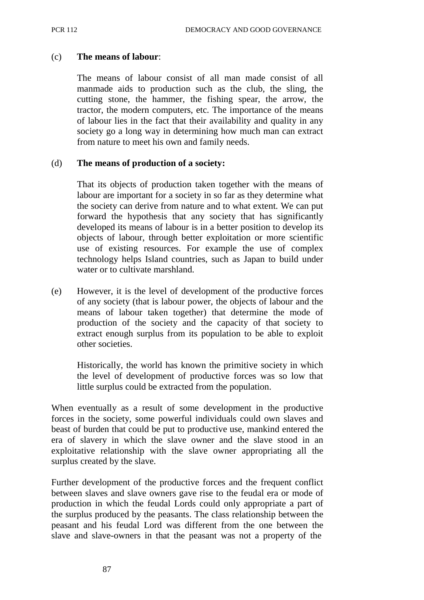### (c) **The means of labour**:

The means of labour consist of all man made consist of all manmade aids to production such as the club, the sling, the cutting stone, the hammer, the fishing spear, the arrow, the tractor, the modern computers, etc. The importance of the means of labour lies in the fact that their availability and quality in any society go a long way in determining how much man can extract from nature to meet his own and family needs.

#### (d) **The means of production of a society:**

That its objects of production taken together with the means of labour are important for a society in so far as they determine what the society can derive from nature and to what extent. We can put forward the hypothesis that any society that has significantly developed its means of labour is in a better position to develop its objects of labour, through better exploitation or more scientific use of existing resources. For example the use of complex technology helps Island countries, such as Japan to build under water or to cultivate marshland.

(e) However, it is the level of development of the productive forces of any society (that is labour power, the objects of labour and the means of labour taken together) that determine the mode of production of the society and the capacity of that society to extract enough surplus from its population to be able to exploit other societies.

Historically, the world has known the primitive society in which the level of development of productive forces was so low that little surplus could be extracted from the population.

When eventually as a result of some development in the productive forces in the society, some powerful individuals could own slaves and beast of burden that could be put to productive use, mankind entered the era of slavery in which the slave owner and the slave stood in an exploitative relationship with the slave owner appropriating all the surplus created by the slave.

Further development of the productive forces and the frequent conflict between slaves and slave owners gave rise to the feudal era or mode of production in which the feudal Lords could only appropriate a part of the surplus produced by the peasants. The class relationship between the peasant and his feudal Lord was different from the one between the slave and slave-owners in that the peasant was not a property of the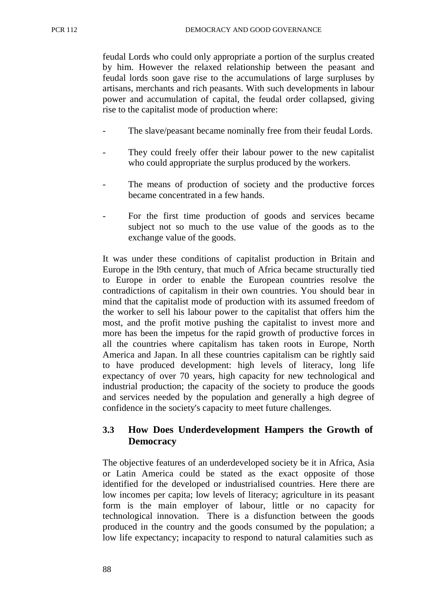feudal Lords who could only appropriate a portion of the surplus created by him. However the relaxed relationship between the peasant and feudal lords soon gave rise to the accumulations of large surpluses by artisans, merchants and rich peasants. With such developments in labour power and accumulation of capital, the feudal order collapsed, giving rise to the capitalist mode of production where:

- The slave/peasant became nominally free from their feudal Lords.
- They could freely offer their labour power to the new capitalist who could appropriate the surplus produced by the workers.
- The means of production of society and the productive forces became concentrated in a few hands.
- For the first time production of goods and services became subject not so much to the use value of the goods as to the exchange value of the goods.

It was under these conditions of capitalist production in Britain and Europe in the l9th century, that much of Africa became structurally tied to Europe in order to enable the European countries resolve the contradictions of capitalism in their own countries. You should bear in mind that the capitalist mode of production with its assumed freedom of the worker to sell his labour power to the capitalist that offers him the most, and the profit motive pushing the capitalist to invest more and more has been the impetus for the rapid growth of productive forces in all the countries where capitalism has taken roots in Europe, North America and Japan. In all these countries capitalism can be rightly said to have produced development: high levels of literacy, long life expectancy of over 70 years, high capacity for new technological and industrial production; the capacity of the society to produce the goods and services needed by the population and generally a high degree of confidence in the society's capacity to meet future challenges.

# **3.3 How Does Underdevelopment Hampers the Growth of Democracy**

The objective features of an underdeveloped society be it in Africa, Asia or Latin America could be stated as the exact opposite of those identified for the developed or industrialised countries. Here there are low incomes per capita; low levels of literacy; agriculture in its peasant form is the main employer of labour, little or no capacity for technological innovation. There is a disfunction between the goods produced in the country and the goods consumed by the population; a low life expectancy; incapacity to respond to natural calamities such as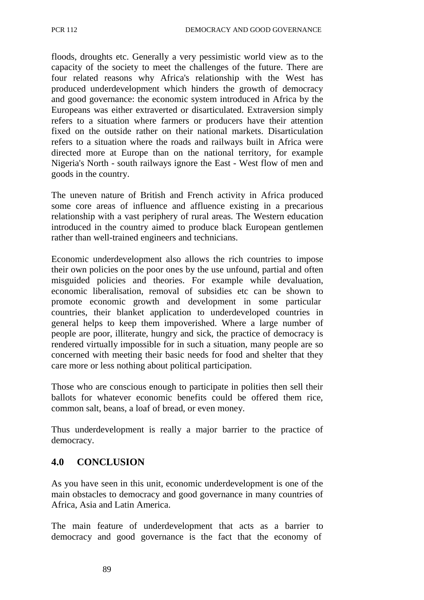floods, droughts etc. Generally a very pessimistic world view as to the capacity of the society to meet the challenges of the future. There are four related reasons why Africa's relationship with the West has produced underdevelopment which hinders the growth of democracy and good governance: the economic system introduced in Africa by the Europeans was either extraverted or disarticulated. Extraversion simply refers to a situation where farmers or producers have their attention fixed on the outside rather on their national markets. Disarticulation refers to a situation where the roads and railways built in Africa were directed more at Europe than on the national territory, for example Nigeria's North - south railways ignore the East - West flow of men and goods in the country.

The uneven nature of British and French activity in Africa produced some core areas of influence and affluence existing in a precarious relationship with a vast periphery of rural areas. The Western education introduced in the country aimed to produce black European gentlemen rather than well-trained engineers and technicians.

Economic underdevelopment also allows the rich countries to impose their own policies on the poor ones by the use unfound, partial and often misguided policies and theories. For example while devaluation, economic liberalisation, removal of subsidies etc can be shown to promote economic growth and development in some particular countries, their blanket application to underdeveloped countries in general helps to keep them impoverished. Where a large number of people are poor, illiterate, hungry and sick, the practice of democracy is rendered virtually impossible for in such a situation, many people are so concerned with meeting their basic needs for food and shelter that they care more or less nothing about political participation.

Those who are conscious enough to participate in polities then sell their ballots for whatever economic benefits could be offered them rice, common salt, beans, a loaf of bread, or even money.

Thus underdevelopment is really a major barrier to the practice of democracy.

# **4.0 CONCLUSION**

As you have seen in this unit, economic underdevelopment is one of the main obstacles to democracy and good governance in many countries of Africa, Asia and Latin America.

The main feature of underdevelopment that acts as a barrier to democracy and good governance is the fact that the economy of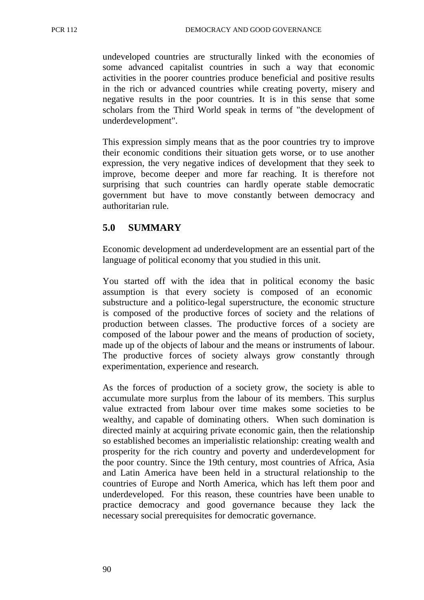undeveloped countries are structurally linked with the economies of some advanced capitalist countries in such a way that economic activities in the poorer countries produce beneficial and positive results in the rich or advanced countries while creating poverty, misery and negative results in the poor countries. It is in this sense that some scholars from the Third World speak in terms of "the development of underdevelopment".

This expression simply means that as the poor countries try to improve their economic conditions their situation gets worse, or to use another expression, the very negative indices of development that they seek to improve, become deeper and more far reaching. It is therefore not surprising that such countries can hardly operate stable democratic government but have to move constantly between democracy and authoritarian rule.

# **5.0 SUMMARY**

Economic development ad underdevelopment are an essential part of the language of political economy that you studied in this unit.

You started off with the idea that in political economy the basic assumption is that every society is composed of an economic substructure and a politico-legal superstructure, the economic structure is composed of the productive forces of society and the relations of production between classes. The productive forces of a society are composed of the labour power and the means of production of society, made up of the objects of labour and the means or instruments of labour. The productive forces of society always grow constantly through experimentation, experience and research.

As the forces of production of a society grow, the society is able to accumulate more surplus from the labour of its members. This surplus value extracted from labour over time makes some societies to be wealthy, and capable of dominating others. When such domination is directed mainly at acquiring private economic gain, then the relationship so established becomes an imperialistic relationship: creating wealth and prosperity for the rich country and poverty and underdevelopment for the poor country. Since the 19th century, most countries of Africa, Asia and Latin America have been held in a structural relationship to the countries of Europe and North America, which has left them poor and underdeveloped. For this reason, these countries have been unable to practice democracy and good governance because they lack the necessary social prerequisites for democratic governance.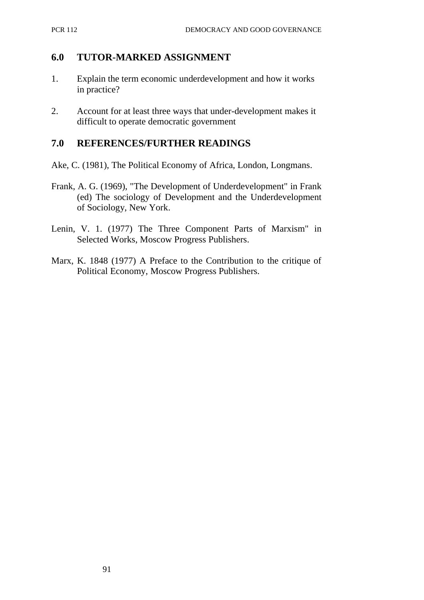## **6.0 TUTOR-MARKED ASSIGNMENT**

- 1. Explain the term economic underdevelopment and how it works in practice?
- 2. Account for at least three ways that under-development makes it difficult to operate democratic government

### **7.0 REFERENCES/FURTHER READINGS**

- Ake, C. (1981), The Political Economy of Africa, London, Longmans.
- Frank, A. G. (1969), "The Development of Underdevelopment" in Frank (ed) The sociology of Development and the Underdevelopment of Sociology, New York.
- Lenin, V. 1. (1977) The Three Component Parts of Marxism" in Selected Works, Moscow Progress Publishers.
- Marx, K. 1848 (1977) A Preface to the Contribution to the critique of Political Economy, Moscow Progress Publishers.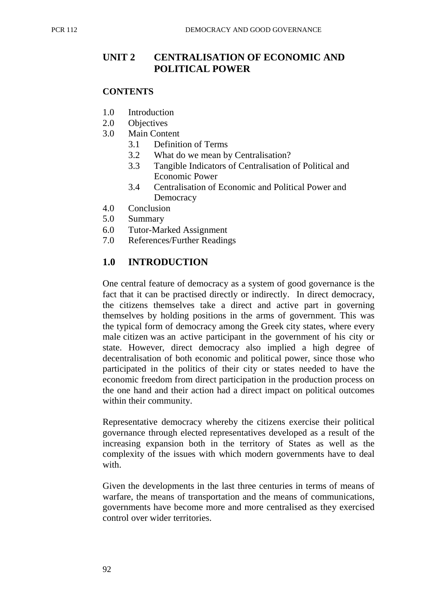# **UNIT 2 CENTRALISATION OF ECONOMIC AND POLITICAL POWER**

### **CONTENTS**

- 1.0 Introduction
- 2.0 Objectives
- 3.0 Main Content
	- 3.1 Definition of Terms
	- 3.2 What do we mean by Centralisation?
	- 3.3 Tangible Indicators of Centralisation of Political and Economic Power
	- 3.4 Centralisation of Economic and Political Power and **Democracy**
- 4.0 Conclusion
- 5.0 Summary
- 6.0 Tutor-Marked Assignment
- 7.0 References/Further Readings

# **1.0 INTRODUCTION**

One central feature of democracy as a system of good governance is the fact that it can be practised directly or indirectly. In direct democracy, the citizens themselves take a direct and active part in governing themselves by holding positions in the arms of government. This was the typical form of democracy among the Greek city states, where every male citizen was an active participant in the government of his city or state. However, direct democracy also implied a high degree of decentralisation of both economic and political power, since those who participated in the politics of their city or states needed to have the economic freedom from direct participation in the production process on the one hand and their action had a direct impact on political outcomes within their community.

Representative democracy whereby the citizens exercise their political governance through elected representatives developed as a result of the increasing expansion both in the territory of States as well as the complexity of the issues with which modern governments have to deal with.

Given the developments in the last three centuries in terms of means of warfare, the means of transportation and the means of communications, governments have become more and more centralised as they exercised control over wider territories.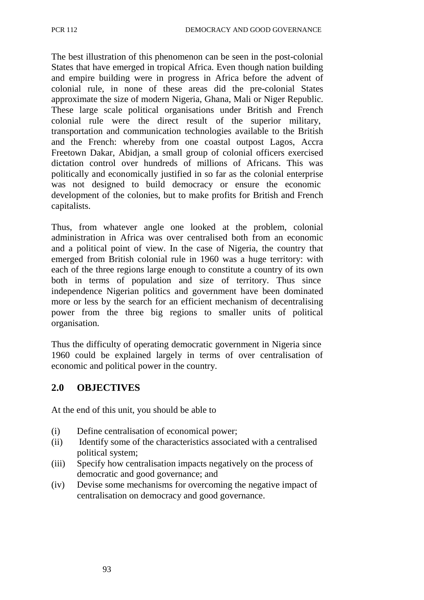The best illustration of this phenomenon can be seen in the post-colonial States that have emerged in tropical Africa. Even though nation building and empire building were in progress in Africa before the advent of colonial rule, in none of these areas did the pre-colonial States approximate the size of modern Nigeria, Ghana, Mali or Niger Republic. These large scale political organisations under British and French colonial rule were the direct result of the superior military, transportation and communication technologies available to the British and the French: whereby from one coastal outpost Lagos, Accra Freetown Dakar, Abidjan, a small group of colonial officers exercised dictation control over hundreds of millions of Africans. This was politically and economically justified in so far as the colonial enterprise was not designed to build democracy or ensure the economic development of the colonies, but to make profits for British and French capitalists.

Thus, from whatever angle one looked at the problem, colonial administration in Africa was over centralised both from an economic and a political point of view. In the case of Nigeria, the country that emerged from British colonial rule in 1960 was a huge territory: with each of the three regions large enough to constitute a country of its own both in terms of population and size of territory. Thus since independence Nigerian politics and government have been dominated more or less by the search for an efficient mechanism of decentralising power from the three big regions to smaller units of political organisation.

Thus the difficulty of operating democratic government in Nigeria since 1960 could be explained largely in terms of over centralisation of economic and political power in the country.

#### **2.0 OBJECTIVES**

At the end of this unit, you should be able to

- (i) Define centralisation of economical power;
- (ii) Identify some of the characteristics associated with a centralised political system;
- (iii) Specify how centralisation impacts negatively on the process of democratic and good governance; and
- (iv) Devise some mechanisms for overcoming the negative impact of centralisation on democracy and good governance.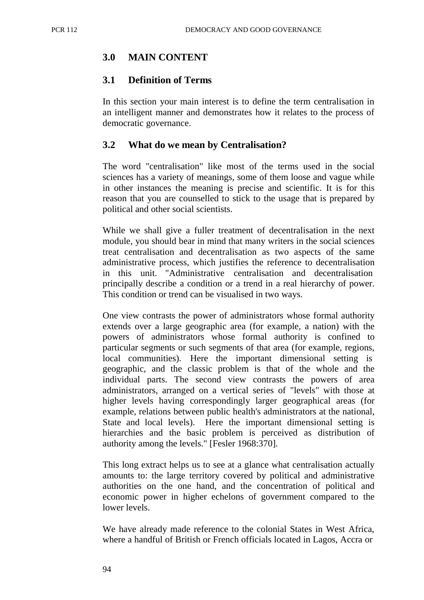## **3.0 MAIN CONTENT**

#### **3.1 Definition of Terms**

In this section your main interest is to define the term centralisation in an intelligent manner and demonstrates how it relates to the process of democratic governance.

#### **3.2 What do we mean by Centralisation?**

The word "centralisation" like most of the terms used in the social sciences has a variety of meanings, some of them loose and vague while in other instances the meaning is precise and scientific. It is for this reason that you are counselled to stick to the usage that is prepared by political and other social scientists.

While we shall give a fuller treatment of decentralisation in the next module, you should bear in mind that many writers in the social sciences treat centralisation and decentralisation as two aspects of the same administrative process, which justifies the reference to decentralisation in this unit. "Administrative centralisation and decentralisation principally describe a condition or a trend in a real hierarchy of power. This condition or trend can be visualised in two ways.

One view contrasts the power of administrators whose formal authority extends over a large geographic area (for example, a nation) with the powers of administrators whose formal authority is confined to particular segments or such segments of that area (for example, regions, local communities). Here the important dimensional setting is geographic, and the classic problem is that of the whole and the individual parts. The second view contrasts the powers of area administrators, arranged on a vertical series of "levels" with those at higher levels having correspondingly larger geographical areas (for example, relations between public health's administrators at the national, State and local levels). Here the important dimensional setting is hierarchies and the basic problem is perceived as distribution of authority among the levels." [Fesler 1968:370].

This long extract helps us to see at a glance what centralisation actually amounts to: the large territory covered by political and administrative authorities on the one hand, and the concentration of political and economic power in higher echelons of government compared to the lower levels.

We have already made reference to the colonial States in West Africa, where a handful of British or French officials located in Lagos, Accra or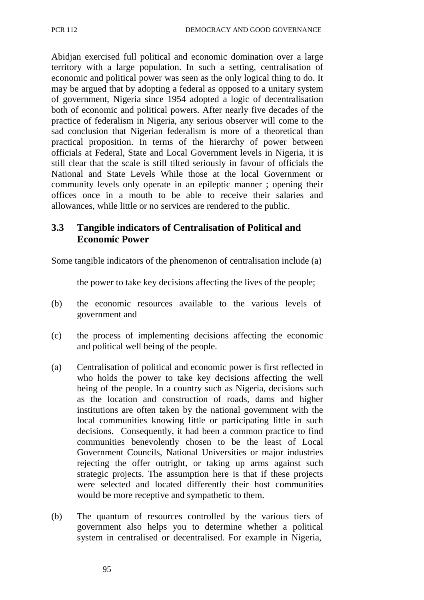Abidjan exercised full political and economic domination over a large territory with a large population. In such a setting, centralisation of economic and political power was seen as the only logical thing to do. It may be argued that by adopting a federal as opposed to a unitary system of government, Nigeria since 1954 adopted a logic of decentralisation both of economic and political powers. After nearly five decades of the practice of federalism in Nigeria, any serious observer will come to the sad conclusion that Nigerian federalism is more of a theoretical than practical proposition. In terms of the hierarchy of power between officials at Federal, State and Local Government levels in Nigeria, it is still clear that the scale is still tilted seriously in favour of officials the National and State Levels While those at the local Government or community levels only operate in an epileptic manner ; opening their offices once in a mouth to be able to receive their salaries and allowances, while little or no services are rendered to the public.

#### **3.3 Tangible indicators of Centralisation of Political and Economic Power**

Some tangible indicators of the phenomenon of centralisation include (a)

the power to take key decisions affecting the lives of the people;

- (b) the economic resources available to the various levels of government and
- (c) the process of implementing decisions affecting the economic and political well being of the people.
- (a) Centralisation of political and economic power is first reflected in who holds the power to take key decisions affecting the well being of the people. In a country such as Nigeria, decisions such as the location and construction of roads, dams and higher institutions are often taken by the national government with the local communities knowing little or participating little in such decisions. Consequently, it had been a common practice to find communities benevolently chosen to be the least of Local Government Councils, National Universities or major industries rejecting the offer outright, or taking up arms against such strategic projects. The assumption here is that if these projects were selected and located differently their host communities would be more receptive and sympathetic to them.
- (b) The quantum of resources controlled by the various tiers of government also helps you to determine whether a political system in centralised or decentralised. For example in Nigeria,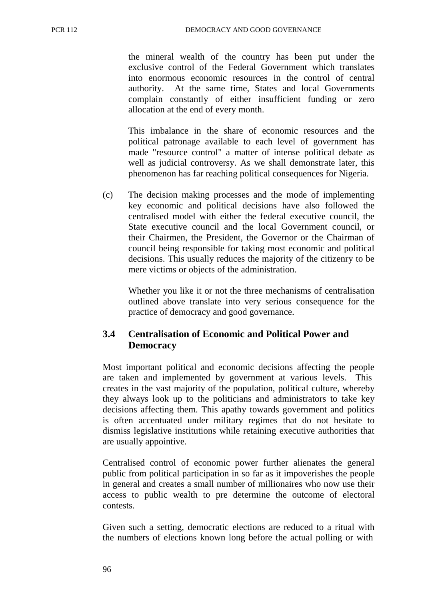the mineral wealth of the country has been put under the exclusive control of the Federal Government which translates into enormous economic resources in the control of central authority. At the same time, States and local Governments complain constantly of either insufficient funding or zero allocation at the end of every month.

This imbalance in the share of economic resources and the political patronage available to each level of government has made "resource control" a matter of intense political debate as well as judicial controversy. As we shall demonstrate later, this phenomenon has far reaching political consequences for Nigeria.

(c) The decision making processes and the mode of implementing key economic and political decisions have also followed the centralised model with either the federal executive council, the State executive council and the local Government council, or their Chairmen, the President, the Governor or the Chairman of council being responsible for taking most economic and political decisions. This usually reduces the majority of the citizenry to be mere victims or objects of the administration.

Whether you like it or not the three mechanisms of centralisation outlined above translate into very serious consequence for the practice of democracy and good governance.

## **3.4 Centralisation of Economic and Political Power and Democracy**

Most important political and economic decisions affecting the people are taken and implemented by government at various levels. This creates in the vast majority of the population, political culture, whereby they always look up to the politicians and administrators to take key decisions affecting them. This apathy towards government and politics is often accentuated under military regimes that do not hesitate to dismiss legislative institutions while retaining executive authorities that are usually appointive.

Centralised control of economic power further alienates the general public from political participation in so far as it impoverishes the people in general and creates a small number of millionaires who now use their access to public wealth to pre determine the outcome of electoral contests.

Given such a setting, democratic elections are reduced to a ritual with the numbers of elections known long before the actual polling or with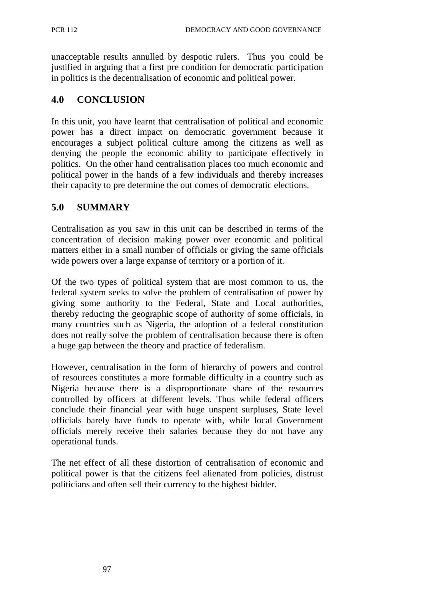unacceptable results annulled by despotic rulers. Thus you could be justified in arguing that a first pre condition for democratic participation in politics is the decentralisation of economic and political power.

#### **4.0 CONCLUSION**

In this unit, you have learnt that centralisation of political and economic power has a direct impact on democratic government because it encourages a subject political culture among the citizens as well as denying the people the economic ability to participate effectively in politics. On the other hand centralisation places too much economic and political power in the hands of a few individuals and thereby increases their capacity to pre determine the out comes of democratic elections.

#### **5.0 SUMMARY**

Centralisation as you saw in this unit can be described in terms of the concentration of decision making power over economic and political matters either in a small number of officials or giving the same officials wide powers over a large expanse of territory or a portion of it.

Of the two types of political system that are most common to us, the federal system seeks to solve the problem of centralisation of power by giving some authority to the Federal, State and Local authorities, thereby reducing the geographic scope of authority of some officials, in many countries such as Nigeria, the adoption of a federal constitution does not really solve the problem of centralisation because there is often a huge gap between the theory and practice of federalism.

However, centralisation in the form of hierarchy of powers and control of resources constitutes a more formable difficulty in a country such as Nigeria because there is a disproportionate share of the resources controlled by officers at different levels. Thus while federal officers conclude their financial year with huge unspent surpluses, State level officials barely have funds to operate with, while local Government officials merely receive their salaries because they do not have any operational funds.

The net effect of all these distortion of centralisation of economic and political power is that the citizens feel alienated from policies, distrust politicians and often sell their currency to the highest bidder.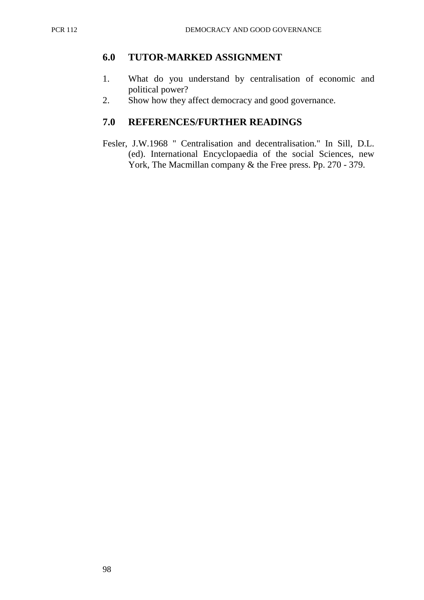#### **6.0 TUTOR-MARKED ASSIGNMENT**

- 1. What do you understand by centralisation of economic and political power?
- 2. Show how they affect democracy and good governance.

## **7.0 REFERENCES/FURTHER READINGS**

Fesler, J.W.1968 " Centralisation and decentralisation." In Sill, D.L. (ed). International Encyclopaedia of the social Sciences, new York, The Macmillan company & the Free press. Pp. 270 - 379.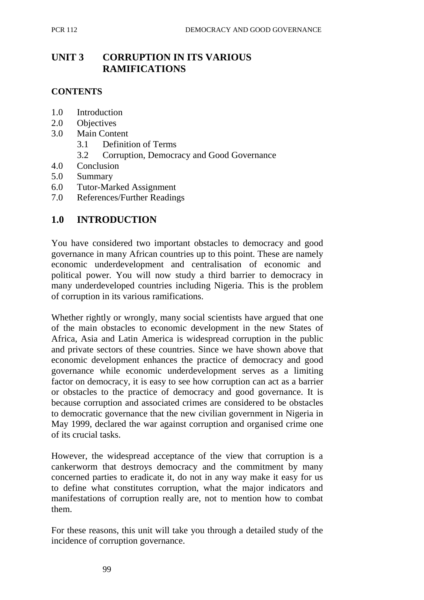# **UNIT 3 CORRUPTION IN ITS VARIOUS RAMIFICATIONS**

#### **CONTENTS**

- 1.0 Introduction
- 2.0 Objectives
- 3.0 Main Content
	- 3.1 Definition of Terms
	- 3.2 Corruption, Democracy and Good Governance
- 4.0 Conclusion
- 5.0 Summary
- 6.0 Tutor-Marked Assignment
- 7.0 References/Further Readings

#### **1.0 INTRODUCTION**

You have considered two important obstacles to democracy and good governance in many African countries up to this point. These are namely economic underdevelopment and centralisation of economic and political power. You will now study a third barrier to democracy in many underdeveloped countries including Nigeria. This is the problem of corruption in its various ramifications.

Whether rightly or wrongly, many social scientists have argued that one of the main obstacles to economic development in the new States of Africa, Asia and Latin America is widespread corruption in the public and private sectors of these countries. Since we have shown above that economic development enhances the practice of democracy and good governance while economic underdevelopment serves as a limiting factor on democracy, it is easy to see how corruption can act as a barrier or obstacles to the practice of democracy and good governance. It is because corruption and associated crimes are considered to be obstacles to democratic governance that the new civilian government in Nigeria in May 1999, declared the war against corruption and organised crime one of its crucial tasks.

However, the widespread acceptance of the view that corruption is a cankerworm that destroys democracy and the commitment by many concerned parties to eradicate it, do not in any way make it easy for us to define what constitutes corruption, what the major indicators and manifestations of corruption really are, not to mention how to combat them.

For these reasons, this unit will take you through a detailed study of the incidence of corruption governance.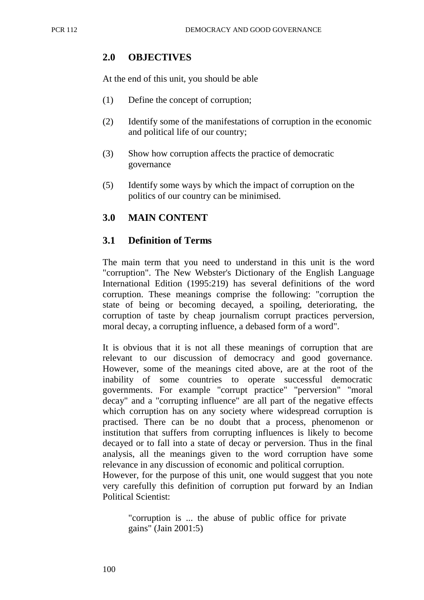## **2.0 OBJECTIVES**

At the end of this unit, you should be able

- (1) Define the concept of corruption;
- (2) Identify some of the manifestations of corruption in the economic and political life of our country;
- (3) Show how corruption affects the practice of democratic governance
- (5) Identify some ways by which the impact of corruption on the politics of our country can be minimised.

## **3.0 MAIN CONTENT**

## **3.1 Definition of Terms**

The main term that you need to understand in this unit is the word "corruption". The New Webster's Dictionary of the English Language International Edition (1995:219) has several definitions of the word corruption. These meanings comprise the following: "corruption the state of being or becoming decayed, a spoiling, deteriorating, the corruption of taste by cheap journalism corrupt practices perversion, moral decay, a corrupting influence, a debased form of a word".

It is obvious that it is not all these meanings of corruption that are relevant to our discussion of democracy and good governance. However, some of the meanings cited above, are at the root of the inability of some countries to operate successful democratic governments. For example "corrupt practice" "perversion" "moral decay" and a "corrupting influence" are all part of the negative effects which corruption has on any society where widespread corruption is practised. There can be no doubt that a process, phenomenon or institution that suffers from corrupting influences is likely to become decayed or to fall into a state of decay or perversion. Thus in the final analysis, all the meanings given to the word corruption have some relevance in any discussion of economic and political corruption.

However, for the purpose of this unit, one would suggest that you note very carefully this definition of corruption put forward by an Indian Political Scientist:

"corruption is ... the abuse of public office for private gains" (Jain 2001:5)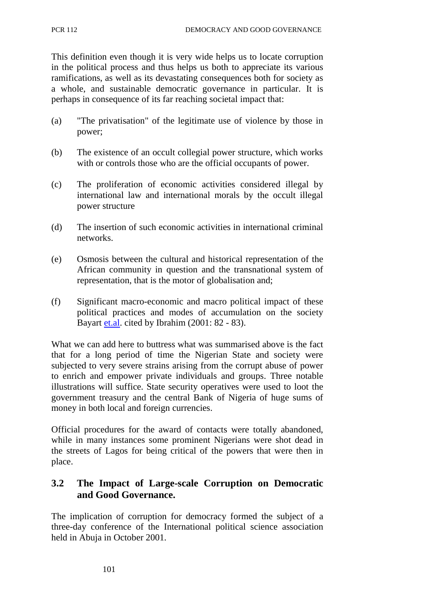This definition even though it is very wide helps us to locate corruption in the political process and thus helps us both to appreciate its various ramifications, as well as its devastating consequences both for society as a whole, and sustainable democratic governance in particular. It is perhaps in consequence of its far reaching societal impact that:

- (a) "The privatisation" of the legitimate use of violence by those in power;
- (b) The existence of an occult collegial power structure, which works with or controls those who are the official occupants of power.
- (c) The proliferation of economic activities considered illegal by international law and international morals by the occult illegal power structure
- (d) The insertion of such economic activities in international criminal networks.
- (e) Osmosis between the cultural and historical representation of the African community in question and the transnational system of representation, that is the motor of globalisation and;
- (f) Significant macro-economic and macro political impact of these political practices and modes of accumulation on the society Bayart et.al. cited by Ibrahim (2001: 82 - 83).

What we can add here to buttress what was summarised above is the fact that for a long period of time the Nigerian State and society were subjected to very severe strains arising from the corrupt abuse of power to enrich and empower private individuals and groups. Three notable illustrations will suffice. State security operatives were used to loot the government treasury and the central Bank of Nigeria of huge sums of money in both local and foreign currencies.

Official procedures for the award of contacts were totally abandoned, while in many instances some prominent Nigerians were shot dead in the streets of Lagos for being critical of the powers that were then in place.

## **3.2 The Impact of Large-scale Corruption on Democratic and Good Governance.**

The implication of corruption for democracy formed the subject of a three-day conference of the International political science association held in Abuja in October 2001.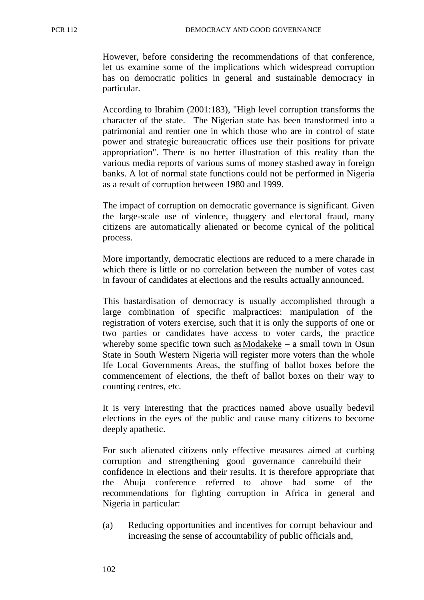However, before considering the recommendations of that conference, let us examine some of the implications which widespread corruption has on democratic politics in general and sustainable democracy in particular.

According to Ibrahim (2001:183), "High level corruption transforms the character of the state. The Nigerian state has been transformed into a patrimonial and rentier one in which those who are in control of state power and strategic bureaucratic offices use their positions for private appropriation". There is no better illustration of this reality than the various media reports of various sums of money stashed away in foreign banks. A lot of normal state functions could not be performed in Nigeria as a result of corruption between 1980 and 1999.

The impact of corruption on democratic governance is significant. Given the large-scale use of violence, thuggery and electoral fraud, many citizens are automatically alienated or become cynical of the political process.

More importantly, democratic elections are reduced to a mere charade in which there is little or no correlation between the number of votes cast in favour of candidates at elections and the results actually announced.

This bastardisation of democracy is usually accomplished through a large combination of specific malpractices: manipulation of the registration of voters exercise, such that it is only the supports of one or two parties or candidates have access to voter cards, the practice whereby some specific town such as Modakeke – a small town in Osun State in South Western Nigeria will register more voters than the whole Ife Local Governments Areas, the stuffing of ballot boxes before the commencement of elections, the theft of ballot boxes on their way to counting centres, etc.

It is very interesting that the practices named above usually bedevil elections in the eyes of the public and cause many citizens to become deeply apathetic.

For such alienated citizens only effective measures aimed at curbing corruption and strengthening good governance canrebuild their confidence in elections and their results. It is therefore appropriate that the Abuja conference referred to above had some of the recommendations for fighting corruption in Africa in general and Nigeria in particular:

(a) Reducing opportunities and incentives for corrupt behaviour and increasing the sense of accountability of public officials and,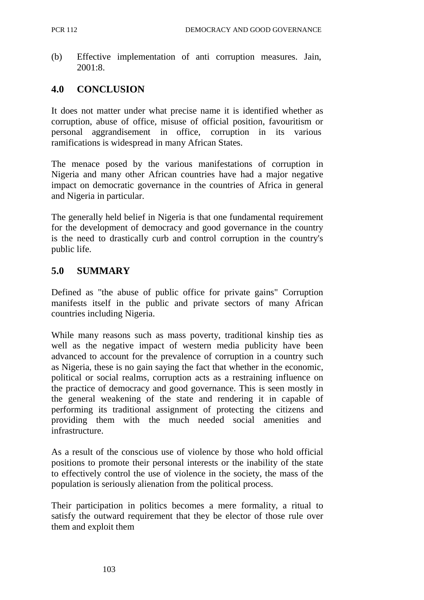(b) Effective implementation of anti corruption measures. Jain, 2001:8.

## **4.0 CONCLUSION**

It does not matter under what precise name it is identified whether as corruption, abuse of office, misuse of official position, favouritism or personal aggrandisement in office, corruption in its various ramifications is widespread in many African States.

The menace posed by the various manifestations of corruption in Nigeria and many other African countries have had a major negative impact on democratic governance in the countries of Africa in general and Nigeria in particular.

The generally held belief in Nigeria is that one fundamental requirement for the development of democracy and good governance in the country is the need to drastically curb and control corruption in the country's public life.

## **5.0 SUMMARY**

Defined as "the abuse of public office for private gains" Corruption manifests itself in the public and private sectors of many African countries including Nigeria.

While many reasons such as mass poverty, traditional kinship ties as well as the negative impact of western media publicity have been advanced to account for the prevalence of corruption in a country such as Nigeria, these is no gain saying the fact that whether in the economic, political or social realms, corruption acts as a restraining influence on the practice of democracy and good governance. This is seen mostly in the general weakening of the state and rendering it in capable of performing its traditional assignment of protecting the citizens and providing them with the much needed social amenities and infrastructure.

As a result of the conscious use of violence by those who hold official positions to promote their personal interests or the inability of the state to effectively control the use of violence in the society, the mass of the population is seriously alienation from the political process.

Their participation in politics becomes a mere formality, a ritual to satisfy the outward requirement that they be elector of those rule over them and exploit them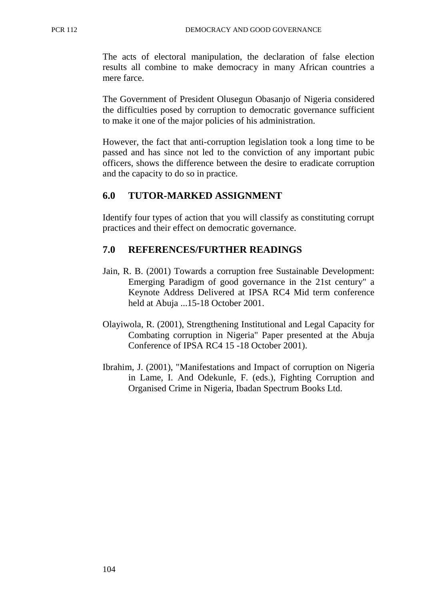The acts of electoral manipulation, the declaration of false election results all combine to make democracy in many African countries a mere farce.

The Government of President Olusegun Obasanjo of Nigeria considered the difficulties posed by corruption to democratic governance sufficient to make it one of the major policies of his administration.

However, the fact that anti-corruption legislation took a long time to be passed and has since not led to the conviction of any important pubic officers, shows the difference between the desire to eradicate corruption and the capacity to do so in practice.

#### **6.0 TUTOR-MARKED ASSIGNMENT**

Identify four types of action that you will classify as constituting corrupt practices and their effect on democratic governance.

#### **7.0 REFERENCES/FURTHER READINGS**

- Jain, R. B. (2001) Towards a corruption free Sustainable Development: Emerging Paradigm of good governance in the 21st century" a Keynote Address Delivered at IPSA RC4 Mid term conference held at Abuja ...15-18 October 2001.
- Olayiwola, R. (2001), Strengthening Institutional and Legal Capacity for Combating corruption in Nigeria" Paper presented at the Abuja Conference of IPSA RC4 15 -18 October 2001).
- Ibrahim, J. (2001), "Manifestations and Impact of corruption on Nigeria in Lame, I. And Odekunle, F. (eds.), Fighting Corruption and Organised Crime in Nigeria, Ibadan Spectrum Books Ltd.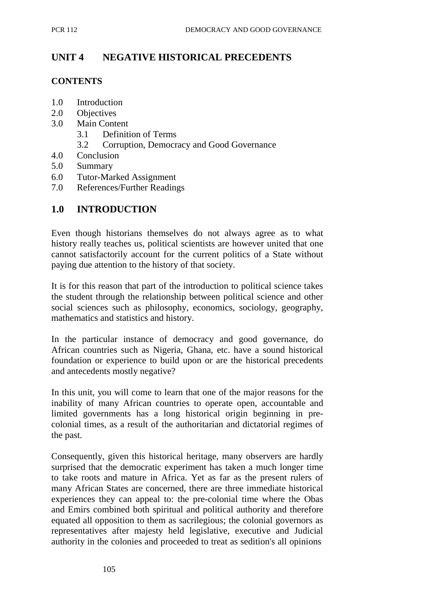## **UNIT 4 NEGATIVE HISTORICAL PRECEDENTS**

#### **CONTENTS**

- 1.0 Introduction
- 2.0 Objectives
- 3.0 Main Content
	- 3.1 Definition of Terms
	- 3.2 Corruption, Democracy and Good Governance
- 4.0 Conclusion
- 5.0 Summary
- 6.0 Tutor-Marked Assignment
- 7.0 References/Further Readings

## **1.0 INTRODUCTION**

Even though historians themselves do not always agree as to what history really teaches us, political scientists are however united that one cannot satisfactorily account for the current politics of a State without paying due attention to the history of that society.

It is for this reason that part of the introduction to political science takes the student through the relationship between political science and other social sciences such as philosophy, economics, sociology, geography, mathematics and statistics and history.

In the particular instance of democracy and good governance, do African countries such as Nigeria, Ghana, etc. have a sound historical foundation or experience to build upon or are the historical precedents and antecedents mostly negative?

In this unit, you will come to learn that one of the major reasons for the inability of many African countries to operate open, accountable and limited governments has a long historical origin beginning in precolonial times, as a result of the authoritarian and dictatorial regimes of the past.

Consequently, given this historical heritage, many observers are hardly surprised that the democratic experiment has taken a much longer time to take roots and mature in Africa. Yet as far as the present rulers of many African States are concerned, there are three immediate historical experiences they can appeal to: the pre-colonial time where the Obas and Emirs combined both spiritual and political authority and therefore equated all opposition to them as sacrilegious; the colonial governors as representatives after majesty held legislative, executive and Judicial authority in the colonies and proceeded to treat as sedition's all opinions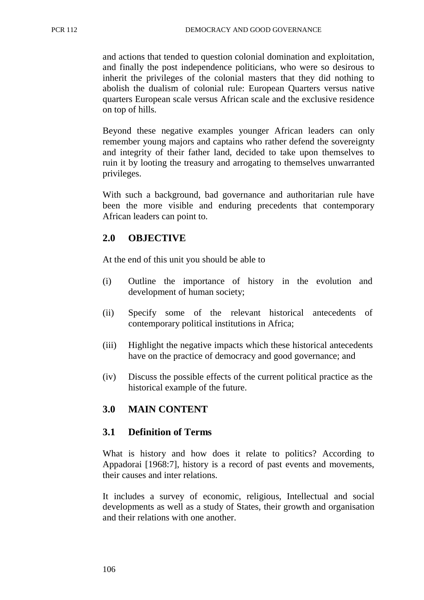and actions that tended to question colonial domination and exploitation, and finally the post independence politicians, who were so desirous to inherit the privileges of the colonial masters that they did nothing to abolish the dualism of colonial rule: European Quarters versus native quarters European scale versus African scale and the exclusive residence on top of hills.

Beyond these negative examples younger African leaders can only remember young majors and captains who rather defend the sovereignty and integrity of their father land, decided to take upon themselves to ruin it by looting the treasury and arrogating to themselves unwarranted privileges.

With such a background, bad governance and authoritarian rule have been the more visible and enduring precedents that contemporary African leaders can point to.

# **2.0 OBJECTIVE**

At the end of this unit you should be able to

- (i) Outline the importance of history in the evolution and development of human society;
- (ii) Specify some of the relevant historical antecedents of contemporary political institutions in Africa;
- (iii) Highlight the negative impacts which these historical antecedents have on the practice of democracy and good governance; and
- (iv) Discuss the possible effects of the current political practice as the historical example of the future.

# **3.0 MAIN CONTENT**

## **3.1 Definition of Terms**

What is history and how does it relate to politics? According to Appadorai [1968:7], history is a record of past events and movements, their causes and inter relations.

It includes a survey of economic, religious, Intellectual and social developments as well as a study of States, their growth and organisation and their relations with one another.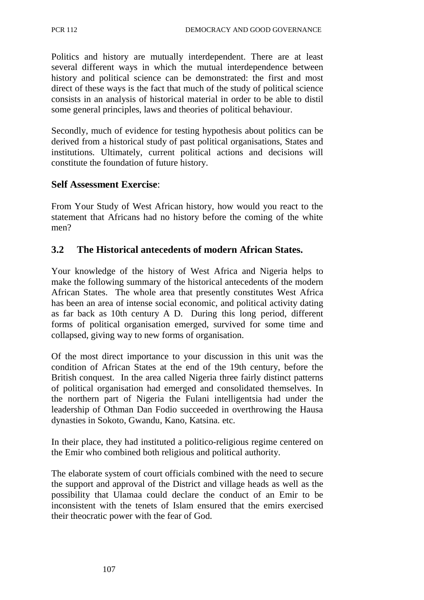Politics and history are mutually interdependent. There are at least several different ways in which the mutual interdependence between history and political science can be demonstrated: the first and most direct of these ways is the fact that much of the study of political science consists in an analysis of historical material in order to be able to distil some general principles, laws and theories of political behaviour.

Secondly, much of evidence for testing hypothesis about politics can be derived from a historical study of past political organisations, States and institutions. Ultimately, current political actions and decisions will constitute the foundation of future history.

#### **Self Assessment Exercise**:

From Your Study of West African history, how would you react to the statement that Africans had no history before the coming of the white men?

#### **3.2 The Historical antecedents of modern African States.**

Your knowledge of the history of West Africa and Nigeria helps to make the following summary of the historical antecedents of the modern African States. The whole area that presently constitutes West Africa has been an area of intense social economic, and political activity dating as far back as 10th century A D. During this long period, different forms of political organisation emerged, survived for some time and collapsed, giving way to new forms of organisation.

Of the most direct importance to your discussion in this unit was the condition of African States at the end of the 19th century, before the British conquest. In the area called Nigeria three fairly distinct patterns of political organisation had emerged and consolidated themselves. In the northern part of Nigeria the Fulani intelligentsia had under the leadership of Othman Dan Fodio succeeded in overthrowing the Hausa dynasties in Sokoto, Gwandu, Kano, Katsina. etc.

In their place, they had instituted a politico-religious regime centered on the Emir who combined both religious and political authority.

The elaborate system of court officials combined with the need to secure the support and approval of the District and village heads as well as the possibility that Ulamaa could declare the conduct of an Emir to be inconsistent with the tenets of Islam ensured that the emirs exercised their theocratic power with the fear of God.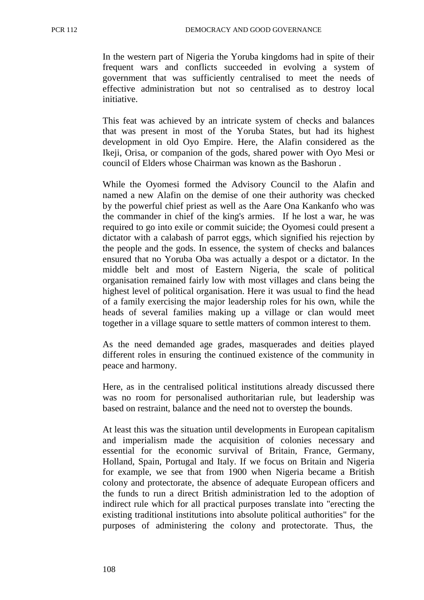In the western part of Nigeria the Yoruba kingdoms had in spite of their frequent wars and conflicts succeeded in evolving a system of government that was sufficiently centralised to meet the needs of effective administration but not so centralised as to destroy local initiative.

This feat was achieved by an intricate system of checks and balances that was present in most of the Yoruba States, but had its highest development in old Oyo Empire. Here, the Alafin considered as the Ikeji, Orisa, or companion of the gods, shared power with Oyo Mesi or council of Elders whose Chairman was known as the Bashorun .

While the Oyomesi formed the Advisory Council to the Alafin and named a new Alafin on the demise of one their authority was checked by the powerful chief priest as well as the Aare Ona Kankanfo who was the commander in chief of the king's armies. If he lost a war, he was required to go into exile or commit suicide; the Oyomesi could present a dictator with a calabash of parrot eggs, which signified his rejection by the people and the gods. In essence, the system of checks and balances ensured that no Yoruba Oba was actually a despot or a dictator. In the middle belt and most of Eastern Nigeria, the scale of political organisation remained fairly low with most villages and clans being the highest level of political organisation. Here it was usual to find the head of a family exercising the major leadership roles for his own, while the heads of several families making up a village or clan would meet together in a village square to settle matters of common interest to them.

As the need demanded age grades, masquerades and deities played different roles in ensuring the continued existence of the community in peace and harmony.

Here, as in the centralised political institutions already discussed there was no room for personalised authoritarian rule, but leadership was based on restraint, balance and the need not to overstep the bounds.

At least this was the situation until developments in European capitalism and imperialism made the acquisition of colonies necessary and essential for the economic survival of Britain, France, Germany, Holland, Spain, Portugal and Italy. If we focus on Britain and Nigeria for example, we see that from 1900 when Nigeria became a British colony and protectorate, the absence of adequate European officers and the funds to run a direct British administration led to the adoption of indirect rule which for all practical purposes translate into "erecting the existing traditional institutions into absolute political authorities" for the purposes of administering the colony and protectorate. Thus, the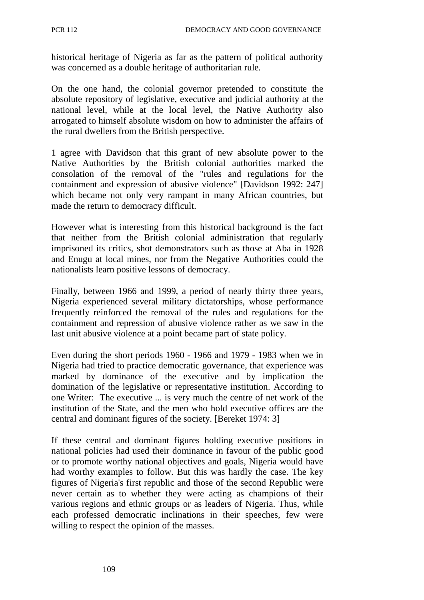historical heritage of Nigeria as far as the pattern of political authority was concerned as a double heritage of authoritarian rule.

On the one hand, the colonial governor pretended to constitute the absolute repository of legislative, executive and judicial authority at the national level, while at the local level, the Native Authority also arrogated to himself absolute wisdom on how to administer the affairs of the rural dwellers from the British perspective.

1 agree with Davidson that this grant of new absolute power to the Native Authorities by the British colonial authorities marked the consolation of the removal of the "rules and regulations for the containment and expression of abusive violence" [Davidson 1992: 247] which became not only very rampant in many African countries, but made the return to democracy difficult.

However what is interesting from this historical background is the fact that neither from the British colonial administration that regularly imprisoned its critics, shot demonstrators such as those at Aba in 1928 and Enugu at local mines, nor from the Negative Authorities could the nationalists learn positive lessons of democracy.

Finally, between 1966 and 1999, a period of nearly thirty three years, Nigeria experienced several military dictatorships, whose performance frequently reinforced the removal of the rules and regulations for the containment and repression of abusive violence rather as we saw in the last unit abusive violence at a point became part of state policy.

Even during the short periods 1960 - 1966 and 1979 - 1983 when we in Nigeria had tried to practice democratic governance, that experience was marked by dominance of the executive and by implication the domination of the legislative or representative institution. According to one Writer: The executive ... is very much the centre of net work of the institution of the State, and the men who hold executive offices are the central and dominant figures of the society. [Bereket 1974: 3]

If these central and dominant figures holding executive positions in national policies had used their dominance in favour of the public good or to promote worthy national objectives and goals, Nigeria would have had worthy examples to follow. But this was hardly the case. The key figures of Nigeria's first republic and those of the second Republic were never certain as to whether they were acting as champions of their various regions and ethnic groups or as leaders of Nigeria. Thus, while each professed democratic inclinations in their speeches, few were willing to respect the opinion of the masses.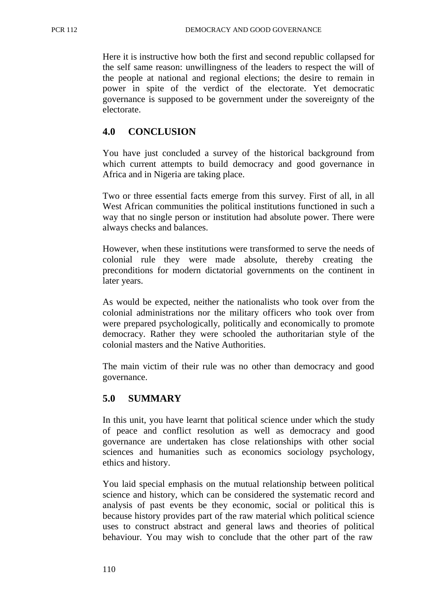Here it is instructive how both the first and second republic collapsed for the self same reason: unwillingness of the leaders to respect the will of the people at national and regional elections; the desire to remain in power in spite of the verdict of the electorate. Yet democratic governance is supposed to be government under the sovereignty of the electorate.

## **4.0 CONCLUSION**

You have just concluded a survey of the historical background from which current attempts to build democracy and good governance in Africa and in Nigeria are taking place.

Two or three essential facts emerge from this survey. First of all, in all West African communities the political institutions functioned in such a way that no single person or institution had absolute power. There were always checks and balances.

However, when these institutions were transformed to serve the needs of colonial rule they were made absolute, thereby creating the preconditions for modern dictatorial governments on the continent in later years.

As would be expected, neither the nationalists who took over from the colonial administrations nor the military officers who took over from were prepared psychologically, politically and economically to promote democracy. Rather they were schooled the authoritarian style of the colonial masters and the Native Authorities.

The main victim of their rule was no other than democracy and good governance.

## **5.0 SUMMARY**

In this unit, you have learnt that political science under which the study of peace and conflict resolution as well as democracy and good governance are undertaken has close relationships with other social sciences and humanities such as economics sociology psychology, ethics and history.

You laid special emphasis on the mutual relationship between political science and history, which can be considered the systematic record and analysis of past events be they economic, social or political this is because history provides part of the raw material which political science uses to construct abstract and general laws and theories of political behaviour. You may wish to conclude that the other part of the raw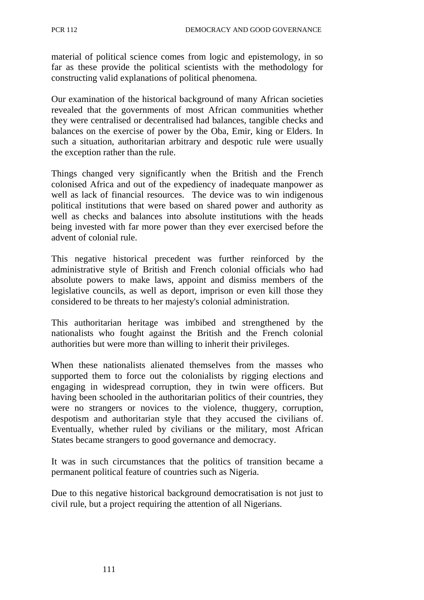material of political science comes from logic and epistemology, in so far as these provide the political scientists with the methodology for constructing valid explanations of political phenomena.

Our examination of the historical background of many African societies revealed that the governments of most African communities whether they were centralised or decentralised had balances, tangible checks and balances on the exercise of power by the Oba, Emir, king or Elders. In such a situation, authoritarian arbitrary and despotic rule were usually the exception rather than the rule.

Things changed very significantly when the British and the French colonised Africa and out of the expediency of inadequate manpower as well as lack of financial resources. The device was to win indigenous political institutions that were based on shared power and authority as well as checks and balances into absolute institutions with the heads being invested with far more power than they ever exercised before the advent of colonial rule.

This negative historical precedent was further reinforced by the administrative style of British and French colonial officials who had absolute powers to make laws, appoint and dismiss members of the legislative councils, as well as deport, imprison or even kill those they considered to be threats to her majesty's colonial administration.

This authoritarian heritage was imbibed and strengthened by the nationalists who fought against the British and the French colonial authorities but were more than willing to inherit their privileges.

When these nationalists alienated themselves from the masses who supported them to force out the colonialists by rigging elections and engaging in widespread corruption, they in twin were officers. But having been schooled in the authoritarian politics of their countries, they were no strangers or novices to the violence, thuggery, corruption, despotism and authoritarian style that they accused the civilians of. Eventually, whether ruled by civilians or the military, most African States became strangers to good governance and democracy.

It was in such circumstances that the politics of transition became a permanent political feature of countries such as Nigeria.

Due to this negative historical background democratisation is not just to civil rule, but a project requiring the attention of all Nigerians.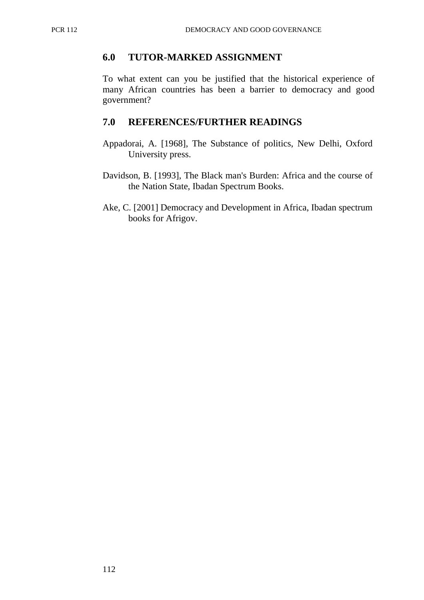#### **6.0 TUTOR-MARKED ASSIGNMENT**

To what extent can you be justified that the historical experience of many African countries has been a barrier to democracy and good government?

#### **7.0 REFERENCES/FURTHER READINGS**

- Appadorai, A. [1968], The Substance of politics, New Delhi, Oxford University press.
- Davidson, B. [1993], The Black man's Burden: Africa and the course of the Nation State, Ibadan Spectrum Books.
- Ake, C. [2001] Democracy and Development in Africa, Ibadan spectrum books for Afrigov.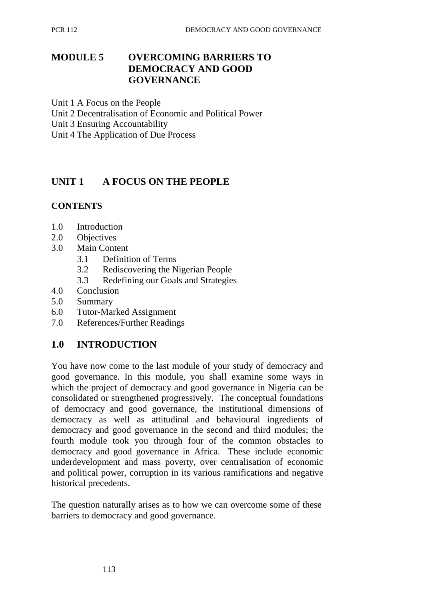## **MODULE 5 OVERCOMING BARRIERS TO DEMOCRACY AND GOOD GOVERNANCE**

Unit 1 A Focus on the People

- Unit 2 Decentralisation of Economic and Political Power
- Unit 3 Ensuring Accountability
- Unit 4 The Application of Due Process

# **UNIT 1 A FOCUS ON THE PEOPLE**

#### **CONTENTS**

- 1.0 Introduction
- 2.0 Objectives
- 3.0 Main Content
	- 3.1 Definition of Terms
	- 3.2 Rediscovering the Nigerian People
	- 3.3 Redefining our Goals and Strategies
- 4.0 Conclusion
- 5.0 Summary
- 6.0 Tutor-Marked Assignment
- 7.0 References/Further Readings

## **1.0 INTRODUCTION**

You have now come to the last module of your study of democracy and good governance. In this module, you shall examine some ways in which the project of democracy and good governance in Nigeria can be consolidated or strengthened progressively. The conceptual foundations of democracy and good governance, the institutional dimensions of democracy as well as attitudinal and behavioural ingredients of democracy and good governance in the second and third modules; the fourth module took you through four of the common obstacles to democracy and good governance in Africa. These include economic underdevelopment and mass poverty, over centralisation of economic and political power, corruption in its various ramifications and negative historical precedents.

The question naturally arises as to how we can overcome some of these barriers to democracy and good governance.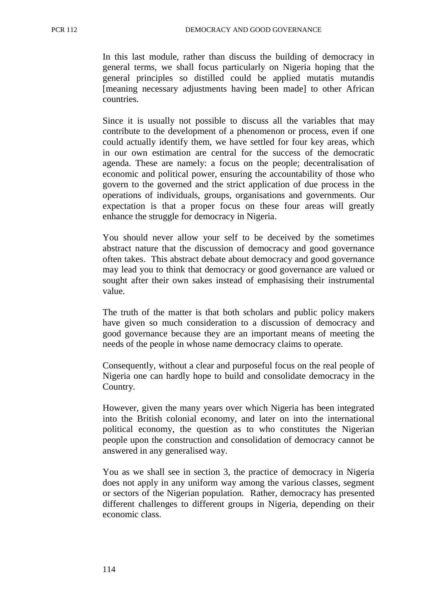In this last module, rather than discuss the building of democracy in general terms, we shall focus particularly on Nigeria hoping that the general principles so distilled could be applied mutatis mutandis [meaning necessary adjustments having been made] to other African countries.

Since it is usually not possible to discuss all the variables that may contribute to the development of a phenomenon or process, even if one could actually identify them, we have settled for four key areas, which in our own estimation are central for the success of the democratic agenda. These are namely: a focus on the people; decentralisation of economic and political power, ensuring the accountability of those who govern to the governed and the strict application of due process in the operations of individuals, groups, organisations and governments. Our expectation is that a proper focus on these four areas will greatly enhance the struggle for democracy in Nigeria.

You should never allow your self to be deceived by the sometimes abstract nature that the discussion of democracy and good governance often takes. This abstract debate about democracy and good governance may lead you to think that democracy or good governance are valued or sought after their own sakes instead of emphasising their instrumental value.

The truth of the matter is that both scholars and public policy makers have given so much consideration to a discussion of democracy and good governance because they are an important means of meeting the needs of the people in whose name democracy claims to operate.

Consequently, without a clear and purposeful focus on the real people of Nigeria one can hardly hope to build and consolidate democracy in the Country.

However, given the many years over which Nigeria has been integrated into the British colonial economy, and later on into the international political economy, the question as to who constitutes the Nigerian people upon the construction and consolidation of democracy cannot be answered in any generalised way.

You as we shall see in section 3, the practice of democracy in Nigeria does not apply in any uniform way among the various classes, segment or sectors of the Nigerian population. Rather, democracy has presented different challenges to different groups in Nigeria, depending on their economic class.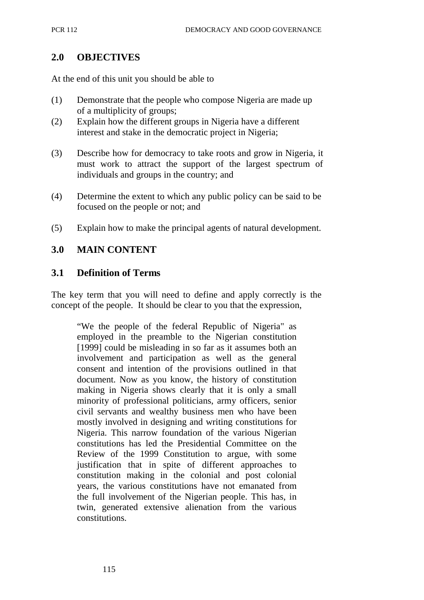#### **2.0 OBJECTIVES**

At the end of this unit you should be able to

- (1) Demonstrate that the people who compose Nigeria are made up of a multiplicity of groups;
- (2) Explain how the different groups in Nigeria have a different interest and stake in the democratic project in Nigeria;
- (3) Describe how for democracy to take roots and grow in Nigeria, it must work to attract the support of the largest spectrum of individuals and groups in the country; and
- (4) Determine the extent to which any public policy can be said to be focused on the people or not; and
- (5) Explain how to make the principal agents of natural development.

## **3.0 MAIN CONTENT**

#### **3.1 Definition of Terms**

The key term that you will need to define and apply correctly is the concept of the people. It should be clear to you that the expression,

"We the people of the federal Republic of Nigeria" as employed in the preamble to the Nigerian constitution [1999] could be misleading in so far as it assumes both an involvement and participation as well as the general consent and intention of the provisions outlined in that document. Now as you know, the history of constitution making in Nigeria shows clearly that it is only a small minority of professional politicians, army officers, senior civil servants and wealthy business men who have been mostly involved in designing and writing constitutions for Nigeria. This narrow foundation of the various Nigerian constitutions has led the Presidential Committee on the Review of the 1999 Constitution to argue, with some justification that in spite of different approaches to constitution making in the colonial and post colonial years, the various constitutions have not emanated from the full involvement of the Nigerian people. This has, in twin, generated extensive alienation from the various constitutions.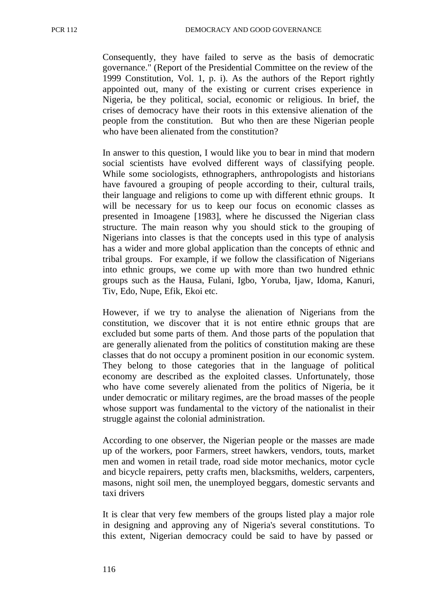Consequently, they have failed to serve as the basis of democratic governance." (Report of the Presidential Committee on the review of the 1999 Constitution, Vol. 1, p. i). As the authors of the Report rightly appointed out, many of the existing or current crises experience in Nigeria, be they political, social, economic or religious. In brief, the crises of democracy have their roots in this extensive alienation of the people from the constitution. But who then are these Nigerian people who have been alienated from the constitution?

In answer to this question, I would like you to bear in mind that modern social scientists have evolved different ways of classifying people. While some sociologists, ethnographers, anthropologists and historians have favoured a grouping of people according to their, cultural trails, their language and religions to come up with different ethnic groups. It will be necessary for us to keep our focus on economic classes as presented in Imoagene [1983], where he discussed the Nigerian class structure. The main reason why you should stick to the grouping of Nigerians into classes is that the concepts used in this type of analysis has a wider and more global application than the concepts of ethnic and tribal groups. For example, if we follow the classification of Nigerians into ethnic groups, we come up with more than two hundred ethnic groups such as the Hausa, Fulani, Igbo, Yoruba, Ijaw, Idoma, Kanuri, Tiv, Edo, Nupe, Efik, Ekoi etc.

However, if we try to analyse the alienation of Nigerians from the constitution, we discover that it is not entire ethnic groups that are excluded but some parts of them. And those parts of the population that are generally alienated from the politics of constitution making are these classes that do not occupy a prominent position in our economic system. They belong to those categories that in the language of political economy are described as the exploited classes. Unfortunately, those who have come severely alienated from the politics of Nigeria, be it under democratic or military regimes, are the broad masses of the people whose support was fundamental to the victory of the nationalist in their struggle against the colonial administration.

According to one observer, the Nigerian people or the masses are made up of the workers, poor Farmers, street hawkers, vendors, touts, market men and women in retail trade, road side motor mechanics, motor cycle and bicycle repairers, petty crafts men, blacksmiths, welders, carpenters, masons, night soil men, the unemployed beggars, domestic servants and taxi drivers

It is clear that very few members of the groups listed play a major role in designing and approving any of Nigeria's several constitutions. To this extent, Nigerian democracy could be said to have by passed or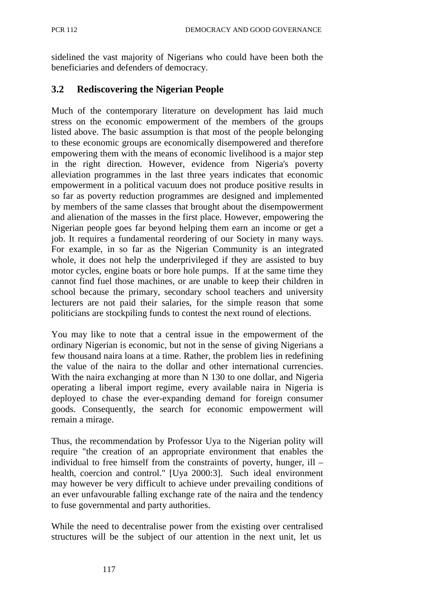sidelined the vast majority of Nigerians who could have been both the beneficiaries and defenders of democracy.

## **3.2 Rediscovering the Nigerian People**

Much of the contemporary literature on development has laid much stress on the economic empowerment of the members of the groups listed above. The basic assumption is that most of the people belonging to these economic groups are economically disempowered and therefore empowering them with the means of economic livelihood is a major step in the right direction. However, evidence from Nigeria's poverty alleviation programmes in the last three years indicates that economic empowerment in a political vacuum does not produce positive results in so far as poverty reduction programmes are designed and implemented by members of the same classes that brought about the disempowerment and alienation of the masses in the first place. However, empowering the Nigerian people goes far beyond helping them earn an income or get a job. It requires a fundamental reordering of our Society in many ways. For example, in so far as the Nigerian Community is an integrated whole, it does not help the underprivileged if they are assisted to buy motor cycles, engine boats or bore hole pumps. If at the same time they cannot find fuel those machines, or are unable to keep their children in school because the primary, secondary school teachers and university lecturers are not paid their salaries, for the simple reason that some politicians are stockpiling funds to contest the next round of elections.

You may like to note that a central issue in the empowerment of the ordinary Nigerian is economic, but not in the sense of giving Nigerians a few thousand naira loans at a time. Rather, the problem lies in redefining the value of the naira to the dollar and other international currencies. With the naira exchanging at more than N 130 to one dollar, and Nigeria operating a liberal import regime, every available naira in Nigeria is deployed to chase the ever-expanding demand for foreign consumer goods. Consequently, the search for economic empowerment will remain a mirage.

Thus, the recommendation by Professor Uya to the Nigerian polity will require "the creation of an appropriate environment that enables the individual to free himself from the constraints of poverty, hunger, ill – health, coercion and control." [Uya 2000:3]. Such ideal environment may however be very difficult to achieve under prevailing conditions of an ever unfavourable falling exchange rate of the naira and the tendency to fuse governmental and party authorities.

While the need to decentralise power from the existing over centralised structures will be the subject of our attention in the next unit, let us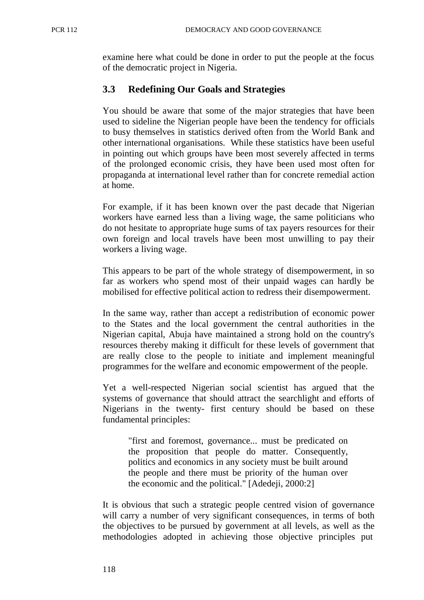examine here what could be done in order to put the people at the focus of the democratic project in Nigeria.

## **3.3 Redefining Our Goals and Strategies**

You should be aware that some of the major strategies that have been used to sideline the Nigerian people have been the tendency for officials to busy themselves in statistics derived often from the World Bank and other international organisations. While these statistics have been useful in pointing out which groups have been most severely affected in terms of the prolonged economic crisis, they have been used most often for propaganda at international level rather than for concrete remedial action at home.

For example, if it has been known over the past decade that Nigerian workers have earned less than a living wage, the same politicians who do not hesitate to appropriate huge sums of tax payers resources for their own foreign and local travels have been most unwilling to pay their workers a living wage.

This appears to be part of the whole strategy of disempowerment, in so far as workers who spend most of their unpaid wages can hardly be mobilised for effective political action to redress their disempowerment.

In the same way, rather than accept a redistribution of economic power to the States and the local government the central authorities in the Nigerian capital, Abuja have maintained a strong hold on the country's resources thereby making it difficult for these levels of government that are really close to the people to initiate and implement meaningful programmes for the welfare and economic empowerment of the people.

Yet a well-respected Nigerian social scientist has argued that the systems of governance that should attract the searchlight and efforts of Nigerians in the twenty- first century should be based on these fundamental principles:

"first and foremost, governance... must be predicated on the proposition that people do matter. Consequently, politics and economics in any society must be built around the people and there must be priority of the human over the economic and the political." [Adedeji, 2000:2]

It is obvious that such a strategic people centred vision of governance will carry a number of very significant consequences, in terms of both the objectives to be pursued by government at all levels, as well as the methodologies adopted in achieving those objective principles put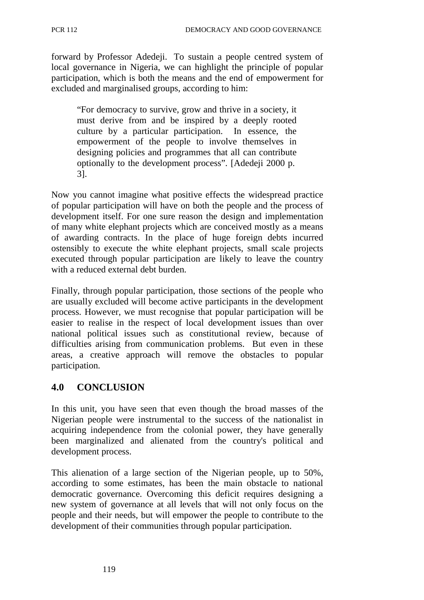forward by Professor Adedeji. To sustain a people centred system of local governance in Nigeria, we can highlight the principle of popular participation, which is both the means and the end of empowerment for excluded and marginalised groups, according to him:

"For democracy to survive, grow and thrive in a society, it must derive from and be inspired by a deeply rooted culture by a particular participation. In essence, the empowerment of the people to involve themselves in designing policies and programmes that all can contribute optionally to the development process". [Adedeji 2000 p. 3].

Now you cannot imagine what positive effects the widespread practice of popular participation will have on both the people and the process of development itself. For one sure reason the design and implementation of many white elephant projects which are conceived mostly as a means of awarding contracts. In the place of huge foreign debts incurred ostensibly to execute the white elephant projects, small scale projects executed through popular participation are likely to leave the country with a reduced external debt burden.

Finally, through popular participation, those sections of the people who are usually excluded will become active participants in the development process. However, we must recognise that popular participation will be easier to realise in the respect of local development issues than over national political issues such as constitutional review, because of difficulties arising from communication problems. But even in these areas, a creative approach will remove the obstacles to popular participation.

# **4.0 CONCLUSION**

In this unit, you have seen that even though the broad masses of the Nigerian people were instrumental to the success of the nationalist in acquiring independence from the colonial power, they have generally been marginalized and alienated from the country's political and development process.

This alienation of a large section of the Nigerian people, up to 50%, according to some estimates, has been the main obstacle to national democratic governance. Overcoming this deficit requires designing a new system of governance at all levels that will not only focus on the people and their needs, but will empower the people to contribute to the development of their communities through popular participation.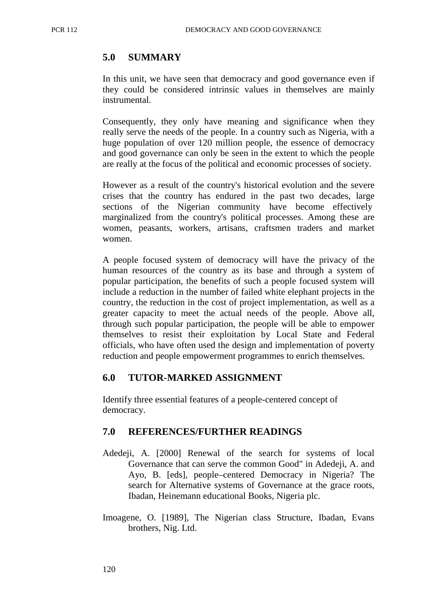### **5.0 SUMMARY**

In this unit, we have seen that democracy and good governance even if they could be considered intrinsic values in themselves are mainly instrumental.

Consequently, they only have meaning and significance when they really serve the needs of the people. In a country such as Nigeria, with a huge population of over 120 million people, the essence of democracy and good governance can only be seen in the extent to which the people are really at the focus of the political and economic processes of society.

However as a result of the country's historical evolution and the severe crises that the country has endured in the past two decades, large sections of the Nigerian community have become effectively marginalized from the country's political processes. Among these are women, peasants, workers, artisans, craftsmen traders and market women.

A people focused system of democracy will have the privacy of the human resources of the country as its base and through a system of popular participation, the benefits of such a people focused system will include a reduction in the number of failed white elephant projects in the country, the reduction in the cost of project implementation, as well as a greater capacity to meet the actual needs of the people. Above all, through such popular participation, the people will be able to empower themselves to resist their exploitation by Local State and Federal officials, who have often used the design and implementation of poverty reduction and people empowerment programmes to enrich themselves.

#### **6.0 TUTOR-MARKED ASSIGNMENT**

Identify three essential features of a people-centered concept of democracy.

#### **7.0 REFERENCES/FURTHER READINGS**

- Adedeji, A. [2000] Renewal of the search for systems of local Governance that can serve the common Good" in Adedeji, A. and Ayo, B. [eds], people–centered Democracy in Nigeria? The search for Alternative systems of Governance at the grace roots, Ibadan, Heinemann educational Books, Nigeria plc.
- Imoagene, O. [1989], The Nigerian class Structure, Ibadan, Evans brothers, Nig. Ltd.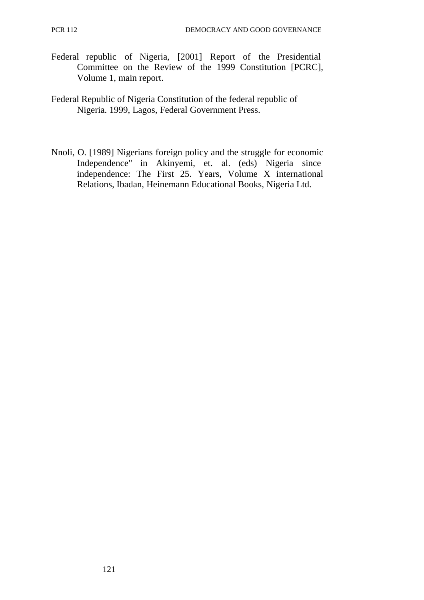- Federal republic of Nigeria, [2001] Report of the Presidential Committee on the Review of the 1999 Constitution [PCRC], Volume 1, main report.
- Federal Republic of Nigeria Constitution of the federal republic of Nigeria. 1999, Lagos, Federal Government Press.
- Nnoli, O. [1989] Nigerians foreign policy and the struggle for economic Independence" in Akinyemi, et. al. (eds) Nigeria since independence: The First 25. Years, Volume X international Relations, Ibadan, Heinemann Educational Books, Nigeria Ltd.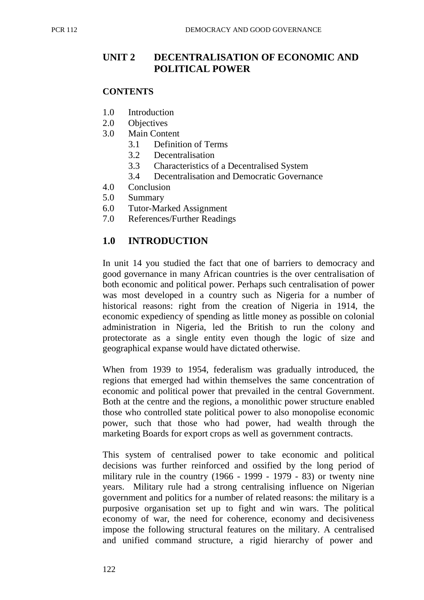## **UNIT 2 DECENTRALISATION OF ECONOMIC AND POLITICAL POWER**

#### **CONTENTS**

- 1.0 Introduction
- 2.0 Objectives
- 3.0 Main Content
	- 3.1 Definition of Terms
	- 3.2 Decentralisation
	- 3.3 Characteristics of a Decentralised System
	- 3.4 Decentralisation and Democratic Governance
- 4.0 Conclusion
- 5.0 Summary
- 6.0 Tutor-Marked Assignment
- 7.0 References/Further Readings

## **1.0 INTRODUCTION**

In unit 14 you studied the fact that one of barriers to democracy and good governance in many African countries is the over centralisation of both economic and political power. Perhaps such centralisation of power was most developed in a country such as Nigeria for a number of historical reasons: right from the creation of Nigeria in 1914, the economic expediency of spending as little money as possible on colonial administration in Nigeria, led the British to run the colony and protectorate as a single entity even though the logic of size and geographical expanse would have dictated otherwise.

When from 1939 to 1954, federalism was gradually introduced, the regions that emerged had within themselves the same concentration of economic and political power that prevailed in the central Government. Both at the centre and the regions, a monolithic power structure enabled those who controlled state political power to also monopolise economic power, such that those who had power, had wealth through the marketing Boards for export crops as well as government contracts.

This system of centralised power to take economic and political decisions was further reinforced and ossified by the long period of military rule in the country (1966 - 1999 - 1979 - 83) or twenty nine years. Military rule had a strong centralising influence on Nigerian government and politics for a number of related reasons: the military is a purposive organisation set up to fight and win wars. The political economy of war, the need for coherence, economy and decisiveness impose the following structural features on the military. A centralised and unified command structure, a rigid hierarchy of power and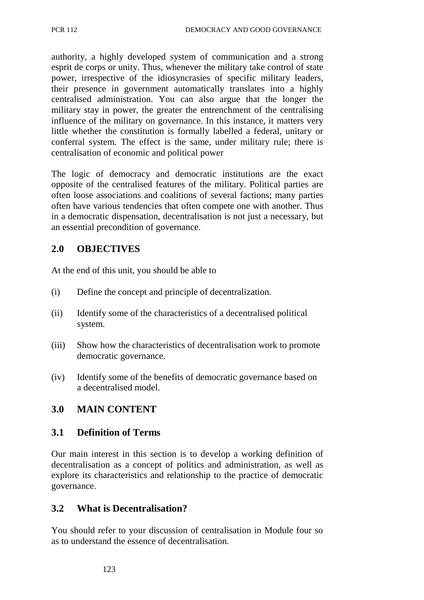authority, a highly developed system of communication and a strong esprit de corps or unity. Thus, whenever the military take control of state power, irrespective of the idiosyncrasies of specific military leaders, their presence in government automatically translates into a highly centralised administration. You can also argue that the longer the military stay in power, the greater the entrenchment of the centralising influence of the military on governance. In this instance, it matters very little whether the constitution is formally labelled a federal, unitary or conferral system. The effect is the same, under military rule; there is centralisation of economic and political power

The logic of democracy and democratic institutions are the exact opposite of the centralised features of the military. Political parties are often loose associations and coalitions of several factions; many parties often have various tendencies that often compete one with another. Thus in a democratic dispensation, decentralisation is not just a necessary, but an essential precondition of governance.

# **2.0 OBJECTIVES**

At the end of this unit, you should be able to

- (i) Define the concept and principle of decentralization.
- (ii) Identify some of the characteristics of a decentralised political system.
- (iii) Show how the characteristics of decentralisation work to promote democratic governance.
- (iv) Identify some of the benefits of democratic governance based on a decentralised model.

# **3.0 MAIN CONTENT**

## **3.1 Definition of Terms**

Our main interest in this section is to develop a working definition of decentralisation as a concept of politics and administration, as well as explore its characteristics and relationship to the practice of democratic governance.

# **3.2 What is Decentralisation?**

You should refer to your discussion of centralisation in Module four so as to understand the essence of decentralisation.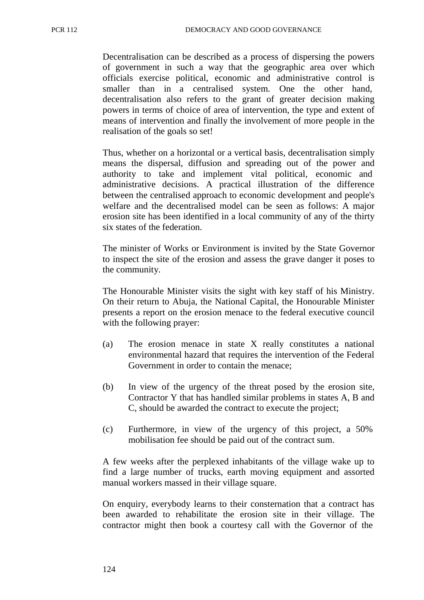Decentralisation can be described as a process of dispersing the powers of government in such a way that the geographic area over which officials exercise political, economic and administrative control is smaller than in a centralised system. One the other hand, decentralisation also refers to the grant of greater decision making powers in terms of choice of area of intervention, the type and extent of means of intervention and finally the involvement of more people in the realisation of the goals so set!

Thus, whether on a horizontal or a vertical basis, decentralisation simply means the dispersal, diffusion and spreading out of the power and authority to take and implement vital political, economic and administrative decisions. A practical illustration of the difference between the centralised approach to economic development and people's welfare and the decentralised model can be seen as follows: A major erosion site has been identified in a local community of any of the thirty six states of the federation.

The minister of Works or Environment is invited by the State Governor to inspect the site of the erosion and assess the grave danger it poses to the community.

The Honourable Minister visits the sight with key staff of his Ministry. On their return to Abuja, the National Capital, the Honourable Minister presents a report on the erosion menace to the federal executive council with the following prayer:

- (a) The erosion menace in state X really constitutes a national environmental hazard that requires the intervention of the Federal Government in order to contain the menace;
- (b) In view of the urgency of the threat posed by the erosion site, Contractor Y that has handled similar problems in states A, B and C, should be awarded the contract to execute the project;
- (c) Furthermore, in view of the urgency of this project, a 50% mobilisation fee should be paid out of the contract sum.

A few weeks after the perplexed inhabitants of the village wake up to find a large number of trucks, earth moving equipment and assorted manual workers massed in their village square.

On enquiry, everybody learns to their consternation that a contract has been awarded to rehabilitate the erosion site in their village. The contractor might then book a courtesy call with the Governor of the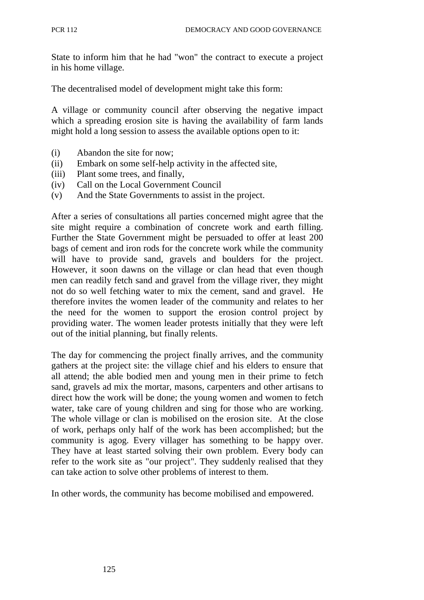State to inform him that he had "won" the contract to execute a project in his home village.

The decentralised model of development might take this form:

A village or community council after observing the negative impact which a spreading erosion site is having the availability of farm lands might hold a long session to assess the available options open to it:

- (i) Abandon the site for now;
- (ii) Embark on some self-help activity in the affected site,
- (iii) Plant some trees, and finally,
- (iv) Call on the Local Government Council
- (v) And the State Governments to assist in the project.

After a series of consultations all parties concerned might agree that the site might require a combination of concrete work and earth filling. Further the State Government might be persuaded to offer at least 200 bags of cement and iron rods for the concrete work while the community will have to provide sand, gravels and boulders for the project. However, it soon dawns on the village or clan head that even though men can readily fetch sand and gravel from the village river, they might not do so well fetching water to mix the cement, sand and gravel. He therefore invites the women leader of the community and relates to her the need for the women to support the erosion control project by providing water. The women leader protests initially that they were left out of the initial planning, but finally relents.

The day for commencing the project finally arrives, and the community gathers at the project site: the village chief and his elders to ensure that all attend; the able bodied men and young men in their prime to fetch sand, gravels ad mix the mortar, masons, carpenters and other artisans to direct how the work will be done; the young women and women to fetch water, take care of young children and sing for those who are working. The whole village or clan is mobilised on the erosion site. At the close of work, perhaps only half of the work has been accomplished; but the community is agog. Every villager has something to be happy over. They have at least started solving their own problem. Every body can refer to the work site as "our project". They suddenly realised that they can take action to solve other problems of interest to them.

In other words, the community has become mobilised and empowered.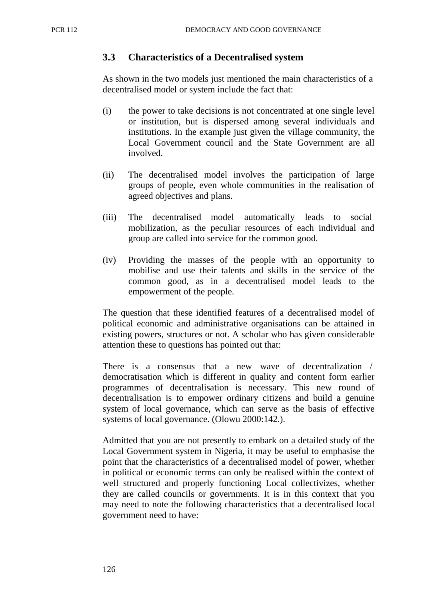#### **3.3 Characteristics of a Decentralised system**

As shown in the two models just mentioned the main characteristics of a decentralised model or system include the fact that:

- (i) the power to take decisions is not concentrated at one single level or institution, but is dispersed among several individuals and institutions. In the example just given the village community, the Local Government council and the State Government are all involved.
- (ii) The decentralised model involves the participation of large groups of people, even whole communities in the realisation of agreed objectives and plans.
- (iii) The decentralised model automatically leads to social mobilization, as the peculiar resources of each individual and group are called into service for the common good.
- (iv) Providing the masses of the people with an opportunity to mobilise and use their talents and skills in the service of the common good, as in a decentralised model leads to the empowerment of the people.

The question that these identified features of a decentralised model of political economic and administrative organisations can be attained in existing powers, structures or not. A scholar who has given considerable attention these to questions has pointed out that:

There is a consensus that a new wave of decentralization / democratisation which is different in quality and content form earlier programmes of decentralisation is necessary. This new round of decentralisation is to empower ordinary citizens and build a genuine system of local governance, which can serve as the basis of effective systems of local governance. (Olowu 2000:142.).

Admitted that you are not presently to embark on a detailed study of the Local Government system in Nigeria, it may be useful to emphasise the point that the characteristics of a decentralised model of power, whether in political or economic terms can only be realised within the context of well structured and properly functioning Local collectivizes, whether they are called councils or governments. It is in this context that you may need to note the following characteristics that a decentralised local government need to have: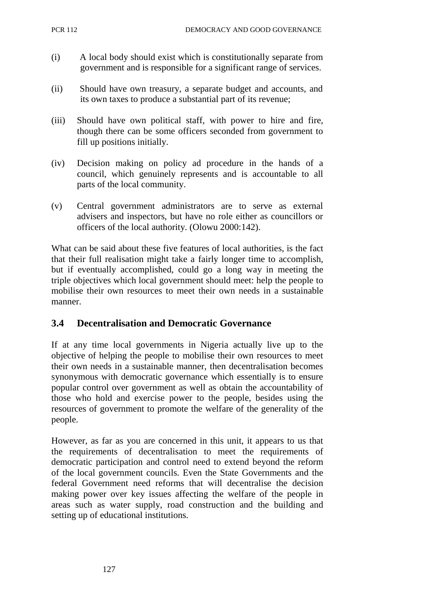- (i) A local body should exist which is constitutionally separate from government and is responsible for a significant range of services.
- (ii) Should have own treasury, a separate budget and accounts, and its own taxes to produce a substantial part of its revenue;
- (iii) Should have own political staff, with power to hire and fire, though there can be some officers seconded from government to fill up positions initially.
- (iv) Decision making on policy ad procedure in the hands of a council, which genuinely represents and is accountable to all parts of the local community.
- (v) Central government administrators are to serve as external advisers and inspectors, but have no role either as councillors or officers of the local authority. (Olowu 2000:142).

What can be said about these five features of local authorities, is the fact that their full realisation might take a fairly longer time to accomplish, but if eventually accomplished, could go a long way in meeting the triple objectives which local government should meet: help the people to mobilise their own resources to meet their own needs in a sustainable manner.

## **3.4 Decentralisation and Democratic Governance**

If at any time local governments in Nigeria actually live up to the objective of helping the people to mobilise their own resources to meet their own needs in a sustainable manner, then decentralisation becomes synonymous with democratic governance which essentially is to ensure popular control over government as well as obtain the accountability of those who hold and exercise power to the people, besides using the resources of government to promote the welfare of the generality of the people.

However, as far as you are concerned in this unit, it appears to us that the requirements of decentralisation to meet the requirements of democratic participation and control need to extend beyond the reform of the local government councils. Even the State Governments and the federal Government need reforms that will decentralise the decision making power over key issues affecting the welfare of the people in areas such as water supply, road construction and the building and setting up of educational institutions.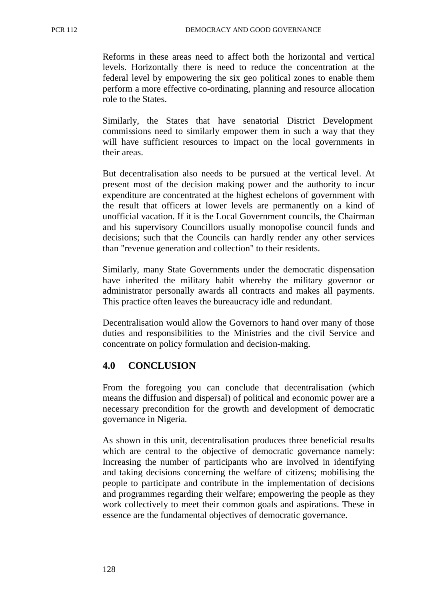Reforms in these areas need to affect both the horizontal and vertical levels. Horizontally there is need to reduce the concentration at the federal level by empowering the six geo political zones to enable them perform a more effective co-ordinating, planning and resource allocation role to the States.

Similarly, the States that have senatorial District Development commissions need to similarly empower them in such a way that they will have sufficient resources to impact on the local governments in their areas.

But decentralisation also needs to be pursued at the vertical level. At present most of the decision making power and the authority to incur expenditure are concentrated at the highest echelons of government with the result that officers at lower levels are permanently on a kind of unofficial vacation. If it is the Local Government councils, the Chairman and his supervisory Councillors usually monopolise council funds and decisions; such that the Councils can hardly render any other services than "revenue generation and collection" to their residents.

Similarly, many State Governments under the democratic dispensation have inherited the military habit whereby the military governor or administrator personally awards all contracts and makes all payments. This practice often leaves the bureaucracy idle and redundant.

Decentralisation would allow the Governors to hand over many of those duties and responsibilities to the Ministries and the civil Service and concentrate on policy formulation and decision-making.

## **4.0 CONCLUSION**

From the foregoing you can conclude that decentralisation (which means the diffusion and dispersal) of political and economic power are a necessary precondition for the growth and development of democratic governance in Nigeria.

As shown in this unit, decentralisation produces three beneficial results which are central to the objective of democratic governance namely: Increasing the number of participants who are involved in identifying and taking decisions concerning the welfare of citizens; mobilising the people to participate and contribute in the implementation of decisions and programmes regarding their welfare; empowering the people as they work collectively to meet their common goals and aspirations. These in essence are the fundamental objectives of democratic governance.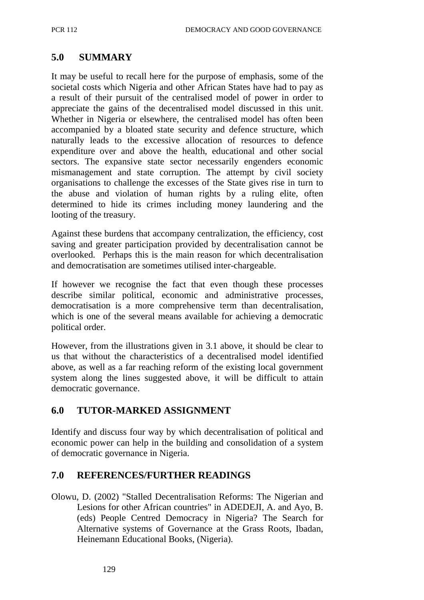## **5.0 SUMMARY**

It may be useful to recall here for the purpose of emphasis, some of the societal costs which Nigeria and other African States have had to pay as a result of their pursuit of the centralised model of power in order to appreciate the gains of the decentralised model discussed in this unit. Whether in Nigeria or elsewhere, the centralised model has often been accompanied by a bloated state security and defence structure, which naturally leads to the excessive allocation of resources to defence expenditure over and above the health, educational and other social sectors. The expansive state sector necessarily engenders economic mismanagement and state corruption. The attempt by civil society organisations to challenge the excesses of the State gives rise in turn to the abuse and violation of human rights by a ruling elite, often determined to hide its crimes including money laundering and the looting of the treasury.

Against these burdens that accompany centralization, the efficiency, cost saving and greater participation provided by decentralisation cannot be overlooked. Perhaps this is the main reason for which decentralisation and democratisation are sometimes utilised inter-chargeable.

If however we recognise the fact that even though these processes describe similar political, economic and administrative processes, democratisation is a more comprehensive term than decentralisation, which is one of the several means available for achieving a democratic political order.

However, from the illustrations given in 3.1 above, it should be clear to us that without the characteristics of a decentralised model identified above, as well as a far reaching reform of the existing local government system along the lines suggested above, it will be difficult to attain democratic governance.

## **6.0 TUTOR-MARKED ASSIGNMENT**

Identify and discuss four way by which decentralisation of political and economic power can help in the building and consolidation of a system of democratic governance in Nigeria.

### **7.0 REFERENCES/FURTHER READINGS**

Olowu, D. (2002) "Stalled Decentralisation Reforms: The Nigerian and Lesions for other African countries" in ADEDEJI, A. and Ayo, B. (eds) People Centred Democracy in Nigeria? The Search for Alternative systems of Governance at the Grass Roots, Ibadan, Heinemann Educational Books, (Nigeria).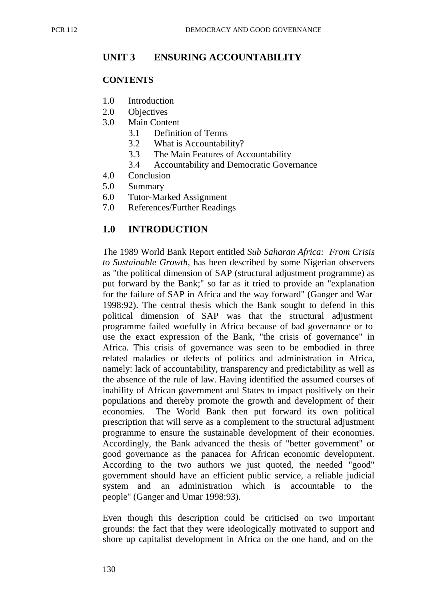## **UNIT 3 ENSURING ACCOUNTABILITY**

#### **CONTENTS**

- 1.0 Introduction
- 2.0 Objectives
- 3.0 Main Content
	- 3.1 Definition of Terms
	- 3.2 What is Accountability?
	- 3.3 The Main Features of Accountability
	- 3.4 Accountability and Democratic Governance
- 4.0 Conclusion
- 5.0 Summary
- 6.0 Tutor-Marked Assignment
- 7.0 References/Further Readings

## **1.0 INTRODUCTION**

The 1989 World Bank Report entitled *Sub Saharan Africa: From Crisis to Sustainable Growth,* has been described by some Nigerian observers as "the political dimension of SAP (structural adjustment programme) as put forward by the Bank;" so far as it tried to provide an "explanation for the failure of SAP in Africa and the way forward" (Ganger and War 1998:92). The central thesis which the Bank sought to defend in this political dimension of SAP was that the structural adjustment programme failed woefully in Africa because of bad governance or to use the exact expression of the Bank, "the crisis of governance" in Africa. This crisis of governance was seen to be embodied in three related maladies or defects of politics and administration in Africa, namely: lack of accountability, transparency and predictability as well as the absence of the rule of law. Having identified the assumed courses of inability of African government and States to impact positively on their populations and thereby promote the growth and development of their economies. The World Bank then put forward its own political prescription that will serve as a complement to the structural adjustment programme to ensure the sustainable development of their economies. Accordingly, the Bank advanced the thesis of "better government" or good governance as the panacea for African economic development. According to the two authors we just quoted, the needed "good" government should have an efficient public service, a reliable judicial system and an administration which is accountable to the people" (Ganger and Umar 1998:93).

Even though this description could be criticised on two important grounds: the fact that they were ideologically motivated to support and shore up capitalist development in Africa on the one hand, and on the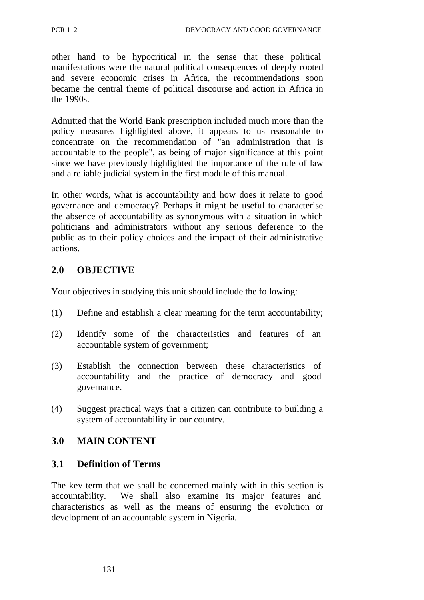other hand to be hypocritical in the sense that these political manifestations were the natural political consequences of deeply rooted and severe economic crises in Africa, the recommendations soon became the central theme of political discourse and action in Africa in the 1990s.

Admitted that the World Bank prescription included much more than the policy measures highlighted above, it appears to us reasonable to concentrate on the recommendation of "an administration that is accountable to the people", as being of major significance at this point since we have previously highlighted the importance of the rule of law and a reliable judicial system in the first module of this manual.

In other words, what is accountability and how does it relate to good governance and democracy? Perhaps it might be useful to characterise the absence of accountability as synonymous with a situation in which politicians and administrators without any serious deference to the public as to their policy choices and the impact of their administrative actions.

## **2.0 OBJECTIVE**

Your objectives in studying this unit should include the following:

- (1) Define and establish a clear meaning for the term accountability;
- (2) Identify some of the characteristics and features of an accountable system of government;
- (3) Establish the connection between these characteristics of accountability and the practice of democracy and good governance.
- (4) Suggest practical ways that a citizen can contribute to building a system of accountability in our country.

## **3.0 MAIN CONTENT**

## **3.1 Definition of Terms**

The key term that we shall be concerned mainly with in this section is accountability. We shall also examine its major features and characteristics as well as the means of ensuring the evolution or development of an accountable system in Nigeria.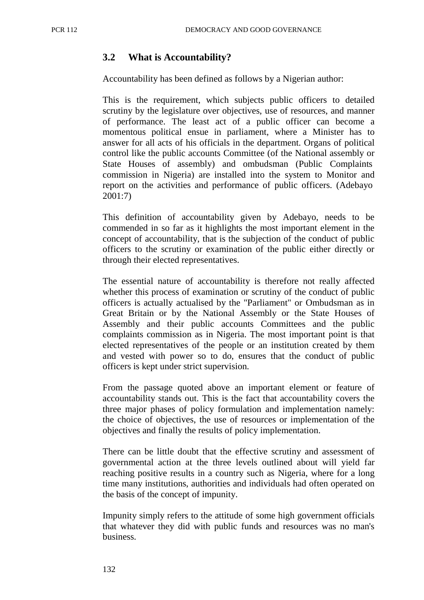## **3.2 What is Accountability?**

Accountability has been defined as follows by a Nigerian author:

This is the requirement, which subjects public officers to detailed scrutiny by the legislature over objectives, use of resources, and manner of performance. The least act of a public officer can become a momentous political ensue in parliament, where a Minister has to answer for all acts of his officials in the department. Organs of political control like the public accounts Committee (of the National assembly or State Houses of assembly) and ombudsman (Public Complaints commission in Nigeria) are installed into the system to Monitor and report on the activities and performance of public officers. (Adebayo 2001:7)

This definition of accountability given by Adebayo, needs to be commended in so far as it highlights the most important element in the concept of accountability, that is the subjection of the conduct of public officers to the scrutiny or examination of the public either directly or through their elected representatives.

The essential nature of accountability is therefore not really affected whether this process of examination or scrutiny of the conduct of public officers is actually actualised by the "Parliament" or Ombudsman as in Great Britain or by the National Assembly or the State Houses of Assembly and their public accounts Committees and the public complaints commission as in Nigeria. The most important point is that elected representatives of the people or an institution created by them and vested with power so to do, ensures that the conduct of public officers is kept under strict supervision.

From the passage quoted above an important element or feature of accountability stands out. This is the fact that accountability covers the three major phases of policy formulation and implementation namely: the choice of objectives, the use of resources or implementation of the objectives and finally the results of policy implementation.

There can be little doubt that the effective scrutiny and assessment of governmental action at the three levels outlined about will yield far reaching positive results in a country such as Nigeria, where for a long time many institutions, authorities and individuals had often operated on the basis of the concept of impunity.

Impunity simply refers to the attitude of some high government officials that whatever they did with public funds and resources was no man's business.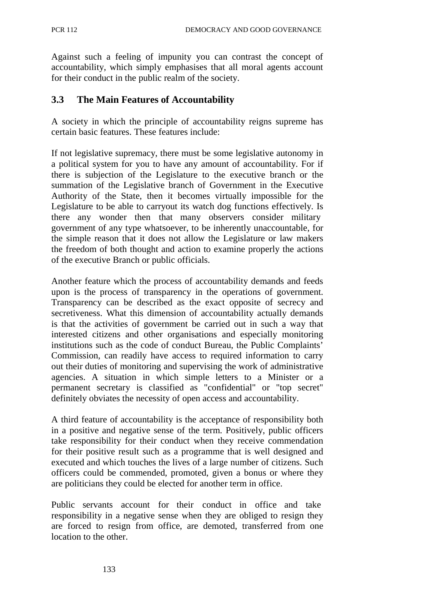Against such a feeling of impunity you can contrast the concept of accountability, which simply emphasises that all moral agents account for their conduct in the public realm of the society.

### **3.3 The Main Features of Accountability**

A society in which the principle of accountability reigns supreme has certain basic features. These features include:

If not legislative supremacy, there must be some legislative autonomy in a political system for you to have any amount of accountability. For if there is subjection of the Legislature to the executive branch or the summation of the Legislative branch of Government in the Executive Authority of the State, then it becomes virtually impossible for the Legislature to be able to carryout its watch dog functions effectively. Is there any wonder then that many observers consider military government of any type whatsoever, to be inherently unaccountable, for the simple reason that it does not allow the Legislature or law makers the freedom of both thought and action to examine properly the actions of the executive Branch or public officials.

Another feature which the process of accountability demands and feeds upon is the process of transparency in the operations of government. Transparency can be described as the exact opposite of secrecy and secretiveness. What this dimension of accountability actually demands is that the activities of government be carried out in such a way that interested citizens and other organisations and especially monitoring institutions such as the code of conduct Bureau, the Public Complaints' Commission, can readily have access to required information to carry out their duties of monitoring and supervising the work of administrative agencies. A situation in which simple letters to a Minister or a permanent secretary is classified as "confidential" or "top secret" definitely obviates the necessity of open access and accountability.

A third feature of accountability is the acceptance of responsibility both in a positive and negative sense of the term. Positively, public officers take responsibility for their conduct when they receive commendation for their positive result such as a programme that is well designed and executed and which touches the lives of a large number of citizens. Such officers could be commended, promoted, given a bonus or where they are politicians they could be elected for another term in office.

Public servants account for their conduct in office and take responsibility in a negative sense when they are obliged to resign they are forced to resign from office, are demoted, transferred from one location to the other.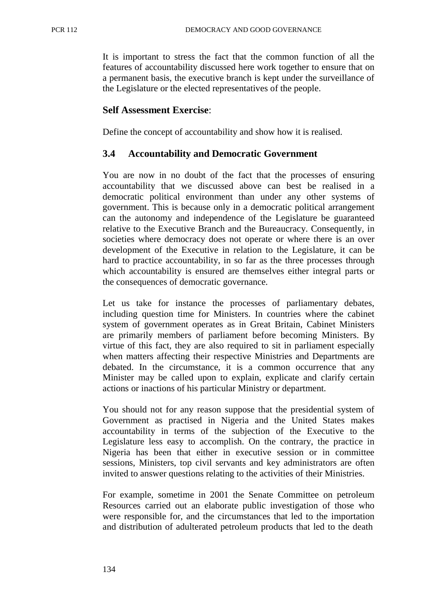It is important to stress the fact that the common function of all the features of accountability discussed here work together to ensure that on a permanent basis, the executive branch is kept under the surveillance of the Legislature or the elected representatives of the people.

### **Self Assessment Exercise**:

Define the concept of accountability and show how it is realised.

## **3.4 Accountability and Democratic Government**

You are now in no doubt of the fact that the processes of ensuring accountability that we discussed above can best be realised in a democratic political environment than under any other systems of government. This is because only in a democratic political arrangement can the autonomy and independence of the Legislature be guaranteed relative to the Executive Branch and the Bureaucracy. Consequently, in societies where democracy does not operate or where there is an over development of the Executive in relation to the Legislature, it can be hard to practice accountability, in so far as the three processes through which accountability is ensured are themselves either integral parts or the consequences of democratic governance.

Let us take for instance the processes of parliamentary debates, including question time for Ministers. In countries where the cabinet system of government operates as in Great Britain, Cabinet Ministers are primarily members of parliament before becoming Ministers. By virtue of this fact, they are also required to sit in parliament especially when matters affecting their respective Ministries and Departments are debated. In the circumstance, it is a common occurrence that any Minister may be called upon to explain, explicate and clarify certain actions or inactions of his particular Ministry or department.

You should not for any reason suppose that the presidential system of Government as practised in Nigeria and the United States makes accountability in terms of the subjection of the Executive to the Legislature less easy to accomplish. On the contrary, the practice in Nigeria has been that either in executive session or in committee sessions, Ministers, top civil servants and key administrators are often invited to answer questions relating to the activities of their Ministries.

For example, sometime in 2001 the Senate Committee on petroleum Resources carried out an elaborate public investigation of those who were responsible for, and the circumstances that led to the importation and distribution of adulterated petroleum products that led to the death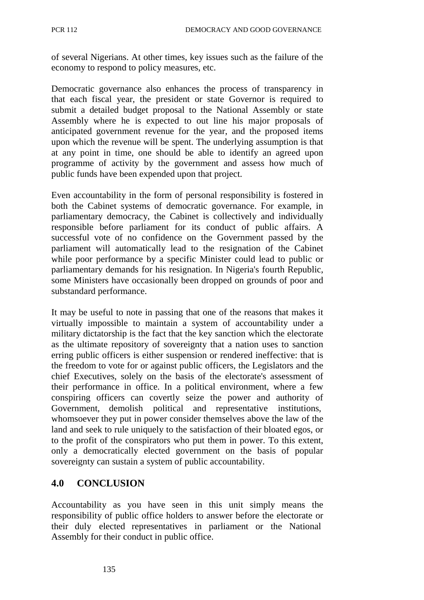of several Nigerians. At other times, key issues such as the failure of the economy to respond to policy measures, etc.

Democratic governance also enhances the process of transparency in that each fiscal year, the president or state Governor is required to submit a detailed budget proposal to the National Assembly or state Assembly where he is expected to out line his major proposals of anticipated government revenue for the year, and the proposed items upon which the revenue will be spent. The underlying assumption is that at any point in time, one should be able to identify an agreed upon programme of activity by the government and assess how much of public funds have been expended upon that project.

Even accountability in the form of personal responsibility is fostered in both the Cabinet systems of democratic governance. For example, in parliamentary democracy, the Cabinet is collectively and individually responsible before parliament for its conduct of public affairs. A successful vote of no confidence on the Government passed by the parliament will automatically lead to the resignation of the Cabinet while poor performance by a specific Minister could lead to public or parliamentary demands for his resignation. In Nigeria's fourth Republic, some Ministers have occasionally been dropped on grounds of poor and substandard performance.

It may be useful to note in passing that one of the reasons that makes it virtually impossible to maintain a system of accountability under a military dictatorship is the fact that the key sanction which the electorate as the ultimate repository of sovereignty that a nation uses to sanction erring public officers is either suspension or rendered ineffective: that is the freedom to vote for or against public officers, the Legislators and the chief Executives, solely on the basis of the electorate's assessment of their performance in office. In a political environment, where a few conspiring officers can covertly seize the power and authority of Government, demolish political and representative institutions, whomsoever they put in power consider themselves above the law of the land and seek to rule uniquely to the satisfaction of their bloated egos, or to the profit of the conspirators who put them in power. To this extent, only a democratically elected government on the basis of popular sovereignty can sustain a system of public accountability.

## **4.0 CONCLUSION**

Accountability as you have seen in this unit simply means the responsibility of public office holders to answer before the electorate or their duly elected representatives in parliament or the National Assembly for their conduct in public office.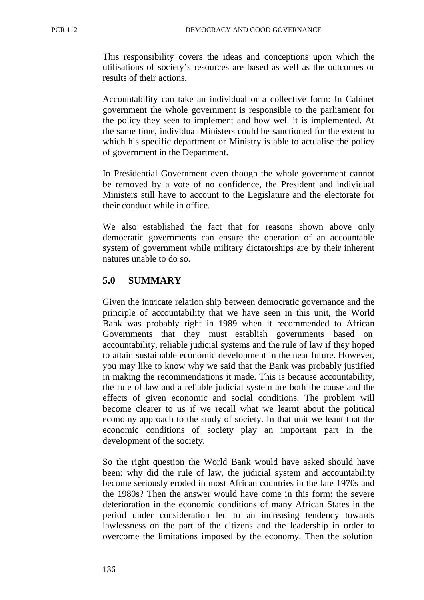This responsibility covers the ideas and conceptions upon which the utilisations of society's resources are based as well as the outcomes or results of their actions.

Accountability can take an individual or a collective form: In Cabinet government the whole government is responsible to the parliament for the policy they seen to implement and how well it is implemented. At the same time, individual Ministers could be sanctioned for the extent to which his specific department or Ministry is able to actualise the policy of government in the Department.

In Presidential Government even though the whole government cannot be removed by a vote of no confidence, the President and individual Ministers still have to account to the Legislature and the electorate for their conduct while in office.

We also established the fact that for reasons shown above only democratic governments can ensure the operation of an accountable system of government while military dictatorships are by their inherent natures unable to do so.

## **5.0 SUMMARY**

Given the intricate relation ship between democratic governance and the principle of accountability that we have seen in this unit, the World Bank was probably right in 1989 when it recommended to African Governments that they must establish governments based on accountability, reliable judicial systems and the rule of law if they hoped to attain sustainable economic development in the near future. However, you may like to know why we said that the Bank was probably justified in making the recommendations it made. This is because accountability, the rule of law and a reliable judicial system are both the cause and the effects of given economic and social conditions. The problem will become clearer to us if we recall what we learnt about the political economy approach to the study of society. In that unit we leant that the economic conditions of society play an important part in the development of the society.

So the right question the World Bank would have asked should have been: why did the rule of law, the judicial system and accountability become seriously eroded in most African countries in the late 1970s and the 1980s? Then the answer would have come in this form: the severe deterioration in the economic conditions of many African States in the period under consideration led to an increasing tendency towards lawlessness on the part of the citizens and the leadership in order to overcome the limitations imposed by the economy. Then the solution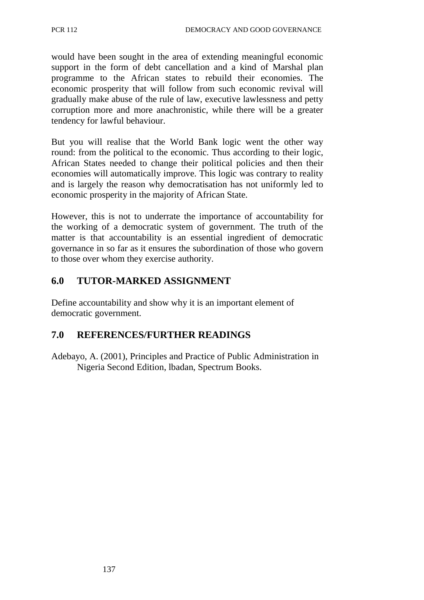would have been sought in the area of extending meaningful economic support in the form of debt cancellation and a kind of Marshal plan programme to the African states to rebuild their economies. The economic prosperity that will follow from such economic revival will gradually make abuse of the rule of law, executive lawlessness and petty corruption more and more anachronistic, while there will be a greater tendency for lawful behaviour.

But you will realise that the World Bank logic went the other way round: from the political to the economic. Thus according to their logic, African States needed to change their political policies and then their economies will automatically improve. This logic was contrary to reality and is largely the reason why democratisation has not uniformly led to economic prosperity in the majority of African State.

However, this is not to underrate the importance of accountability for the working of a democratic system of government. The truth of the matter is that accountability is an essential ingredient of democratic governance in so far as it ensures the subordination of those who govern to those over whom they exercise authority.

# **6.0 TUTOR-MARKED ASSIGNMENT**

Define accountability and show why it is an important element of democratic government.

# **7.0 REFERENCES/FURTHER READINGS**

Adebayo, A. (2001), Principles and Practice of Public Administration in Nigeria Second Edition, lbadan, Spectrum Books.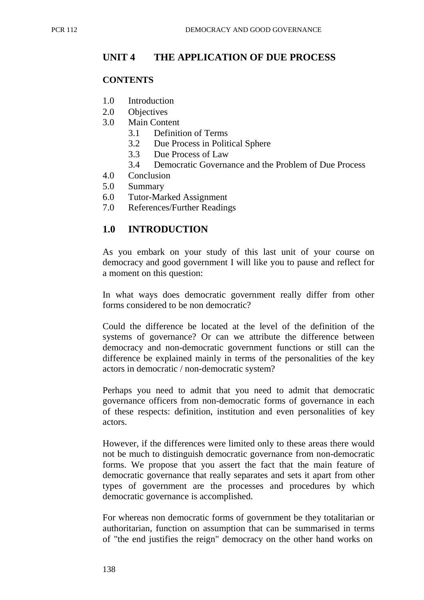## **UNIT 4 THE APPLICATION OF DUE PROCESS**

#### **CONTENTS**

- 1.0 Introduction
- 2.0 Objectives
- 3.0 Main Content
	- 3.1 Definition of Terms
	- 3.2 Due Process in Political Sphere
	- 3.3 Due Process of Law
	- 3.4 Democratic Governance and the Problem of Due Process
- 4.0 Conclusion
- 5.0 Summary
- 6.0 Tutor-Marked Assignment
- 7.0 References/Further Readings

## **1.0 INTRODUCTION**

As you embark on your study of this last unit of your course on democracy and good government I will like you to pause and reflect for a moment on this question:

In what ways does democratic government really differ from other forms considered to be non democratic?

Could the difference be located at the level of the definition of the systems of governance? Or can we attribute the difference between democracy and non-democratic government functions or still can the difference be explained mainly in terms of the personalities of the key actors in democratic / non-democratic system?

Perhaps you need to admit that you need to admit that democratic governance officers from non-democratic forms of governance in each of these respects: definition, institution and even personalities of key actors.

However, if the differences were limited only to these areas there would not be much to distinguish democratic governance from non-democratic forms. We propose that you assert the fact that the main feature of democratic governance that really separates and sets it apart from other types of government are the processes and procedures by which democratic governance is accomplished.

For whereas non democratic forms of government be they totalitarian or authoritarian, function on assumption that can be summarised in terms of "the end justifies the reign" democracy on the other hand works on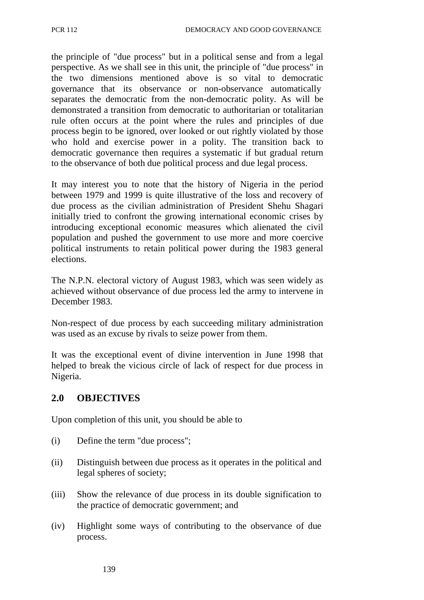the principle of "due process" but in a political sense and from a legal perspective. As we shall see in this unit, the principle of "due process" in the two dimensions mentioned above is so vital to democratic governance that its observance or non-observance automatically separates the democratic from the non-democratic polity. As will be demonstrated a transition from democratic to authoritarian or totalitarian rule often occurs at the point where the rules and principles of due process begin to be ignored, over looked or out rightly violated by those who hold and exercise power in a polity. The transition back to democratic governance then requires a systematic if but gradual return to the observance of both due political process and due legal process.

It may interest you to note that the history of Nigeria in the period between 1979 and 1999 is quite illustrative of the loss and recovery of due process as the civilian administration of President Shehu Shagari initially tried to confront the growing international economic crises by introducing exceptional economic measures which alienated the civil population and pushed the government to use more and more coercive political instruments to retain political power during the 1983 general elections.

The N.P.N. electoral victory of August 1983, which was seen widely as achieved without observance of due process led the army to intervene in December 1983.

Non-respect of due process by each succeeding military administration was used as an excuse by rivals to seize power from them.

It was the exceptional event of divine intervention in June 1998 that helped to break the vicious circle of lack of respect for due process in Nigeria.

### **2.0 OBJECTIVES**

Upon completion of this unit, you should be able to

- (i) Define the term "due process";
- (ii) Distinguish between due process as it operates in the political and legal spheres of society;
- (iii) Show the relevance of due process in its double signification to the practice of democratic government; and
- (iv) Highlight some ways of contributing to the observance of due process.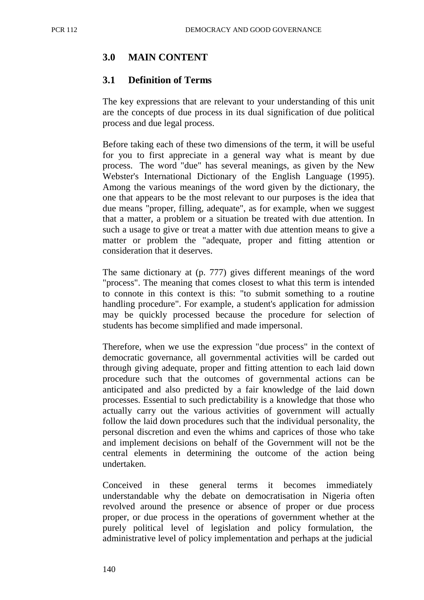# **3.0 MAIN CONTENT**

## **3.1 Definition of Terms**

The key expressions that are relevant to your understanding of this unit are the concepts of due process in its dual signification of due political process and due legal process.

Before taking each of these two dimensions of the term, it will be useful for you to first appreciate in a general way what is meant by due process. The word "due" has several meanings, as given by the New Webster's International Dictionary of the English Language (1995). Among the various meanings of the word given by the dictionary, the one that appears to be the most relevant to our purposes is the idea that due means "proper, filling, adequate", as for example, when we suggest that a matter, a problem or a situation be treated with due attention. In such a usage to give or treat a matter with due attention means to give a matter or problem the "adequate, proper and fitting attention or consideration that it deserves.

The same dictionary at (p. 777) gives different meanings of the word "process". The meaning that comes closest to what this term is intended to connote in this context is this: "to submit something to a routine handling procedure". For example, a student's application for admission may be quickly processed because the procedure for selection of students has become simplified and made impersonal.

Therefore, when we use the expression "due process" in the context of democratic governance, all governmental activities will be carded out through giving adequate, proper and fitting attention to each laid down procedure such that the outcomes of governmental actions can be anticipated and also predicted by a fair knowledge of the laid down processes. Essential to such predictability is a knowledge that those who actually carry out the various activities of government will actually follow the laid down procedures such that the individual personality, the personal discretion and even the whims and caprices of those who take and implement decisions on behalf of the Government will not be the central elements in determining the outcome of the action being undertaken.

Conceived in these general terms it becomes immediately understandable why the debate on democratisation in Nigeria often revolved around the presence or absence of proper or due process proper, or due process in the operations of government whether at the purely political level of legislation and policy formulation, the administrative level of policy implementation and perhaps at the judicial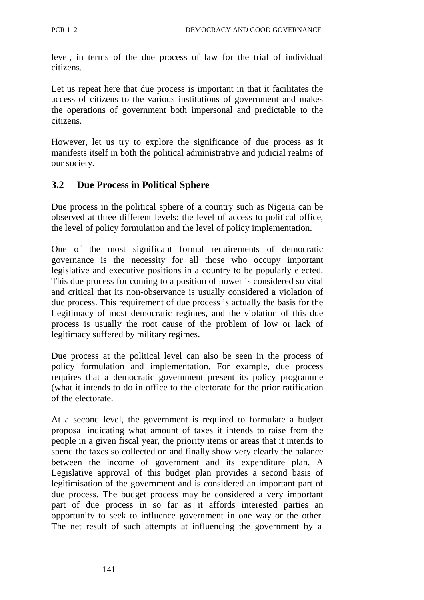level, in terms of the due process of law for the trial of individual citizens.

Let us repeat here that due process is important in that it facilitates the access of citizens to the various institutions of government and makes the operations of government both impersonal and predictable to the citizens.

However, let us try to explore the significance of due process as it manifests itself in both the political administrative and judicial realms of our society.

## **3.2 Due Process in Political Sphere**

Due process in the political sphere of a country such as Nigeria can be observed at three different levels: the level of access to political office, the level of policy formulation and the level of policy implementation.

One of the most significant formal requirements of democratic governance is the necessity for all those who occupy important legislative and executive positions in a country to be popularly elected. This due process for coming to a position of power is considered so vital and critical that its non-observance is usually considered a violation of due process. This requirement of due process is actually the basis for the Legitimacy of most democratic regimes, and the violation of this due process is usually the root cause of the problem of low or lack of legitimacy suffered by military regimes.

Due process at the political level can also be seen in the process of policy formulation and implementation. For example, due process requires that a democratic government present its policy programme (what it intends to do in office to the electorate for the prior ratification of the electorate.

At a second level, the government is required to formulate a budget proposal indicating what amount of taxes it intends to raise from the people in a given fiscal year, the priority items or areas that it intends to spend the taxes so collected on and finally show very clearly the balance between the income of government and its expenditure plan. A Legislative approval of this budget plan provides a second basis of legitimisation of the government and is considered an important part of due process. The budget process may be considered a very important part of due process in so far as it affords interested parties an opportunity to seek to influence government in one way or the other. The net result of such attempts at influencing the government by a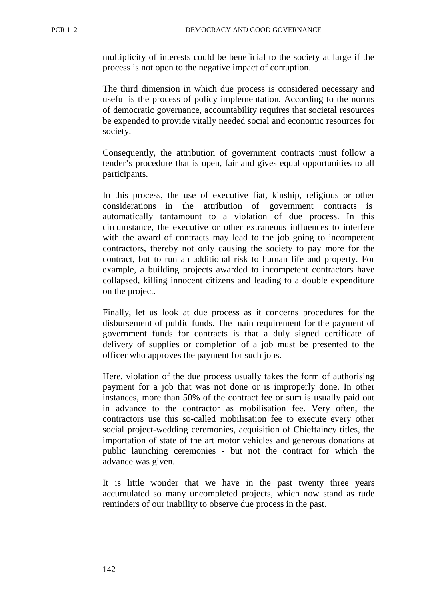multiplicity of interests could be beneficial to the society at large if the process is not open to the negative impact of corruption.

The third dimension in which due process is considered necessary and useful is the process of policy implementation. According to the norms of democratic governance, accountability requires that societal resources be expended to provide vitally needed social and economic resources for society.

Consequently, the attribution of government contracts must follow a tender's procedure that is open, fair and gives equal opportunities to all participants.

In this process, the use of executive fiat, kinship, religious or other considerations in the attribution of government contracts is automatically tantamount to a violation of due process. In this circumstance, the executive or other extraneous influences to interfere with the award of contracts may lead to the job going to incompetent contractors, thereby not only causing the society to pay more for the contract, but to run an additional risk to human life and property. For example, a building projects awarded to incompetent contractors have collapsed, killing innocent citizens and leading to a double expenditure on the project.

Finally, let us look at due process as it concerns procedures for the disbursement of public funds. The main requirement for the payment of government funds for contracts is that a duly signed certificate of delivery of supplies or completion of a job must be presented to the officer who approves the payment for such jobs.

Here, violation of the due process usually takes the form of authorising payment for a job that was not done or is improperly done. In other instances, more than 50% of the contract fee or sum is usually paid out in advance to the contractor as mobilisation fee. Very often, the contractors use this so-called mobilisation fee to execute every other social project-wedding ceremonies, acquisition of Chieftaincy titles, the importation of state of the art motor vehicles and generous donations at public launching ceremonies - but not the contract for which the advance was given.

It is little wonder that we have in the past twenty three years accumulated so many uncompleted projects, which now stand as rude reminders of our inability to observe due process in the past.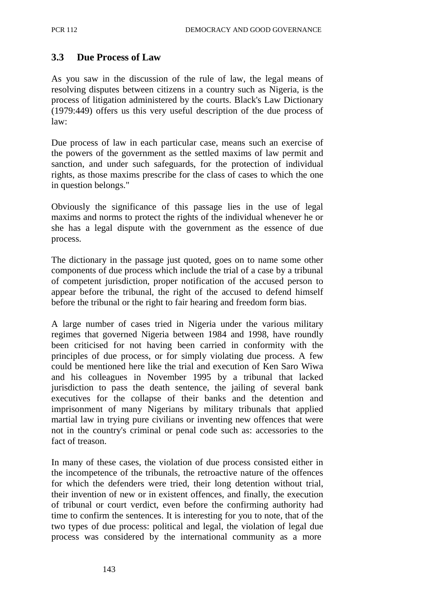# **3.3 Due Process of Law**

As you saw in the discussion of the rule of law, the legal means of resolving disputes between citizens in a country such as Nigeria, is the process of litigation administered by the courts. Black's Law Dictionary (1979:449) offers us this very useful description of the due process of law:

Due process of law in each particular case, means such an exercise of the powers of the government as the settled maxims of law permit and sanction, and under such safeguards, for the protection of individual rights, as those maxims prescribe for the class of cases to which the one in question belongs."

Obviously the significance of this passage lies in the use of legal maxims and norms to protect the rights of the individual whenever he or she has a legal dispute with the government as the essence of due process.

The dictionary in the passage just quoted, goes on to name some other components of due process which include the trial of a case by a tribunal of competent jurisdiction, proper notification of the accused person to appear before the tribunal, the right of the accused to defend himself before the tribunal or the right to fair hearing and freedom form bias.

A large number of cases tried in Nigeria under the various military regimes that governed Nigeria between 1984 and 1998, have roundly been criticised for not having been carried in conformity with the principles of due process, or for simply violating due process. A few could be mentioned here like the trial and execution of Ken Saro Wiwa and his colleagues in November 1995 by a tribunal that lacked jurisdiction to pass the death sentence, the jailing of several bank executives for the collapse of their banks and the detention and imprisonment of many Nigerians by military tribunals that applied martial law in trying pure civilians or inventing new offences that were not in the country's criminal or penal code such as: accessories to the fact of treason.

In many of these cases, the violation of due process consisted either in the incompetence of the tribunals, the retroactive nature of the offences for which the defenders were tried, their long detention without trial, their invention of new or in existent offences, and finally, the execution of tribunal or court verdict, even before the confirming authority had time to confirm the sentences. It is interesting for you to note, that of the two types of due process: political and legal, the violation of legal due process was considered by the international community as a more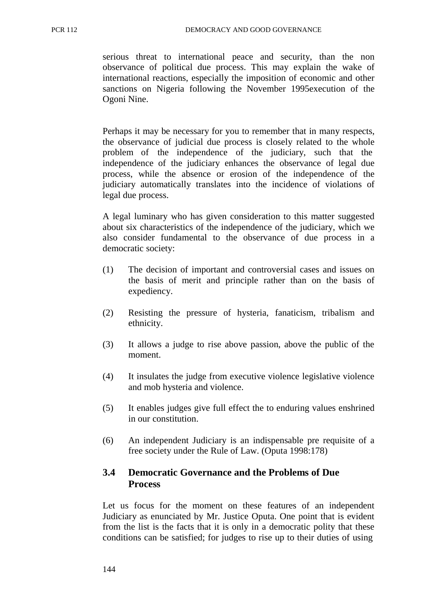serious threat to international peace and security, than the non observance of political due process. This may explain the wake of international reactions, especially the imposition of economic and other sanctions on Nigeria following the November 1995execution of the Ogoni Nine.

Perhaps it may be necessary for you to remember that in many respects, the observance of judicial due process is closely related to the whole problem of the independence of the judiciary, such that the independence of the judiciary enhances the observance of legal due process, while the absence or erosion of the independence of the judiciary automatically translates into the incidence of violations of legal due process.

A legal luminary who has given consideration to this matter suggested about six characteristics of the independence of the judiciary, which we also consider fundamental to the observance of due process in a democratic society:

- (1) The decision of important and controversial cases and issues on the basis of merit and principle rather than on the basis of expediency.
- (2) Resisting the pressure of hysteria, fanaticism, tribalism and ethnicity.
- (3) It allows a judge to rise above passion, above the public of the moment.
- (4) It insulates the judge from executive violence legislative violence and mob hysteria and violence.
- (5) It enables judges give full effect the to enduring values enshrined in our constitution.
- (6) An independent Judiciary is an indispensable pre requisite of a free society under the Rule of Law. (Oputa 1998:178)

### **3.4 Democratic Governance and the Problems of Due Process**

Let us focus for the moment on these features of an independent Judiciary as enunciated by Mr. Justice Oputa. One point that is evident from the list is the facts that it is only in a democratic polity that these conditions can be satisfied; for judges to rise up to their duties of using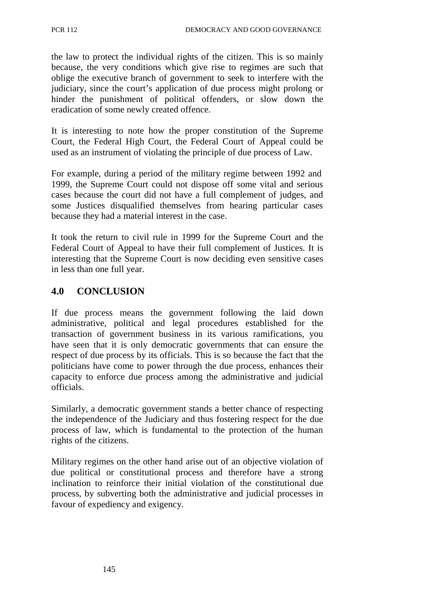the law to protect the individual rights of the citizen. This is so mainly because, the very conditions which give rise to regimes are such that oblige the executive branch of government to seek to interfere with the judiciary, since the court's application of due process might prolong or hinder the punishment of political offenders, or slow down the eradication of some newly created offence.

It is interesting to note how the proper constitution of the Supreme Court, the Federal High Court, the Federal Court of Appeal could be used as an instrument of violating the principle of due process of Law.

For example, during a period of the military regime between 1992 and 1999, the Supreme Court could not dispose off some vital and serious cases because the court did not have a full complement of judges, and some Justices disqualified themselves from hearing particular cases because they had a material interest in the case.

It took the return to civil rule in 1999 for the Supreme Court and the Federal Court of Appeal to have their full complement of Justices. It is interesting that the Supreme Court is now deciding even sensitive cases in less than one full year.

## **4.0 CONCLUSION**

If due process means the government following the laid down administrative, political and legal procedures established for the transaction of government business in its various ramifications, you have seen that it is only democratic governments that can ensure the respect of due process by its officials. This is so because the fact that the politicians have come to power through the due process, enhances their capacity to enforce due process among the administrative and judicial officials.

Similarly, a democratic government stands a better chance of respecting the independence of the Judiciary and thus fostering respect for the due process of law, which is fundamental to the protection of the human rights of the citizens.

Military regimes on the other hand arise out of an objective violation of due political or constitutional process and therefore have a strong inclination to reinforce their initial violation of the constitutional due process, by subverting both the administrative and judicial processes in favour of expediency and exigency.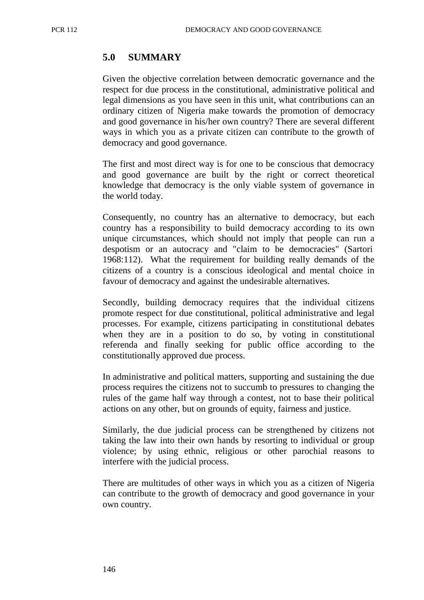## **5.0 SUMMARY**

Given the objective correlation between democratic governance and the respect for due process in the constitutional, administrative political and legal dimensions as you have seen in this unit, what contributions can an ordinary citizen of Nigeria make towards the promotion of democracy and good governance in his/her own country? There are several different ways in which you as a private citizen can contribute to the growth of democracy and good governance.

The first and most direct way is for one to be conscious that democracy and good governance are built by the right or correct theoretical knowledge that democracy is the only viable system of governance in the world today.

Consequently, no country has an alternative to democracy, but each country has a responsibility to build democracy according to its own unique circumstances, which should not imply that people can run a despotism or an autocracy and "claim to be democracies" (Sartori 1968:112). What the requirement for building really demands of the citizens of a country is a conscious ideological and mental choice in favour of democracy and against the undesirable alternatives.

Secondly, building democracy requires that the individual citizens promote respect for due constitutional, political administrative and legal processes. For example, citizens participating in constitutional debates when they are in a position to do so, by voting in constitutional referenda and finally seeking for public office according to the constitutionally approved due process.

In administrative and political matters, supporting and sustaining the due process requires the citizens not to succumb to pressures to changing the rules of the game half way through a contest, not to base their political actions on any other, but on grounds of equity, fairness and justice.

Similarly, the due judicial process can be strengthened by citizens not taking the law into their own hands by resorting to individual or group violence; by using ethnic, religious or other parochial reasons to interfere with the judicial process.

There are multitudes of other ways in which you as a citizen of Nigeria can contribute to the growth of democracy and good governance in your own country.